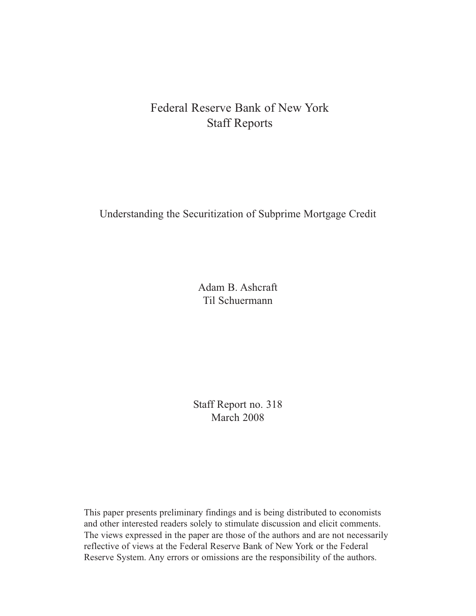# Federal Reserve Bank of New York Staff Reports

Understanding the Securitization of Subprime Mortgage Credit

Adam B. Ashcraft Til Schuermann

Staff Report no. 318 March 2008

This paper presents preliminary findings and is being distributed to economists and other interested readers solely to stimulate discussion and elicit comments. The views expressed in the paper are those of the authors and are not necessarily reflective of views at the Federal Reserve Bank of New York or the Federal Reserve System. Any errors or omissions are the responsibility of the authors.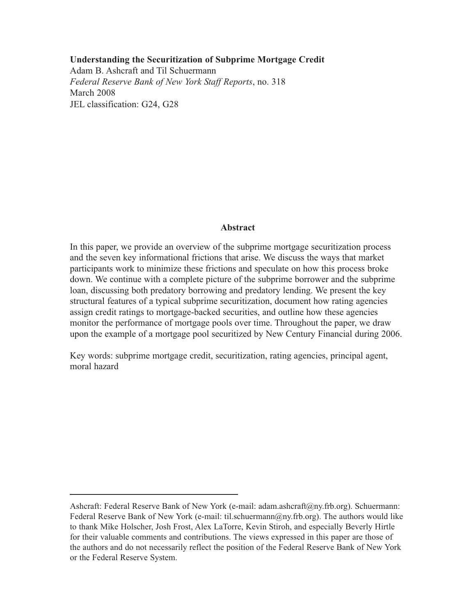#### **Understanding the Securitization of Subprime Mortgage Credit**

Adam B. Ashcraft and Til Schuermann *Federal Reserve Bank of New York Staff Reports*, no. 318 March 2008 JEL classification: G24, G28

#### **Abstract**

In this paper, we provide an overview of the subprime mortgage securitization process and the seven key informational frictions that arise. We discuss the ways that market participants work to minimize these frictions and speculate on how this process broke down. We continue with a complete picture of the subprime borrower and the subprime loan, discussing both predatory borrowing and predatory lending. We present the key structural features of a typical subprime securitization, document how rating agencies assign credit ratings to mortgage-backed securities, and outline how these agencies monitor the performance of mortgage pools over time. Throughout the paper, we draw upon the example of a mortgage pool securitized by New Century Financial during 2006.

Key words: subprime mortgage credit, securitization, rating agencies, principal agent, moral hazard

Ashcraft: Federal Reserve Bank of New York (e-mail: adam.ashcraft@ny.frb.org). Schuermann: Federal Reserve Bank of New York (e-mail: til.schuermann@ny.frb.org). The authors would like to thank Mike Holscher, Josh Frost, Alex LaTorre, Kevin Stiroh, and especially Beverly Hirtle for their valuable comments and contributions. The views expressed in this paper are those of the authors and do not necessarily reflect the position of the Federal Reserve Bank of New York or the Federal Reserve System.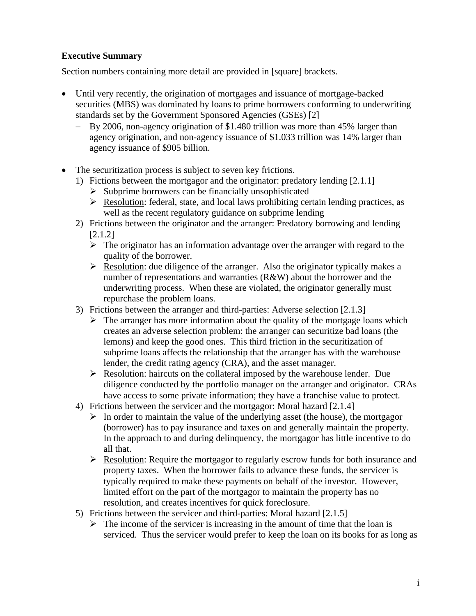# **Executive Summary**

Section numbers containing more detail are provided in [square] brackets.

- Until very recently, the origination of mortgages and issuance of mortgage-backed securities (MBS) was dominated by loans to prime borrowers conforming to underwriting standards set by the Government Sponsored Agencies (GSEs) [2]
	- − By 2006, non-agency origination of \$1.480 trillion was more than 45% larger than agency origination, and non-agency issuance of \$1.033 trillion was 14% larger than agency issuance of \$905 billion.
- The securitization process is subject to seven key frictions.
	- 1) Fictions between the mortgagor and the originator: predatory lending [2.1.1]
		- $\triangleright$  Subprime borrowers can be financially unsophisticated
		- $\triangleright$  Resolution: federal, state, and local laws prohibiting certain lending practices, as well as the recent regulatory guidance on subprime lending
	- 2) Frictions between the originator and the arranger: Predatory borrowing and lending [2.1.2]
		- $\triangleright$  The originator has an information advantage over the arranger with regard to the quality of the borrower.
		- $\triangleright$  Resolution: due diligence of the arranger. Also the originator typically makes a number of representations and warranties (R&W) about the borrower and the underwriting process. When these are violated, the originator generally must repurchase the problem loans.
	- 3) Frictions between the arranger and third-parties: Adverse selection [2.1.3]
		- $\triangleright$  The arranger has more information about the quality of the mortgage loans which creates an adverse selection problem: the arranger can securitize bad loans (the lemons) and keep the good ones. This third friction in the securitization of subprime loans affects the relationship that the arranger has with the warehouse lender, the credit rating agency (CRA), and the asset manager.
		- $\triangleright$  Resolution: haircuts on the collateral imposed by the warehouse lender. Due diligence conducted by the portfolio manager on the arranger and originator. CRAs have access to some private information; they have a franchise value to protect.
	- 4) Frictions between the servicer and the mortgagor: Moral hazard [2.1.4]
		- $\triangleright$  In order to maintain the value of the underlying asset (the house), the mortgagor (borrower) has to pay insurance and taxes on and generally maintain the property. In the approach to and during delinquency, the mortgagor has little incentive to do all that.
		- $\triangleright$  Resolution: Require the mortgagor to regularly escrow funds for both insurance and property taxes. When the borrower fails to advance these funds, the servicer is typically required to make these payments on behalf of the investor. However, limited effort on the part of the mortgagor to maintain the property has no resolution, and creates incentives for quick foreclosure.
	- 5) Frictions between the servicer and third-parties: Moral hazard [2.1.5]
		- $\triangleright$  The income of the servicer is increasing in the amount of time that the loan is serviced. Thus the servicer would prefer to keep the loan on its books for as long as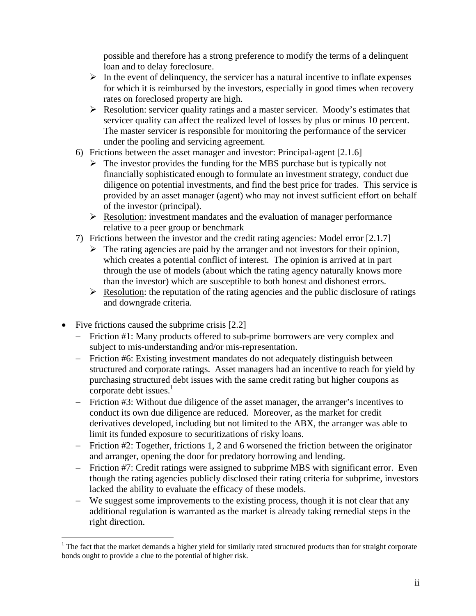possible and therefore has a strong preference to modify the terms of a delinquent loan and to delay foreclosure.

- $\triangleright$  In the event of delinguency, the servicer has a natural incentive to inflate expenses for which it is reimbursed by the investors, especially in good times when recovery rates on foreclosed property are high.
- $\triangleright$  Resolution: servicer quality ratings and a master servicer. Moody's estimates that servicer quality can affect the realized level of losses by plus or minus 10 percent. The master servicer is responsible for monitoring the performance of the servicer under the pooling and servicing agreement.
- 6) Frictions between the asset manager and investor: Principal-agent [2.1.6]
	- $\triangleright$  The investor provides the funding for the MBS purchase but is typically not financially sophisticated enough to formulate an investment strategy, conduct due diligence on potential investments, and find the best price for trades. This service is provided by an asset manager (agent) who may not invest sufficient effort on behalf of the investor (principal).
	- $\triangleright$  Resolution: investment mandates and the evaluation of manager performance relative to a peer group or benchmark
- 7) Frictions between the investor and the credit rating agencies: Model error [2.1.7]
	- $\triangleright$  The rating agencies are paid by the arranger and not investors for their opinion, which creates a potential conflict of interest. The opinion is arrived at in part through the use of models (about which the rating agency naturally knows more than the investor) which are susceptible to both honest and dishonest errors.
	- $\triangleright$  Resolution: the reputation of the rating agencies and the public disclosure of ratings and downgrade criteria.
- Five frictions caused the subprime crisis [2.2]

 $\overline{a}$ 

- − Friction #1: Many products offered to sub-prime borrowers are very complex and subject to mis-understanding and/or mis-representation.
- − Friction #6: Existing investment mandates do not adequately distinguish between structured and corporate ratings. Asset managers had an incentive to reach for yield by purchasing structured debt issues with the same credit rating but higher coupons as corporate debt issues. $<sup>1</sup>$ </sup>
- − Friction #3: Without due diligence of the asset manager, the arranger's incentives to conduct its own due diligence are reduced. Moreover, as the market for credit derivatives developed, including but not limited to the ABX, the arranger was able to limit its funded exposure to securitizations of risky loans.
- − Friction #2: Together, frictions 1, 2 and 6 worsened the friction between the originator and arranger, opening the door for predatory borrowing and lending.
- − Friction #7: Credit ratings were assigned to subprime MBS with significant error. Even though the rating agencies publicly disclosed their rating criteria for subprime, investors lacked the ability to evaluate the efficacy of these models.
- We suggest some improvements to the existing process, though it is not clear that any additional regulation is warranted as the market is already taking remedial steps in the right direction.

 $1$ <sup>1</sup> The fact that the market demands a higher yield for similarly rated structured products than for straight corporate bonds ought to provide a clue to the potential of higher risk.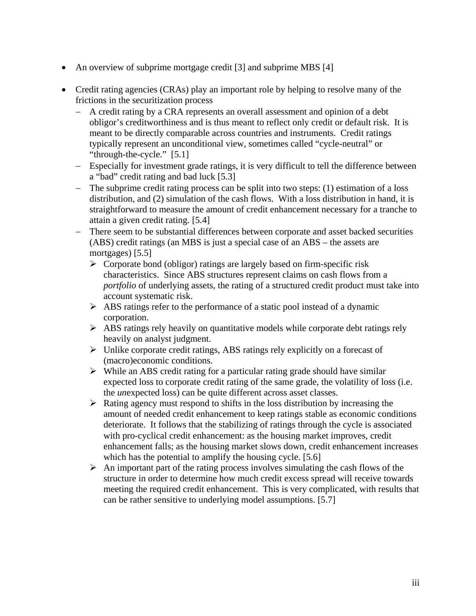- An overview of subprime mortgage credit [3] and subprime MBS [4]
- Credit rating agencies (CRAs) play an important role by helping to resolve many of the frictions in the securitization process
	- − A credit rating by a CRA represents an overall assessment and opinion of a debt obligor's creditworthiness and is thus meant to reflect only credit or default risk. It is meant to be directly comparable across countries and instruments. Credit ratings typically represent an unconditional view, sometimes called "cycle-neutral" or "through-the-cycle." [5.1]
	- − Especially for investment grade ratings, it is very difficult to tell the difference between a "bad" credit rating and bad luck [5.3]
	- − The subprime credit rating process can be split into two steps: (1) estimation of a loss distribution, and (2) simulation of the cash flows. With a loss distribution in hand, it is straightforward to measure the amount of credit enhancement necessary for a tranche to attain a given credit rating. [5.4]
	- There seem to be substantial differences between corporate and asset backed securities (ABS) credit ratings (an MBS is just a special case of an ABS – the assets are mortgages) [5.5]
		- $\triangleright$  Corporate bond (obligor) ratings are largely based on firm-specific risk characteristics. Since ABS structures represent claims on cash flows from a *portfolio* of underlying assets, the rating of a structured credit product must take into account systematic risk.
		- $\triangleright$  ABS ratings refer to the performance of a static pool instead of a dynamic corporation.
		- $\triangleright$  ABS ratings rely heavily on quantitative models while corporate debt ratings rely heavily on analyst judgment.
		- ¾ Unlike corporate credit ratings, ABS ratings rely explicitly on a forecast of (macro)economic conditions.
		- $\triangleright$  While an ABS credit rating for a particular rating grade should have similar expected loss to corporate credit rating of the same grade, the volatility of loss (i.e. the *un*expected loss) can be quite different across asset classes.
		- $\triangleright$  Rating agency must respond to shifts in the loss distribution by increasing the amount of needed credit enhancement to keep ratings stable as economic conditions deteriorate. It follows that the stabilizing of ratings through the cycle is associated with pro-cyclical credit enhancement: as the housing market improves, credit enhancement falls; as the housing market slows down, credit enhancement increases which has the potential to amplify the housing cycle. [5.6]
		- $\triangleright$  An important part of the rating process involves simulating the cash flows of the structure in order to determine how much credit excess spread will receive towards meeting the required credit enhancement. This is very complicated, with results that can be rather sensitive to underlying model assumptions. [5.7]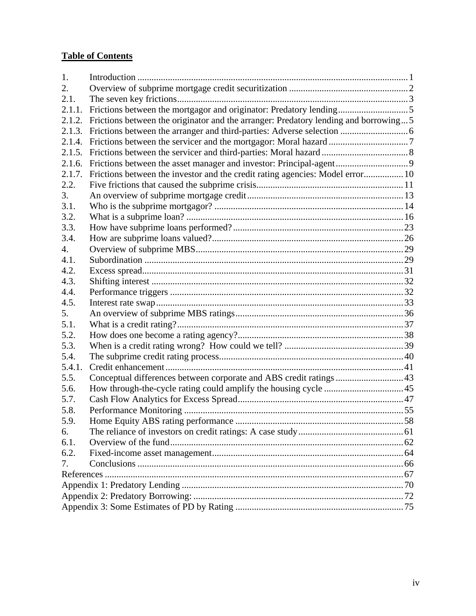# **Table of Contents**

| 1.     |                                                                                     |  |
|--------|-------------------------------------------------------------------------------------|--|
| 2.     |                                                                                     |  |
| 2.1.   |                                                                                     |  |
| 2.1.1. |                                                                                     |  |
| 2.1.2. | Frictions between the originator and the arranger: Predatory lending and borrowing5 |  |
| 2.1.3. |                                                                                     |  |
|        |                                                                                     |  |
| 2.1.5. |                                                                                     |  |
| 2.1.6. | Frictions between the asset manager and investor: Principal-agent 9                 |  |
| 2.1.7. | Frictions between the investor and the credit rating agencies: Model error 10       |  |
| 2.2.   |                                                                                     |  |
| 3.     |                                                                                     |  |
| 3.1.   |                                                                                     |  |
| 3.2.   |                                                                                     |  |
| 3.3.   |                                                                                     |  |
| 3.4.   |                                                                                     |  |
| 4.     |                                                                                     |  |
| 4.1.   |                                                                                     |  |
| 4.2.   |                                                                                     |  |
| 4.3.   |                                                                                     |  |
| 4.4.   |                                                                                     |  |
| 4.5.   |                                                                                     |  |
| 5.     |                                                                                     |  |
| 5.1.   |                                                                                     |  |
| 5.2.   |                                                                                     |  |
| 5.3.   |                                                                                     |  |
| 5.4.   |                                                                                     |  |
| 5.4.1. |                                                                                     |  |
| 5.5.   | Conceptual differences between corporate and ABS credit ratings  43                 |  |
| 5.6.   |                                                                                     |  |
| 5.7.   |                                                                                     |  |
| 5.8.   |                                                                                     |  |
| 5.9.   |                                                                                     |  |
| 6.     |                                                                                     |  |
| 6.1.   |                                                                                     |  |
| 6.2.   |                                                                                     |  |
| 7.     |                                                                                     |  |
|        |                                                                                     |  |
|        |                                                                                     |  |
|        |                                                                                     |  |
|        |                                                                                     |  |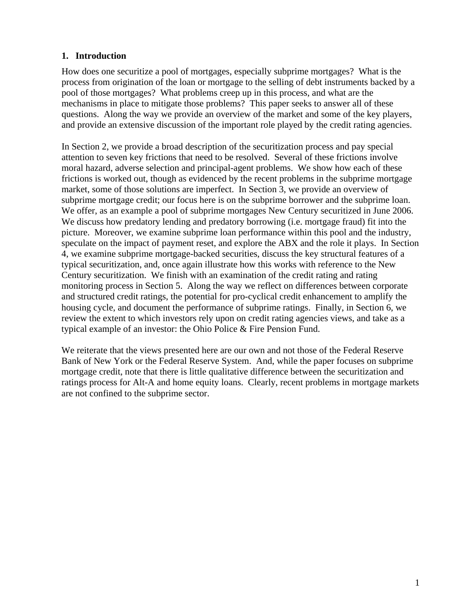## **1. Introduction**

How does one securitize a pool of mortgages, especially subprime mortgages? What is the process from origination of the loan or mortgage to the selling of debt instruments backed by a pool of those mortgages? What problems creep up in this process, and what are the mechanisms in place to mitigate those problems? This paper seeks to answer all of these questions. Along the way we provide an overview of the market and some of the key players, and provide an extensive discussion of the important role played by the credit rating agencies.

In Section 2, we provide a broad description of the securitization process and pay special attention to seven key frictions that need to be resolved. Several of these frictions involve moral hazard, adverse selection and principal-agent problems. We show how each of these frictions is worked out, though as evidenced by the recent problems in the subprime mortgage market, some of those solutions are imperfect. In Section 3, we provide an overview of subprime mortgage credit; our focus here is on the subprime borrower and the subprime loan. We offer, as an example a pool of subprime mortgages New Century securitized in June 2006. We discuss how predatory lending and predatory borrowing (i.e. mortgage fraud) fit into the picture. Moreover, we examine subprime loan performance within this pool and the industry, speculate on the impact of payment reset, and explore the ABX and the role it plays. In Section 4, we examine subprime mortgage-backed securities, discuss the key structural features of a typical securitization, and, once again illustrate how this works with reference to the New Century securitization. We finish with an examination of the credit rating and rating monitoring process in Section 5. Along the way we reflect on differences between corporate and structured credit ratings, the potential for pro-cyclical credit enhancement to amplify the housing cycle, and document the performance of subprime ratings. Finally, in Section 6, we review the extent to which investors rely upon on credit rating agencies views, and take as a typical example of an investor: the Ohio Police & Fire Pension Fund.

We reiterate that the views presented here are our own and not those of the Federal Reserve Bank of New York or the Federal Reserve System. And, while the paper focuses on subprime mortgage credit, note that there is little qualitative difference between the securitization and ratings process for Alt-A and home equity loans. Clearly, recent problems in mortgage markets are not confined to the subprime sector.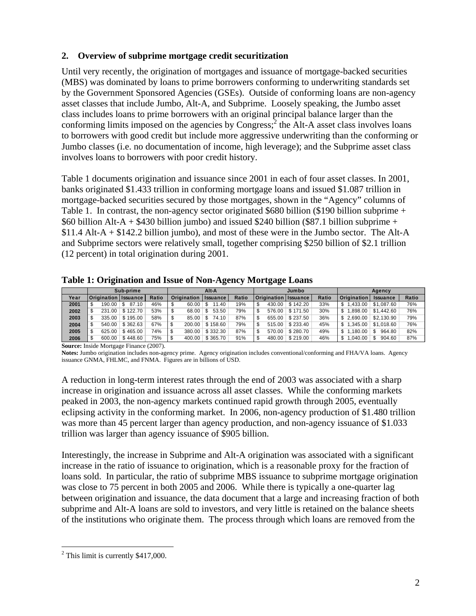#### **2. Overview of subprime mortgage credit securitization**

Until very recently, the origination of mortgages and issuance of mortgage-backed securities (MBS) was dominated by loans to prime borrowers conforming to underwriting standards set by the Government Sponsored Agencies (GSEs). Outside of conforming loans are non-agency asset classes that include Jumbo, Alt-A, and Subprime. Loosely speaking, the Jumbo asset class includes loans to prime borrowers with an original principal balance larger than the conforming limits imposed on the agencies by Congress; ${}^{2}$  the Alt-A asset class involves loans to borrowers with good credit but include more aggressive underwriting than the conforming or Jumbo classes (i.e. no documentation of income, high leverage); and the Subprime asset class involves loans to borrowers with poor credit history.

Table 1 documents origination and issuance since 2001 in each of four asset classes. In 2001, banks originated \$1.433 trillion in conforming mortgage loans and issued \$1.087 trillion in mortgage-backed securities secured by those mortgages, shown in the "Agency" columns of Table 1. In contrast, the non-agency sector originated \$680 billion (\$190 billion subprime + \$60 billion Alt-A + \$430 billion jumbo) and issued \$240 billion (\$87.1 billion subprime +  $$11.4$  Alt-A +  $$142.2$  billion jumbo), and most of these were in the Jumbo sector. The Alt-A and Subprime sectors were relatively small, together comprising \$250 billion of \$2.1 trillion (12 percent) in total origination during 2001.

**Table 1: Origination and Issue of Non-Agency Mortgage Loans** 

|      |        | Sub-prime                   |       | Alt-A |              | Jumbo                  |       |  | Agency |                        |       |             |            |       |
|------|--------|-----------------------------|-------|-------|--------------|------------------------|-------|--|--------|------------------------|-------|-------------|------------|-------|
| Year |        | <b>Origination Issuance</b> | Ratio |       |              | Origination I Issuance | Ratio |  |        | Origination I Issuance | Ratio | Origination | Issuance   | Ratio |
| 2001 | 190.00 | \$<br>87.10                 | 46%   |       | 60.00        | S<br>11.40             | 19%   |  | 430.00 | \$142.20               | 33%   | \$1,433.00  | \$1,087.60 | 76%   |
| 2002 |        | 231.00 \ \$ 122.70          | 53%   |       | $68.00$ \ \$ | 53.50                  | 79%   |  | 576.00 | \$171.50               | 30%   | 898.00      | \$1,442.60 | 76%   |
| 2003 | 335.00 | \$195.00                    | 58%   |       | $85.00$ \ \$ | 74.10                  | 87%   |  | 655.00 | \$237.50               | 36%   | \$2.690.00  | \$2.130.90 | 79%   |
| 2004 | 540.00 | \$362.63                    | 67%   |       |              | $200.00$   \$158.60    | 79%   |  | 515.00 | \$233.40               | 45%   | \$1.345.00  | \$1,018.60 | 76%   |
| 2005 | 625.00 | \$465.00                    | 74%   |       |              | $380.00$   \$ 332.30   | 87%   |  | 570.00 | \$280.70               | 49%   | \$1.180.00  | 964.80     | 82%   |
| 2006 | 600.00 | \$448.60                    | 75%   |       | 400.00       | \$365.70               | 91%   |  | 480.00 | \$219.00               | 46%   | .040.00     | 904.60     | 87%   |

**Source:** Inside Mortgage Finance (2007).

**Notes:** Jumbo origination includes non-agency prime. Agency origination includes conventional/conforming and FHA/VA loans. Agency issuance GNMA, FHLMC, and FNMA. Figures are in billions of USD.

A reduction in long-term interest rates through the end of 2003 was associated with a sharp increase in origination and issuance across all asset classes. While the conforming markets peaked in 2003, the non-agency markets continued rapid growth through 2005, eventually eclipsing activity in the conforming market. In 2006, non-agency production of \$1.480 trillion was more than 45 percent larger than agency production, and non-agency issuance of \$1.033 trillion was larger than agency issuance of \$905 billion.

Interestingly, the increase in Subprime and Alt-A origination was associated with a significant increase in the ratio of issuance to origination, which is a reasonable proxy for the fraction of loans sold. In particular, the ratio of subprime MBS issuance to subprime mortgage origination was close to 75 percent in both 2005 and 2006. While there is typically a one-quarter lag between origination and issuance, the data document that a large and increasing fraction of both subprime and Alt-A loans are sold to investors, and very little is retained on the balance sheets of the institutions who originate them. The process through which loans are removed from the

 $\overline{a}$  $2$  This limit is currently \$417,000.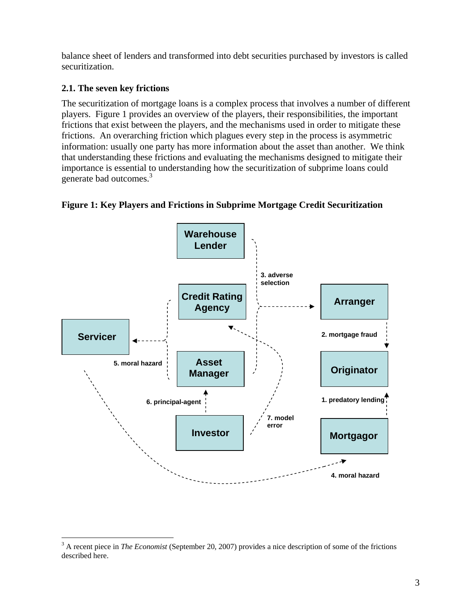balance sheet of lenders and transformed into debt securities purchased by investors is called securitization.

# **2.1. The seven key frictions**

The securitization of mortgage loans is a complex process that involves a number of different players. Figure 1 provides an overview of the players, their responsibilities, the important frictions that exist between the players, and the mechanisms used in order to mitigate these frictions. An overarching friction which plagues every step in the process is asymmetric information: usually one party has more information about the asset than another. We think that understanding these frictions and evaluating the mechanisms designed to mitigate their importance is essential to understanding how the securitization of subprime loans could generate bad outcomes.<sup>3</sup>



# **Figure 1: Key Players and Frictions in Subprime Mortgage Credit Securitization**

 $\overline{a}$ <sup>3</sup> A recent piece in *The Economist* (September 20, 2007) provides a nice description of some of the frictions described here.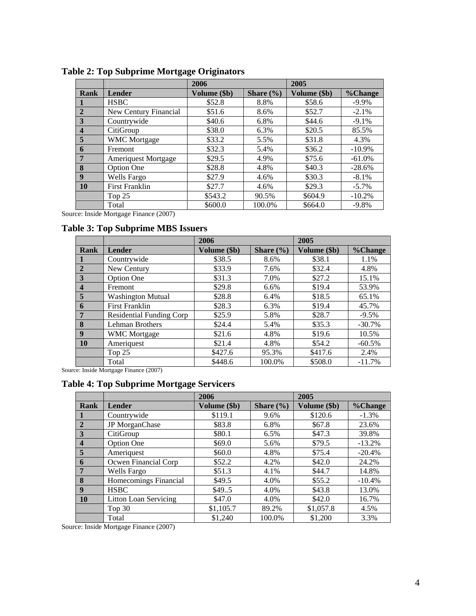|                         |                            | 2006         |               | 2005         |           |
|-------------------------|----------------------------|--------------|---------------|--------------|-----------|
| <b>Rank</b>             | <b>Lender</b>              | Volume (\$b) | Share $(\% )$ | Volume (\$b) | %Change   |
| 1                       | <b>HSBC</b>                | \$52.8       | 8.8%          | \$58.6       | $-9.9\%$  |
| $\overline{2}$          | New Century Financial      | \$51.6       | 8.6%          | \$52.7       | $-2.1%$   |
| 3                       | Countrywide                | \$40.6       | 6.8%          | \$44.6       | $-9.1%$   |
| $\overline{\mathbf{4}}$ | CitiGroup                  | \$38.0       | 6.3%          | \$20.5       | 85.5%     |
| 5                       | <b>WMC</b> Mortgage        | \$33.2       | 5.5%          | \$31.8       | 4.3%      |
| 6                       | Fremont                    | \$32.3       | 5.4%          | \$36.2       | $-10.9\%$ |
| 7                       | <b>Ameriquest Mortgage</b> | \$29.5       | 4.9%          | \$75.6       | $-61.0%$  |
| 8                       | Option One                 | \$28.8       | 4.8%          | \$40.3       | $-28.6%$  |
| 9                       | Wells Fargo                | \$27.9       | 4.6%          | \$30.3       | $-8.1%$   |
| 10                      | <b>First Franklin</b>      | \$27.7       | 4.6%          | \$29.3       | $-5.7\%$  |
|                         | Top $25$                   | \$543.2      | 90.5%         | \$604.9      | $-10.2%$  |
|                         | Total                      | \$600.0      | 100.0%        | \$664.0      | $-9.8%$   |

# **Table 2: Top Subprime Mortgage Originators**

Source: Inside Mortgage Finance (2007)

# **Table 3: Top Subprime MBS Issuers**

|                |                                 | 2006         |               | 2005         |                |
|----------------|---------------------------------|--------------|---------------|--------------|----------------|
| Rank           | <b>Lender</b>                   | Volume (\$b) | Share $(\% )$ | Volume (\$b) | <b>%Change</b> |
|                | Countrywide                     | \$38.5       | 8.6%          | \$38.1       | 1.1%           |
| $\overline{2}$ | New Century                     | \$33.9       | 7.6%          | \$32.4       | 4.8%           |
| 3              | Option One                      | \$31.3       | 7.0%          | \$27.2       | 15.1%          |
| 4              | Fremont                         | \$29.8       | $6.6\%$       | \$19.4       | 53.9%          |
| 5              | <b>Washington Mutual</b>        | \$28.8       | 6.4%          | \$18.5       | 65.1%          |
| 6              | <b>First Franklin</b>           | \$28.3       | 6.3%          | \$19.4       | 45.7%          |
| 7              | <b>Residential Funding Corp</b> | \$25.9       | 5.8%          | \$28.7       | $-9.5%$        |
| 8              | Lehman Brothers                 | \$24.4       | 5.4%          | \$35.3       | $-30.7\%$      |
| 9              | <b>WMC</b> Mortgage             | \$21.6       | 4.8%          | \$19.6       | 10.5%          |
| 10             | Ameriquest                      | \$21.4       | 4.8%          | \$54.2       | $-60.5%$       |
|                | Top $25$                        | \$427.6      | 95.3%         | \$417.6      | 2.4%           |
|                | Total                           | \$448.6      | 100.0%        | \$508.0      | $-11.7%$       |

Source: Inside Mortgage Finance (2007)

#### **Table 4: Top Subprime Mortgage Servicers**

|                |                              | 2006         |               | 2005         |           |
|----------------|------------------------------|--------------|---------------|--------------|-----------|
| <b>Rank</b>    | <b>Lender</b>                | Volume (\$b) | Share $(\% )$ | Volume (\$b) | % Change  |
|                | Countrywide                  | \$119.1      | 9.6%          | \$120.6      | $-1.3\%$  |
| $\overline{2}$ | JP MorganChase               | \$83.8       | 6.8%          | \$67.8       | 23.6%     |
| 3              | CitiGroup                    | \$80.1       | 6.5%          | \$47.3       | 39.8%     |
| 4              | Option One                   | \$69.0       | 5.6%          | \$79.5       | $-13.2%$  |
| 5              | Ameriquest                   | \$60.0       | 4.8%          | \$75.4       | $-20.4%$  |
| 6              | Ocwen Financial Corp         | \$52.2       | 4.2%          | \$42.0       | 24.2%     |
| 7              | <b>Wells Fargo</b>           | \$51.3       | 4.1%          | \$44.7       | 14.8%     |
| 8              | Homecomings Financial        | \$49.5       | 4.0%          | \$55.2\$     | $-10.4\%$ |
| 9              | <b>HSBC</b>                  | \$49.5       | 4.0%          | \$43.8       | 13.0%     |
| 10             | <b>Litton Loan Servicing</b> | \$47.0       | 4.0%          | \$42.0       | 16.7%     |
|                | Top $30$                     | \$1,105.7    | 89.2%         | \$1,057.8    | 4.5%      |
|                | Total                        | \$1,240      | 100.0%        | \$1,200      | 3.3%      |

Source: Inside Mortgage Finance (2007)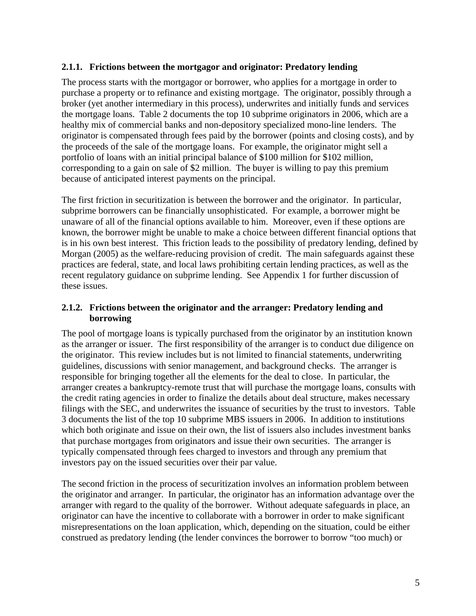#### **2.1.1. Frictions between the mortgagor and originator: Predatory lending**

The process starts with the mortgagor or borrower, who applies for a mortgage in order to purchase a property or to refinance and existing mortgage. The originator, possibly through a broker (yet another intermediary in this process), underwrites and initially funds and services the mortgage loans. Table 2 documents the top 10 subprime originators in 2006, which are a healthy mix of commercial banks and non-depository specialized mono-line lenders. The originator is compensated through fees paid by the borrower (points and closing costs), and by the proceeds of the sale of the mortgage loans. For example, the originator might sell a portfolio of loans with an initial principal balance of \$100 million for \$102 million, corresponding to a gain on sale of \$2 million. The buyer is willing to pay this premium because of anticipated interest payments on the principal.

The first friction in securitization is between the borrower and the originator. In particular, subprime borrowers can be financially unsophisticated. For example, a borrower might be unaware of all of the financial options available to him. Moreover, even if these options are known, the borrower might be unable to make a choice between different financial options that is in his own best interest. This friction leads to the possibility of predatory lending, defined by Morgan (2005) as the welfare-reducing provision of credit. The main safeguards against these practices are federal, state, and local laws prohibiting certain lending practices, as well as the recent regulatory guidance on subprime lending. See Appendix 1 for further discussion of these issues.

## **2.1.2. Frictions between the originator and the arranger: Predatory lending and borrowing**

The pool of mortgage loans is typically purchased from the originator by an institution known as the arranger or issuer. The first responsibility of the arranger is to conduct due diligence on the originator. This review includes but is not limited to financial statements, underwriting guidelines, discussions with senior management, and background checks. The arranger is responsible for bringing together all the elements for the deal to close. In particular, the arranger creates a bankruptcy-remote trust that will purchase the mortgage loans, consults with the credit rating agencies in order to finalize the details about deal structure, makes necessary filings with the SEC, and underwrites the issuance of securities by the trust to investors. Table 3 documents the list of the top 10 subprime MBS issuers in 2006. In addition to institutions which both originate and issue on their own, the list of issuers also includes investment banks that purchase mortgages from originators and issue their own securities. The arranger is typically compensated through fees charged to investors and through any premium that investors pay on the issued securities over their par value.

The second friction in the process of securitization involves an information problem between the originator and arranger. In particular, the originator has an information advantage over the arranger with regard to the quality of the borrower. Without adequate safeguards in place, an originator can have the incentive to collaborate with a borrower in order to make significant misrepresentations on the loan application, which, depending on the situation, could be either construed as predatory lending (the lender convinces the borrower to borrow "too much) or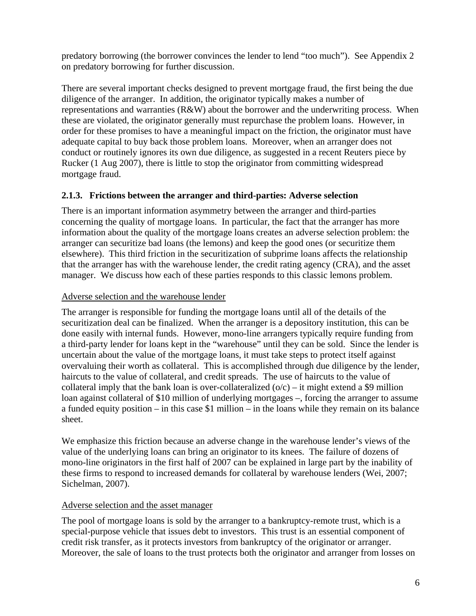predatory borrowing (the borrower convinces the lender to lend "too much"). See Appendix 2 on predatory borrowing for further discussion.

There are several important checks designed to prevent mortgage fraud, the first being the due diligence of the arranger. In addition, the originator typically makes a number of representations and warranties (R&W) about the borrower and the underwriting process. When these are violated, the originator generally must repurchase the problem loans. However, in order for these promises to have a meaningful impact on the friction, the originator must have adequate capital to buy back those problem loans. Moreover, when an arranger does not conduct or routinely ignores its own due diligence, as suggested in a recent Reuters piece by Rucker (1 Aug 2007), there is little to stop the originator from committing widespread mortgage fraud.

# **2.1.3. Frictions between the arranger and third-parties: Adverse selection**

There is an important information asymmetry between the arranger and third-parties concerning the quality of mortgage loans. In particular, the fact that the arranger has more information about the quality of the mortgage loans creates an adverse selection problem: the arranger can securitize bad loans (the lemons) and keep the good ones (or securitize them elsewhere). This third friction in the securitization of subprime loans affects the relationship that the arranger has with the warehouse lender, the credit rating agency (CRA), and the asset manager. We discuss how each of these parties responds to this classic lemons problem.

# Adverse selection and the warehouse lender

The arranger is responsible for funding the mortgage loans until all of the details of the securitization deal can be finalized. When the arranger is a depository institution, this can be done easily with internal funds. However, mono-line arrangers typically require funding from a third-party lender for loans kept in the "warehouse" until they can be sold. Since the lender is uncertain about the value of the mortgage loans, it must take steps to protect itself against overvaluing their worth as collateral. This is accomplished through due diligence by the lender, haircuts to the value of collateral, and credit spreads. The use of haircuts to the value of collateral imply that the bank loan is over-collateralized  $(o/c)$  – it might extend a \$9 million loan against collateral of \$10 million of underlying mortgages –, forcing the arranger to assume a funded equity position – in this case \$1 million – in the loans while they remain on its balance sheet.

We emphasize this friction because an adverse change in the warehouse lender's views of the value of the underlying loans can bring an originator to its knees. The failure of dozens of mono-line originators in the first half of 2007 can be explained in large part by the inability of these firms to respond to increased demands for collateral by warehouse lenders (Wei, 2007; Sichelman, 2007).

## Adverse selection and the asset manager

The pool of mortgage loans is sold by the arranger to a bankruptcy-remote trust, which is a special-purpose vehicle that issues debt to investors. This trust is an essential component of credit risk transfer, as it protects investors from bankruptcy of the originator or arranger. Moreover, the sale of loans to the trust protects both the originator and arranger from losses on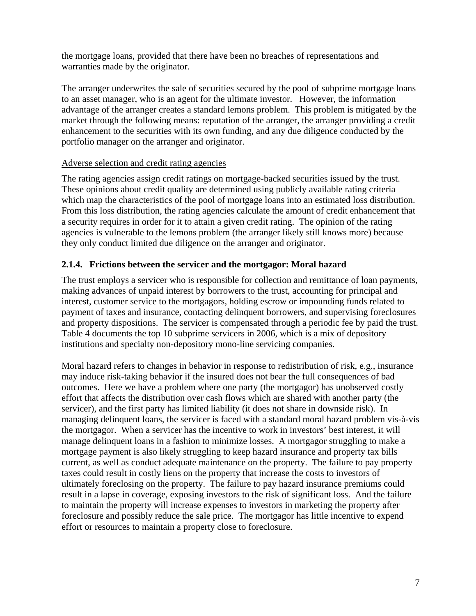the mortgage loans, provided that there have been no breaches of representations and warranties made by the originator.

The arranger underwrites the sale of securities secured by the pool of subprime mortgage loans to an asset manager, who is an agent for the ultimate investor. However, the information advantage of the arranger creates a standard lemons problem. This problem is mitigated by the market through the following means: reputation of the arranger, the arranger providing a credit enhancement to the securities with its own funding, and any due diligence conducted by the portfolio manager on the arranger and originator.

#### Adverse selection and credit rating agencies

The rating agencies assign credit ratings on mortgage-backed securities issued by the trust. These opinions about credit quality are determined using publicly available rating criteria which map the characteristics of the pool of mortgage loans into an estimated loss distribution. From this loss distribution, the rating agencies calculate the amount of credit enhancement that a security requires in order for it to attain a given credit rating. The opinion of the rating agencies is vulnerable to the lemons problem (the arranger likely still knows more) because they only conduct limited due diligence on the arranger and originator.

# **2.1.4. Frictions between the servicer and the mortgagor: Moral hazard**

The trust employs a servicer who is responsible for collection and remittance of loan payments, making advances of unpaid interest by borrowers to the trust, accounting for principal and interest, customer service to the mortgagors, holding escrow or impounding funds related to payment of taxes and insurance, contacting delinquent borrowers, and supervising foreclosures and property dispositions. The servicer is compensated through a periodic fee by paid the trust. Table 4 documents the top 10 subprime servicers in 2006, which is a mix of depository institutions and specialty non-depository mono-line servicing companies.

Moral hazard refers to changes in behavior in response to redistribution of risk, e.g., insurance may induce risk-taking behavior if the insured does not bear the full consequences of bad outcomes. Here we have a problem where one party (the mortgagor) has unobserved costly effort that affects the distribution over cash flows which are shared with another party (the servicer), and the first party has limited liability (it does not share in downside risk). In managing delinquent loans, the servicer is faced with a standard moral hazard problem vis-à-vis the mortgagor. When a servicer has the incentive to work in investors' best interest, it will manage delinquent loans in a fashion to minimize losses. A mortgagor struggling to make a mortgage payment is also likely struggling to keep hazard insurance and property tax bills current, as well as conduct adequate maintenance on the property. The failure to pay property taxes could result in costly liens on the property that increase the costs to investors of ultimately foreclosing on the property. The failure to pay hazard insurance premiums could result in a lapse in coverage, exposing investors to the risk of significant loss. And the failure to maintain the property will increase expenses to investors in marketing the property after foreclosure and possibly reduce the sale price. The mortgagor has little incentive to expend effort or resources to maintain a property close to foreclosure.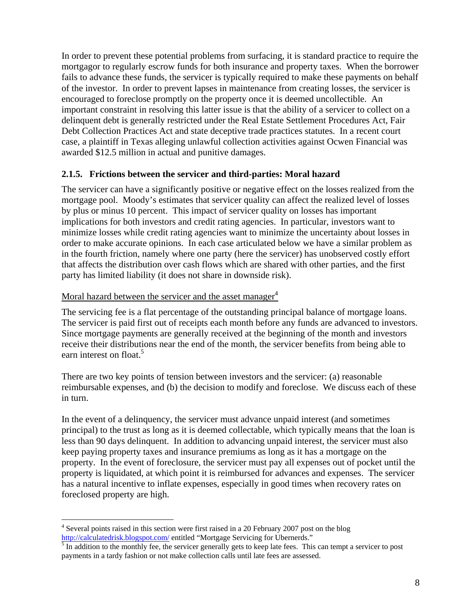In order to prevent these potential problems from surfacing, it is standard practice to require the mortgagor to regularly escrow funds for both insurance and property taxes. When the borrower fails to advance these funds, the servicer is typically required to make these payments on behalf of the investor. In order to prevent lapses in maintenance from creating losses, the servicer is encouraged to foreclose promptly on the property once it is deemed uncollectible. An important constraint in resolving this latter issue is that the ability of a servicer to collect on a delinquent debt is generally restricted under the Real Estate Settlement Procedures Act, Fair Debt Collection Practices Act and state deceptive trade practices statutes. In a recent court case, a plaintiff in Texas alleging unlawful collection activities against Ocwen Financial was awarded \$12.5 million in actual and punitive damages.

## **2.1.5. Frictions between the servicer and third-parties: Moral hazard**

The servicer can have a significantly positive or negative effect on the losses realized from the mortgage pool. Moody's estimates that servicer quality can affect the realized level of losses by plus or minus 10 percent. This impact of servicer quality on losses has important implications for both investors and credit rating agencies. In particular, investors want to minimize losses while credit rating agencies want to minimize the uncertainty about losses in order to make accurate opinions.In each case articulated below we have a similar problem as in the fourth friction, namely where one party (here the servicer) has unobserved costly effort that affects the distribution over cash flows which are shared with other parties, and the first party has limited liability (it does not share in downside risk).

#### Moral hazard between the servicer and the asset manager $<sup>4</sup>$ </sup>

The servicing fee is a flat percentage of the outstanding principal balance of mortgage loans. The servicer is paid first out of receipts each month before any funds are advanced to investors. Since mortgage payments are generally received at the beginning of the month and investors receive their distributions near the end of the month, the servicer benefits from being able to earn interest on float.<sup>5</sup>

There are two key points of tension between investors and the servicer: (a) reasonable reimbursable expenses, and (b) the decision to modify and foreclose. We discuss each of these in turn.

In the event of a delinquency, the servicer must advance unpaid interest (and sometimes principal) to the trust as long as it is deemed collectable, which typically means that the loan is less than 90 days delinquent. In addition to advancing unpaid interest, the servicer must also keep paying property taxes and insurance premiums as long as it has a mortgage on the property. In the event of foreclosure, the servicer must pay all expenses out of pocket until the property is liquidated, at which point it is reimbursed for advances and expenses. The servicer has a natural incentive to inflate expenses, especially in good times when recovery rates on foreclosed property are high.

 $\overline{a}$ 

<sup>&</sup>lt;sup>4</sup> Several points raised in this section were first raised in a 20 February 2007 post on the blog http://calculatedrisk.blogspot.com/ entitled "Mortgage Servicing for Ubernerds."

 $\frac{1}{5}$  In addition to the monthly fee, the servicer generally gets to keep late fees. This can tempt a servicer to post payments in a tardy fashion or not make collection calls until late fees are assessed.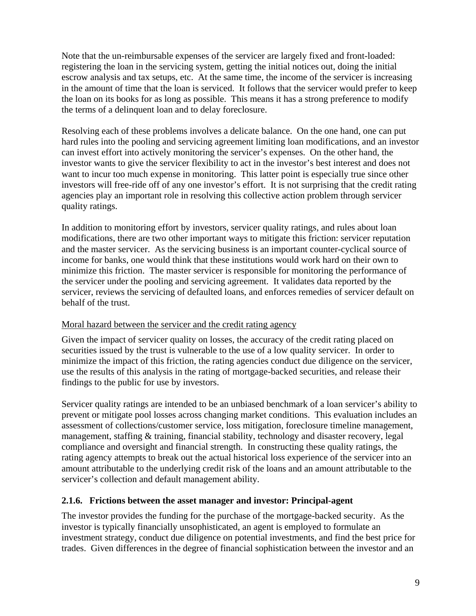Note that the un-reimbursable expenses of the servicer are largely fixed and front-loaded: registering the loan in the servicing system, getting the initial notices out, doing the initial escrow analysis and tax setups, etc. At the same time, the income of the servicer is increasing in the amount of time that the loan is serviced. It follows that the servicer would prefer to keep the loan on its books for as long as possible. This means it has a strong preference to modify the terms of a delinquent loan and to delay foreclosure.

Resolving each of these problems involves a delicate balance. On the one hand, one can put hard rules into the pooling and servicing agreement limiting loan modifications, and an investor can invest effort into actively monitoring the servicer's expenses. On the other hand, the investor wants to give the servicer flexibility to act in the investor's best interest and does not want to incur too much expense in monitoring. This latter point is especially true since other investors will free-ride off of any one investor's effort. It is not surprising that the credit rating agencies play an important role in resolving this collective action problem through servicer quality ratings.

In addition to monitoring effort by investors, servicer quality ratings, and rules about loan modifications, there are two other important ways to mitigate this friction: servicer reputation and the master servicer. As the servicing business is an important counter-cyclical source of income for banks, one would think that these institutions would work hard on their own to minimize this friction. The master servicer is responsible for monitoring the performance of the servicer under the pooling and servicing agreement. It validates data reported by the servicer, reviews the servicing of defaulted loans, and enforces remedies of servicer default on behalf of the trust.

## Moral hazard between the servicer and the credit rating agency

Given the impact of servicer quality on losses, the accuracy of the credit rating placed on securities issued by the trust is vulnerable to the use of a low quality servicer. In order to minimize the impact of this friction, the rating agencies conduct due diligence on the servicer, use the results of this analysis in the rating of mortgage-backed securities, and release their findings to the public for use by investors.

Servicer quality ratings are intended to be an unbiased benchmark of a loan servicer's ability to prevent or mitigate pool losses across changing market conditions. This evaluation includes an assessment of collections/customer service, loss mitigation, foreclosure timeline management, management, staffing & training, financial stability, technology and disaster recovery, legal compliance and oversight and financial strength. In constructing these quality ratings, the rating agency attempts to break out the actual historical loss experience of the servicer into an amount attributable to the underlying credit risk of the loans and an amount attributable to the servicer's collection and default management ability.

## **2.1.6. Frictions between the asset manager and investor: Principal-agent**

The investor provides the funding for the purchase of the mortgage-backed security. As the investor is typically financially unsophisticated, an agent is employed to formulate an investment strategy, conduct due diligence on potential investments, and find the best price for trades. Given differences in the degree of financial sophistication between the investor and an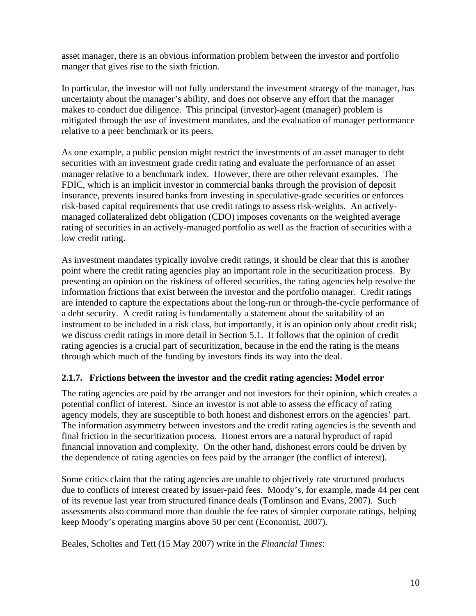asset manager, there is an obvious information problem between the investor and portfolio manger that gives rise to the sixth friction.

In particular, the investor will not fully understand the investment strategy of the manager, has uncertainty about the manager's ability, and does not observe any effort that the manager makes to conduct due diligence. This principal (investor)-agent (manager) problem is mitigated through the use of investment mandates, and the evaluation of manager performance relative to a peer benchmark or its peers.

As one example, a public pension might restrict the investments of an asset manager to debt securities with an investment grade credit rating and evaluate the performance of an asset manager relative to a benchmark index. However, there are other relevant examples. The FDIC, which is an implicit investor in commercial banks through the provision of deposit insurance, prevents insured banks from investing in speculative-grade securities or enforces risk-based capital requirements that use credit ratings to assess risk-weights. An activelymanaged collateralized debt obligation (CDO) imposes covenants on the weighted average rating of securities in an actively-managed portfolio as well as the fraction of securities with a low credit rating.

As investment mandates typically involve credit ratings, it should be clear that this is another point where the credit rating agencies play an important role in the securitization process. By presenting an opinion on the riskiness of offered securities, the rating agencies help resolve the information frictions that exist between the investor and the portfolio manager. Credit ratings are intended to capture the expectations about the long-run or through-the-cycle performance of a debt security. A credit rating is fundamentally a statement about the suitability of an instrument to be included in a risk class, but importantly, it is an opinion only about credit risk; we discuss credit ratings in more detail in Section 5.1. It follows that the opinion of credit rating agencies is a crucial part of securitization, because in the end the rating is the means through which much of the funding by investors finds its way into the deal.

## **2.1.7. Frictions between the investor and the credit rating agencies: Model error**

The rating agencies are paid by the arranger and not investors for their opinion, which creates a potential conflict of interest. Since an investor is not able to assess the efficacy of rating agency models, they are susceptible to both honest and dishonest errors on the agencies' part. The information asymmetry between investors and the credit rating agencies is the seventh and final friction in the securitization process. Honest errors are a natural byproduct of rapid financial innovation and complexity. On the other hand, dishonest errors could be driven by the dependence of rating agencies on fees paid by the arranger (the conflict of interest).

Some critics claim that the rating agencies are unable to objectively rate structured products due to conflicts of interest created by issuer-paid fees. Moody's, for example, made 44 per cent of its revenue last year from structured finance deals (Tomlinson and Evans, 2007). Such assessments also command more than double the fee rates of simpler corporate ratings, helping keep Moody's operating margins above 50 per cent (Economist, 2007).

Beales, Scholtes and Tett (15 May 2007) write in the *Financial Times*: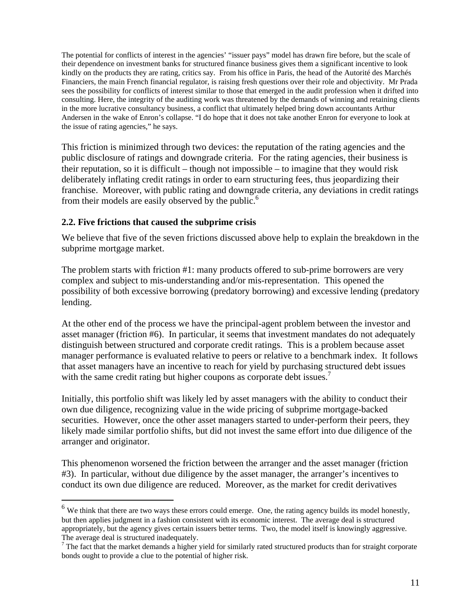The potential for conflicts of interest in the agencies' "issuer pays" model has drawn fire before, but the scale of their dependence on investment banks for structured finance business gives them a significant incentive to look kindly on the products they are rating, critics say. From his office in Paris, the head of the Autorité des Marchés Financiers, the main French financial regulator, is raising fresh questions over their role and objectivity. Mr Prada sees the possibility for conflicts of interest similar to those that emerged in the audit profession when it drifted into consulting. Here, the integrity of the auditing work was threatened by the demands of winning and retaining clients in the more lucrative consultancy business, a conflict that ultimately helped bring down accountants Arthur Andersen in the wake of Enron's collapse. "I do hope that it does not take another Enron for everyone to look at the issue of rating agencies," he says.

This friction is minimized through two devices: the reputation of the rating agencies and the public disclosure of ratings and downgrade criteria. For the rating agencies, their business is their reputation, so it is difficult – though not impossible – to imagine that they would risk deliberately inflating credit ratings in order to earn structuring fees, thus jeopardizing their franchise. Moreover, with public rating and downgrade criteria, any deviations in credit ratings from their models are easily observed by the public.<sup>6</sup>

## **2.2. Five frictions that caused the subprime crisis**

 $\overline{a}$ 

We believe that five of the seven frictions discussed above help to explain the breakdown in the subprime mortgage market.

The problem starts with friction #1: many products offered to sub-prime borrowers are very complex and subject to mis-understanding and/or mis-representation. This opened the possibility of both excessive borrowing (predatory borrowing) and excessive lending (predatory lending.

At the other end of the process we have the principal-agent problem between the investor and asset manager (friction #6). In particular, it seems that investment mandates do not adequately distinguish between structured and corporate credit ratings. This is a problem because asset manager performance is evaluated relative to peers or relative to a benchmark index. It follows that asset managers have an incentive to reach for yield by purchasing structured debt issues with the same credit rating but higher coupons as corporate debt issues.<sup>7</sup>

Initially, this portfolio shift was likely led by asset managers with the ability to conduct their own due diligence, recognizing value in the wide pricing of subprime mortgage-backed securities. However, once the other asset managers started to under-perform their peers, they likely made similar portfolio shifts, but did not invest the same effort into due diligence of the arranger and originator.

This phenomenon worsened the friction between the arranger and the asset manager (friction #3). In particular, without due diligence by the asset manager, the arranger's incentives to conduct its own due diligence are reduced. Moreover, as the market for credit derivatives

 $<sup>6</sup>$  We think that there are two ways these errors could emerge. One, the rating agency builds its model honestly,</sup> but then applies judgment in a fashion consistent with its economic interest. The average deal is structured appropriately, but the agency gives certain issuers better terms. Two, the model itself is knowingly aggressive. The average deal is structured inadequately.

 $<sup>7</sup>$  The fact that the market demands a higher yield for similarly rated structured products than for straight corporate</sup> bonds ought to provide a clue to the potential of higher risk.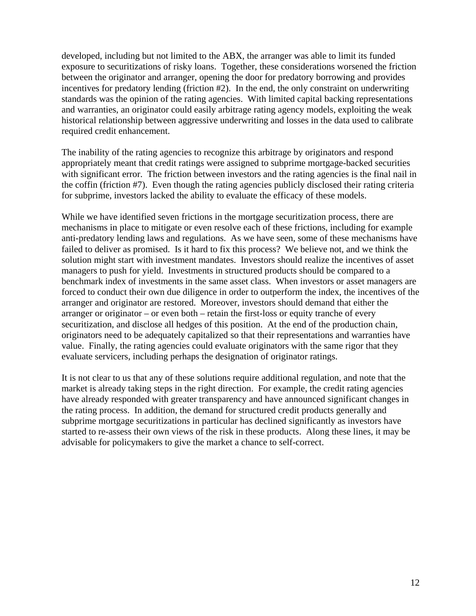developed, including but not limited to the ABX, the arranger was able to limit its funded exposure to securitizations of risky loans. Together, these considerations worsened the friction between the originator and arranger, opening the door for predatory borrowing and provides incentives for predatory lending (friction #2). In the end, the only constraint on underwriting standards was the opinion of the rating agencies. With limited capital backing representations and warranties, an originator could easily arbitrage rating agency models, exploiting the weak historical relationship between aggressive underwriting and losses in the data used to calibrate required credit enhancement.

The inability of the rating agencies to recognize this arbitrage by originators and respond appropriately meant that credit ratings were assigned to subprime mortgage-backed securities with significant error. The friction between investors and the rating agencies is the final nail in the coffin (friction #7). Even though the rating agencies publicly disclosed their rating criteria for subprime, investors lacked the ability to evaluate the efficacy of these models.

While we have identified seven frictions in the mortgage securitization process, there are mechanisms in place to mitigate or even resolve each of these frictions, including for example anti-predatory lending laws and regulations. As we have seen, some of these mechanisms have failed to deliver as promised. Is it hard to fix this process? We believe not, and we think the solution might start with investment mandates. Investors should realize the incentives of asset managers to push for yield. Investments in structured products should be compared to a benchmark index of investments in the same asset class. When investors or asset managers are forced to conduct their own due diligence in order to outperform the index, the incentives of the arranger and originator are restored. Moreover, investors should demand that either the arranger or originator – or even both – retain the first-loss or equity tranche of every securitization, and disclose all hedges of this position. At the end of the production chain, originators need to be adequately capitalized so that their representations and warranties have value. Finally, the rating agencies could evaluate originators with the same rigor that they evaluate servicers, including perhaps the designation of originator ratings.

It is not clear to us that any of these solutions require additional regulation, and note that the market is already taking steps in the right direction. For example, the credit rating agencies have already responded with greater transparency and have announced significant changes in the rating process. In addition, the demand for structured credit products generally and subprime mortgage securitizations in particular has declined significantly as investors have started to re-assess their own views of the risk in these products. Along these lines, it may be advisable for policymakers to give the market a chance to self-correct.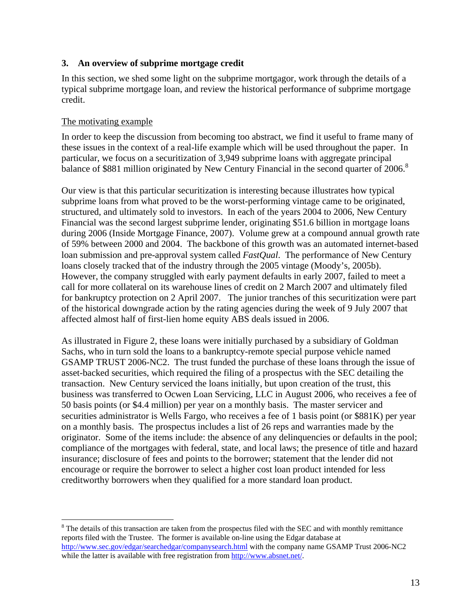#### **3. An overview of subprime mortgage credit**

In this section, we shed some light on the subprime mortgagor, work through the details of a typical subprime mortgage loan, and review the historical performance of subprime mortgage credit.

#### The motivating example

 $\overline{a}$ 

In order to keep the discussion from becoming too abstract, we find it useful to frame many of these issues in the context of a real-life example which will be used throughout the paper. In particular, we focus on a securitization of 3,949 subprime loans with aggregate principal balance of \$881 million originated by New Century Financial in the second quarter of 2006.<sup>8</sup>

Our view is that this particular securitization is interesting because illustrates how typical subprime loans from what proved to be the worst-performing vintage came to be originated, structured, and ultimately sold to investors. In each of the years 2004 to 2006, New Century Financial was the second largest subprime lender, originating \$51.6 billion in mortgage loans during 2006 (Inside Mortgage Finance, 2007). Volume grew at a compound annual growth rate of 59% between 2000 and 2004. The backbone of this growth was an automated internet-based loan submission and pre-approval system called *FastQual*. The performance of New Century loans closely tracked that of the industry through the 2005 vintage (Moody's, 2005b). However, the company struggled with early payment defaults in early 2007, failed to meet a call for more collateral on its warehouse lines of credit on 2 March 2007 and ultimately filed for bankruptcy protection on 2 April 2007. The junior tranches of this securitization were part of the historical downgrade action by the rating agencies during the week of 9 July 2007 that affected almost half of first-lien home equity ABS deals issued in 2006.

As illustrated in Figure 2, these loans were initially purchased by a subsidiary of Goldman Sachs, who in turn sold the loans to a bankruptcy-remote special purpose vehicle named GSAMP TRUST 2006-NC2. The trust funded the purchase of these loans through the issue of asset-backed securities, which required the filing of a prospectus with the SEC detailing the transaction. New Century serviced the loans initially, but upon creation of the trust, this business was transferred to Ocwen Loan Servicing, LLC in August 2006, who receives a fee of 50 basis points (or \$4.4 million) per year on a monthly basis. The master servicer and securities administrator is Wells Fargo, who receives a fee of 1 basis point (or \$881K) per year on a monthly basis. The prospectus includes a list of 26 reps and warranties made by the originator. Some of the items include: the absence of any delinquencies or defaults in the pool; compliance of the mortgages with federal, state, and local laws; the presence of title and hazard insurance; disclosure of fees and points to the borrower; statement that the lender did not encourage or require the borrower to select a higher cost loan product intended for less creditworthy borrowers when they qualified for a more standard loan product.

 $8$  The details of this transaction are taken from the prospectus filed with the SEC and with monthly remittance reports filed with the Trustee. The former is available on-line using the Edgar database at http://www.sec.gov/edgar/searchedgar/companysearch.html with the company name GSAMP Trust 2006-NC2 while the latter is available with free registration from http://www.absnet.net/.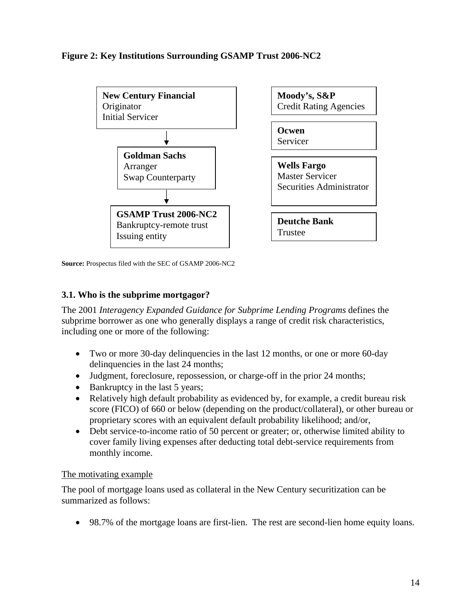# **Figure 2: Key Institutions Surrounding GSAMP Trust 2006-NC2**





**Deutche Bank**  Trustee

**Source:** Prospectus filed with the SEC of GSAMP 2006-NC2

#### **3.1. Who is the subprime mortgagor?**

The 2001 *Interagency Expanded Guidance for Subprime Lending Programs* defines the subprime borrower as one who generally displays a range of credit risk characteristics, including one or more of the following:

- Two or more 30-day delinquencies in the last 12 months, or one or more 60-day delinquencies in the last 24 months;
- Judgment, foreclosure, repossession, or charge-off in the prior 24 months;
- Bankruptcy in the last 5 years;
- Relatively high default probability as evidenced by, for example, a credit bureau risk score (FICO) of 660 or below (depending on the product/collateral), or other bureau or proprietary scores with an equivalent default probability likelihood; and/or,
- Debt service-to-income ratio of 50 percent or greater; or, otherwise limited ability to cover family living expenses after deducting total debt-service requirements from monthly income.

#### The motivating example

The pool of mortgage loans used as collateral in the New Century securitization can be summarized as follows:

• 98.7% of the mortgage loans are first-lien. The rest are second-lien home equity loans.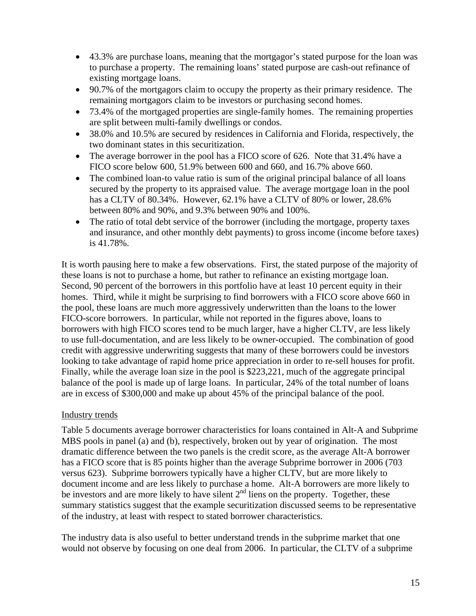- 43.3% are purchase loans, meaning that the mortgagor's stated purpose for the loan was to purchase a property. The remaining loans' stated purpose are cash-out refinance of existing mortgage loans.
- 90.7% of the mortgagors claim to occupy the property as their primary residence. The remaining mortgagors claim to be investors or purchasing second homes.
- 73.4% of the mortgaged properties are single-family homes. The remaining properties are split between multi-family dwellings or condos.
- 38.0% and 10.5% are secured by residences in California and Florida, respectively, the two dominant states in this securitization.
- The average borrower in the pool has a FICO score of 626. Note that 31.4% have a FICO score below 600, 51.9% between 600 and 660, and 16.7% above 660.
- The combined loan-to value ratio is sum of the original principal balance of all loans secured by the property to its appraised value. The average mortgage loan in the pool has a CLTV of 80.34%. However, 62.1% have a CLTV of 80% or lower, 28.6% between 80% and 90%, and 9.3% between 90% and 100%.
- The ratio of total debt service of the borrower (including the mortgage, property taxes and insurance, and other monthly debt payments) to gross income (income before taxes) is 41.78%.

It is worth pausing here to make a few observations. First, the stated purpose of the majority of these loans is not to purchase a home, but rather to refinance an existing mortgage loan. Second, 90 percent of the borrowers in this portfolio have at least 10 percent equity in their homes. Third, while it might be surprising to find borrowers with a FICO score above 660 in the pool, these loans are much more aggressively underwritten than the loans to the lower FICO-score borrowers. In particular, while not reported in the figures above, loans to borrowers with high FICO scores tend to be much larger, have a higher CLTV, are less likely to use full-documentation, and are less likely to be owner-occupied. The combination of good credit with aggressive underwriting suggests that many of these borrowers could be investors looking to take advantage of rapid home price appreciation in order to re-sell houses for profit. Finally, while the average loan size in the pool is \$223,221, much of the aggregate principal balance of the pool is made up of large loans. In particular, 24% of the total number of loans are in excess of \$300,000 and make up about 45% of the principal balance of the pool.

## Industry trends

Table 5 documents average borrower characteristics for loans contained in Alt-A and Subprime MBS pools in panel (a) and (b), respectively, broken out by year of origination. The most dramatic difference between the two panels is the credit score, as the average Alt-A borrower has a FICO score that is 85 points higher than the average Subprime borrower in 2006 (703 versus 623). Subprime borrowers typically have a higher CLTV, but are more likely to document income and are less likely to purchase a home. Alt-A borrowers are more likely to be investors and are more likely to have silent  $2<sup>nd</sup>$  liens on the property. Together, these summary statistics suggest that the example securitization discussed seems to be representative of the industry, at least with respect to stated borrower characteristics.

The industry data is also useful to better understand trends in the subprime market that one would not observe by focusing on one deal from 2006. In particular, the CLTV of a subprime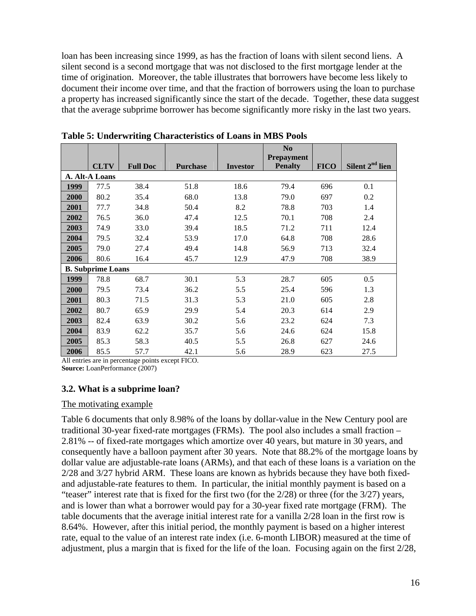loan has been increasing since 1999, as has the fraction of loans with silent second liens. A silent second is a second mortgage that was not disclosed to the first mortgage lender at the time of origination. Moreover, the table illustrates that borrowers have become less likely to document their income over time, and that the fraction of borrowers using the loan to purchase a property has increased significantly since the start of the decade. Together, these data suggest that the average subprime borrower has become significantly more risky in the last two years.

|      |                          |                 |                 |                 | N <sub>0</sub>    |             |                   |
|------|--------------------------|-----------------|-----------------|-----------------|-------------------|-------------|-------------------|
|      |                          |                 |                 |                 | <b>Prepayment</b> |             |                   |
|      | <b>CLTV</b>              | <b>Full Doc</b> | <b>Purchase</b> | <b>Investor</b> | <b>Penalty</b>    | <b>FICO</b> | Silent $2nd$ lien |
|      | A. Alt-A Loans           |                 |                 |                 |                   |             |                   |
| 1999 | 77.5                     | 38.4            | 51.8            | 18.6            | 79.4              | 696         | 0.1               |
| 2000 | 80.2                     | 35.4            | 68.0            | 13.8            | 79.0              | 697         | 0.2               |
| 2001 | 77.7                     | 34.8            | 50.4            | 8.2             | 78.8              | 703         | 1.4               |
| 2002 | 76.5                     | 36.0            | 47.4            | 12.5            | 70.1              | 708         | 2.4               |
| 2003 | 74.9                     | 33.0            | 39.4            | 18.5            | 71.2              | 711         | 12.4              |
| 2004 | 79.5                     | 32.4            | 53.9            | 17.0            | 64.8              | 708         | 28.6              |
| 2005 | 79.0                     | 27.4            | 49.4            | 14.8            | 56.9              | 713         | 32.4              |
| 2006 | 80.6                     | 16.4            | 45.7            | 12.9            | 47.9              | 708         | 38.9              |
|      | <b>B. Subprime Loans</b> |                 |                 |                 |                   |             |                   |
| 1999 | 78.8                     | 68.7            | 30.1            | 5.3             | 28.7              | 605         | 0.5               |
| 2000 | 79.5                     | 73.4            | 36.2            | 5.5             | 25.4              | 596         | 1.3               |
| 2001 | 80.3                     | 71.5            | 31.3            | 5.3             | 21.0              | 605         | 2.8               |
| 2002 | 80.7                     | 65.9            | 29.9            | 5.4             | 20.3              | 614         | 2.9               |
| 2003 | 82.4                     | 63.9            | 30.2            | 5.6             | 23.2              | 624         | 7.3               |
| 2004 | 83.9                     | 62.2            | 35.7            | 5.6             | 24.6              | 624         | 15.8              |
| 2005 | 85.3                     | 58.3            | 40.5            | 5.5             | 26.8              | 627         | 24.6              |
| 2006 | 85.5                     | 57.7            | 42.1            | 5.6             | 28.9              | 623         | 27.5              |

**Table 5: Underwriting Characteristics of Loans in MBS Pools** 

All entries are in percentage points except FICO.

**Source:** LoanPerformance (2007)

# **3.2. What is a subprime loan?**

## The motivating example

Table 6 documents that only 8.98% of the loans by dollar-value in the New Century pool are traditional 30-year fixed-rate mortgages (FRMs). The pool also includes a small fraction – 2.81% -- of fixed-rate mortgages which amortize over 40 years, but mature in 30 years, and consequently have a balloon payment after 30 years. Note that 88.2% of the mortgage loans by dollar value are adjustable-rate loans (ARMs), and that each of these loans is a variation on the 2/28 and 3/27 hybrid ARM. These loans are known as hybrids because they have both fixedand adjustable-rate features to them. In particular, the initial monthly payment is based on a "teaser" interest rate that is fixed for the first two (for the 2/28) or three (for the 3/27) years, and is lower than what a borrower would pay for a 30-year fixed rate mortgage (FRM). The table documents that the average initial interest rate for a vanilla 2/28 loan in the first row is 8.64%. However, after this initial period, the monthly payment is based on a higher interest rate, equal to the value of an interest rate index (i.e. 6-month LIBOR) measured at the time of adjustment, plus a margin that is fixed for the life of the loan. Focusing again on the first 2/28,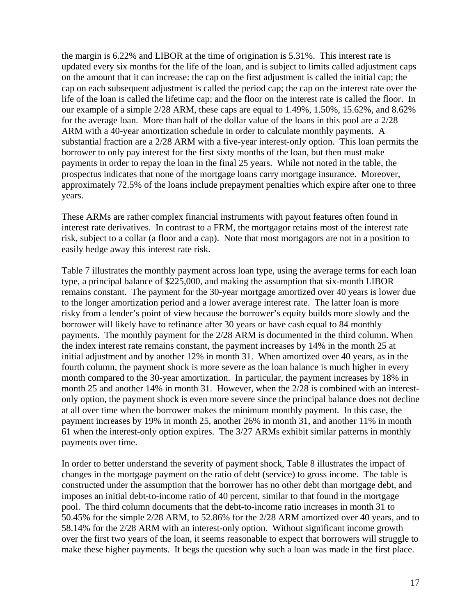the margin is 6.22% and LIBOR at the time of origination is 5.31%. This interest rate is updated every six months for the life of the loan, and is subject to limits called adjustment caps on the amount that it can increase: the cap on the first adjustment is called the initial cap; the cap on each subsequent adjustment is called the period cap; the cap on the interest rate over the life of the loan is called the lifetime cap; and the floor on the interest rate is called the floor. In our example of a simple 2/28 ARM, these caps are equal to 1.49%, 1.50%, 15.62%, and 8.62% for the average loan. More than half of the dollar value of the loans in this pool are a 2/28 ARM with a 40-year amortization schedule in order to calculate monthly payments. A substantial fraction are a 2/28 ARM with a five-year interest-only option. This loan permits the borrower to only pay interest for the first sixty months of the loan, but then must make payments in order to repay the loan in the final 25 years. While not noted in the table, the prospectus indicates that none of the mortgage loans carry mortgage insurance. Moreover, approximately 72.5% of the loans include prepayment penalties which expire after one to three years.

These ARMs are rather complex financial instruments with payout features often found in interest rate derivatives. In contrast to a FRM, the mortgagor retains most of the interest rate risk, subject to a collar (a floor and a cap). Note that most mortgagors are not in a position to easily hedge away this interest rate risk.

Table 7 illustrates the monthly payment across loan type, using the average terms for each loan type, a principal balance of \$225,000, and making the assumption that six-month LIBOR remains constant. The payment for the 30-year mortgage amortized over 40 years is lower due to the longer amortization period and a lower average interest rate. The latter loan is more risky from a lender's point of view because the borrower's equity builds more slowly and the borrower will likely have to refinance after 30 years or have cash equal to 84 monthly payments. The monthly payment for the 2/28 ARM is documented in the third column. When the index interest rate remains constant, the payment increases by 14% in the month 25 at initial adjustment and by another 12% in month 31. When amortized over 40 years, as in the fourth column, the payment shock is more severe as the loan balance is much higher in every month compared to the 30-year amortization. In particular, the payment increases by 18% in month 25 and another 14% in month 31. However, when the 2/28 is combined with an interestonly option, the payment shock is even more severe since the principal balance does not decline at all over time when the borrower makes the minimum monthly payment. In this case, the payment increases by 19% in month 25, another 26% in month 31, and another 11% in month 61 when the interest-only option expires. The 3/27 ARMs exhibit similar patterns in monthly payments over time.

In order to better understand the severity of payment shock, Table 8 illustrates the impact of changes in the mortgage payment on the ratio of debt (service) to gross income. The table is constructed under the assumption that the borrower has no other debt than mortgage debt, and imposes an initial debt-to-income ratio of 40 percent, similar to that found in the mortgage pool. The third column documents that the debt-to-income ratio increases in month 31 to 50.45% for the simple 2/28 ARM, to 52.86% for the 2/28 ARM amortized over 40 years, and to 58.14% for the 2/28 ARM with an interest-only option. Without significant income growth over the first two years of the loan, it seems reasonable to expect that borrowers will struggle to make these higher payments. It begs the question why such a loan was made in the first place.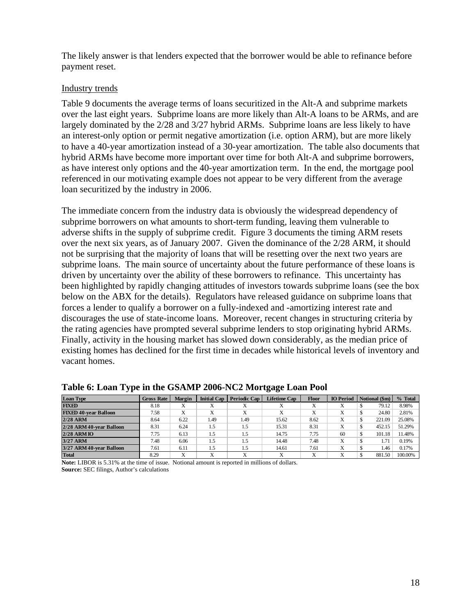The likely answer is that lenders expected that the borrower would be able to refinance before payment reset.

#### Industry trends

Table 9 documents the average terms of loans securitized in the Alt-A and subprime markets over the last eight years. Subprime loans are more likely than Alt-A loans to be ARMs, and are largely dominated by the 2/28 and 3/27 hybrid ARMs. Subprime loans are less likely to have an interest-only option or permit negative amortization (i.e. option ARM), but are more likely to have a 40-year amortization instead of a 30-year amortization. The table also documents that hybrid ARMs have become more important over time for both Alt-A and subprime borrowers, as have interest only options and the 40-year amortization term. In the end, the mortgage pool referenced in our motivating example does not appear to be very different from the average loan securitized by the industry in 2006.

The immediate concern from the industry data is obviously the widespread dependency of subprime borrowers on what amounts to short-term funding, leaving them vulnerable to adverse shifts in the supply of subprime credit. Figure 3 documents the timing ARM resets over the next six years, as of January 2007. Given the dominance of the 2/28 ARM, it should not be surprising that the majority of loans that will be resetting over the next two years are subprime loans. The main source of uncertainty about the future performance of these loans is driven by uncertainty over the ability of these borrowers to refinance. This uncertainty has been highlighted by rapidly changing attitudes of investors towards subprime loans (see the box below on the ABX for the details). Regulators have released guidance on subprime loans that forces a lender to qualify a borrower on a fully-indexed and -amortizing interest rate and discourages the use of state-income loans. Moreover, recent changes in structuring criteria by the rating agencies have prompted several subprime lenders to stop originating hybrid ARMs. Finally, activity in the housing market has slowed down considerably, as the median price of existing homes has declined for the first time in decades while historical levels of inventory and vacant homes.

| Loan Type                    | <b>Gross Rate</b> | <b>Margin</b> | <b>Initial Cap</b> | <b>Periodic Cap</b> | <b>Lifetime Cap</b> | Floor | <b>IO</b> Period | Notional (\$m) | % Total |
|------------------------------|-------------------|---------------|--------------------|---------------------|---------------------|-------|------------------|----------------|---------|
| <b>FIXED</b>                 | 8.18              | л             | ⋏                  |                     |                     |       |                  | 79.12          | 8.98%   |
| <b>FIXED 40-year Balloon</b> | 7.58              | X             | X                  | X                   | X                   | A     |                  | 24.80          | 2.81%   |
| <b>2/28 ARM</b>              | 8.64              | 6.22          | 1.49               | 1.49                | 15.62               | 8.62  |                  | 221.09         | 25.08%  |
| 2/28 ARM 40-year Balloon     | 8.31              | 6.24          | 1.5                | 1.5                 | 15.31               | 8.31  |                  | 452.15         | 51.29%  |
| $2/28$ ARMIO                 | 7.75              | 6.13          | 1.5                | 1.5                 | 14.75               | 7.75  | 60               | 101.18         | 1.48%   |
| 3/27 ARM                     | 7.48              | 6.06          | 1.5                | 1.5                 | 14.48               | 7.48  |                  | 1.71           | 0.19%   |
| 3/27 ARM 40-year Balloon     | 7.61              | 6.11          | 1.5                | 1.5                 | 14.61               | 7.61  |                  | 1.46           | 0.17%   |
| <b>Total</b>                 | 8.29              | л             |                    | X                   |                     |       |                  | 881.50         | 100.00% |

**Table 6: Loan Type in the GSAMP 2006-NC2 Mortgage Loan Pool** 

**Note:** LIBOR is 5.31% at the time of issue. Notional amount is reported in millions of dollars. **Source:** SEC filings, Author's calculations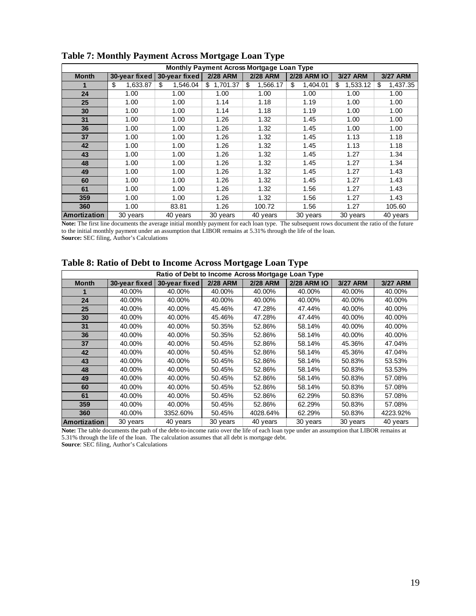|                     |                |                |                 | <b>Monthly Payment Across Mortgage Loan Type</b> |                    |                 |                 |
|---------------------|----------------|----------------|-----------------|--------------------------------------------------|--------------------|-----------------|-----------------|
| <b>Month</b>        | 30-year fixed  | 30-year fixed  | <b>2/28 ARM</b> | <b>2/28 ARM</b>                                  | <b>2/28 ARM IO</b> | <b>3/27 ARM</b> | <b>3/27 ARM</b> |
|                     | \$<br>1,633.87 | \$<br>1.546.04 | \$1,701.37      | 1,566.17<br>\$.                                  | \$<br>1,404.01     | 1.533.12<br>\$. | -\$<br>1,437.35 |
| 24                  | 1.00           | 1.00           | 1.00            | 1.00                                             | 1.00               | 1.00            | 1.00            |
| 25                  | 1.00           | 1.00           | 1.14            | 1.18                                             | 1.19               | 1.00            | 1.00            |
| 30                  | 1.00           | 1.00           | 1.14            | 1.18                                             | 1.19               | 1.00            | 1.00            |
| 31                  | 1.00           | 1.00           | 1.26            | 1.32                                             | 1.45               | 1.00            | 1.00            |
| 36                  | 1.00           | 1.00           | 1.26            | 1.32                                             | 1.45               | 1.00            | 1.00            |
| 37                  | 1.00           | 1.00           | 1.26            | 1.32                                             | 1.45               | 1.13            | 1.18            |
| 42                  | 1.00           | 1.00           | 1.26            | 1.32                                             | 1.45               | 1.13            | 1.18            |
| 43                  | 1.00           | 1.00           | 1.26            | 1.32                                             | 1.45               | 1.27            | 1.34            |
| 48                  | 1.00           | 1.00           | 1.26            | 1.32                                             | 1.45               | 1.27            | 1.34            |
| 49                  | 1.00           | 1.00           | 1.26            | 1.32                                             | 1.45               | 1.27            | 1.43            |
| 60                  | 1.00           | 1.00           | 1.26            | 1.32                                             | 1.45               | 1.27            | 1.43            |
| 61                  | 1.00           | 1.00           | 1.26            | 1.32                                             | 1.56               | 1.27            | 1.43            |
| 359                 | 1.00           | 1.00           | 1.26            | 1.32                                             | 1.56               | 1.27            | 1.43            |
| 360                 | 1.00           | 83.81          | 1.26            | 100.72                                           | 1.56               | 1.27            | 105.60          |
| <b>Amortization</b> | 30 years       | 40 years       | 30 years        | 40 years                                         | 30 years           | 30 years        | 40 years        |

**Table 7: Monthly Payment Across Mortgage Loan Type** 

**Note:** The first line documents the average initial monthly payment for each loan type. The subsequent rows document the ratio of the future to the initial monthly payment under an assumption that LIBOR remains at 5.31% through the life of the loan. **Source:** SEC filing, Author's Calculations

#### **Table 8: Ratio of Debt to Income Across Mortgage Loan Type**

|                     |               | Ratio of Debt to Income Across Mortgage Loan Type |                 |                 |                    |                 |                 |
|---------------------|---------------|---------------------------------------------------|-----------------|-----------------|--------------------|-----------------|-----------------|
| <b>Month</b>        | 30-year fixed | 30-year fixed                                     | <b>2/28 ARM</b> | <b>2/28 ARM</b> | <b>2/28 ARM IO</b> | <b>3/27 ARM</b> | <b>3/27 ARM</b> |
|                     | 40.00%        | 40.00%                                            | 40.00%          | 40.00%          | 40.00%             | 40.00%          | 40.00%          |
| 24                  | 40.00%        | 40.00%                                            | 40.00%          | 40.00%          | 40.00%             | 40.00%          | 40.00%          |
| 25                  | 40.00%        | 40.00%                                            | 45.46%          | 47.28%          | 47.44%             | 40.00%          | 40.00%          |
| 30                  | 40.00%        | 40.00%                                            | 45.46%          | 47.28%          | 47.44%             | 40.00%          | 40.00%          |
| 31                  | 40.00%        | 40.00%                                            | 50.35%          | 52.86%          | 58.14%             | 40.00%          | 40.00%          |
| 36                  | 40.00%        | 40.00%                                            | 50.35%          | 52.86%          | 58.14%             | 40.00%          | 40.00%          |
| 37                  | 40.00%        | 40.00%                                            | 50.45%          | 52.86%          | 58.14%             | 45.36%          | 47.04%          |
| 42                  | 40.00%        | 40.00%                                            | 50.45%          | 52.86%          | 58.14%             | 45.36%          | 47.04%          |
| 43                  | 40.00%        | 40.00%                                            | 50.45%          | 52.86%          | 58.14%             | 50.83%          | 53.53%          |
| 48                  | 40.00%        | 40.00%                                            | 50.45%          | 52.86%          | 58.14%             | 50.83%          | 53.53%          |
| 49                  | 40.00%        | 40.00%                                            | 50.45%          | 52.86%          | 58.14%             | 50.83%          | 57.08%          |
| 60                  | 40.00%        | 40.00%                                            | 50.45%          | 52.86%          | 58.14%             | 50.83%          | 57.08%          |
| 61                  | 40.00%        | 40.00%                                            | 50.45%          | 52.86%          | 62.29%             | 50.83%          | 57.08%          |
| 359                 | 40.00%        | 40.00%                                            | 50.45%          | 52.86%          | 62.29%             | 50.83%          | 57.08%          |
| 360                 | 40.00%        | 3352.60%                                          | 50.45%          | 4028.64%        | 62.29%             | 50.83%          | 4223.92%        |
| <b>Amortization</b> | 30 years      | 40 years                                          | 30 years        | 40 years        | 30 years           | 30 years        | 40 years        |

**Note:** The table documents the path of the debt-to-income ratio over the life of each loan type under an assumption that LIBOR remains at 5.31% through the life of the loan. The calculation assumes that all debt is mortgage debt.

**Source**: SEC filing, Author's Calculations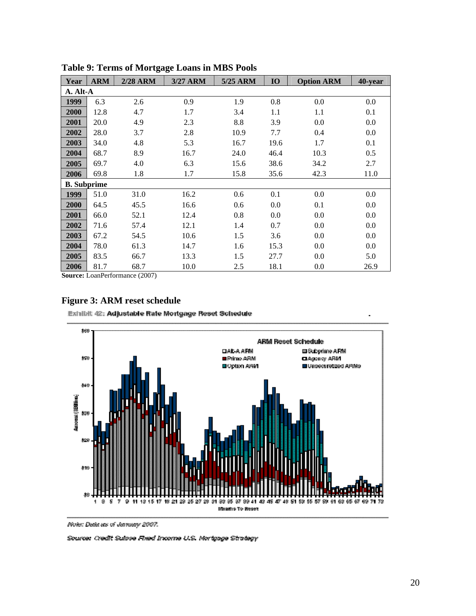| Year     | <b>ARM</b>         | <b>2/28 ARM</b> | 3/27 ARM | 5/25 ARM | <b>IO</b> | <b>Option ARM</b> | 40-year |
|----------|--------------------|-----------------|----------|----------|-----------|-------------------|---------|
| A. Alt-A |                    |                 |          |          |           |                   |         |
| 1999     | 6.3                | 2.6             | 0.9      | 1.9      | 0.8       | 0.0               | 0.0     |
| 2000     | 12.8               | 4.7             | 1.7      | 3.4      | 1.1       | 1.1               | 0.1     |
| 2001     | 20.0               | 4.9             | 2.3      | 8.8      | 3.9       | 0.0               | 0.0     |
| 2002     | 28.0               | 3.7             | 2.8      | 10.9     | 7.7       | 0.4               | 0.0     |
| 2003     | 34.0               | 4.8             | 5.3      | 16.7     | 19.6      | 1.7               | 0.1     |
| 2004     | 68.7               | 8.9             | 16.7     | 24.0     | 46.4      | 10.3              | 0.5     |
| 2005     | 69.7               | 4.0             | 6.3      | 15.6     | 38.6      | 34.2              | 2.7     |
| 2006     | 69.8               | 1.8             | 1.7      | 15.8     | 35.6      | 42.3              | 11.0    |
|          | <b>B.</b> Subprime |                 |          |          |           |                   |         |
| 1999     | 51.0               | 31.0            | 16.2     | 0.6      | 0.1       | 0.0               | $0.0\,$ |
| 2000     | 64.5               | 45.5            | 16.6     | 0.6      | 0.0       | 0.1               | 0.0     |
| 2001     | 66.0               | 52.1            | 12.4     | 0.8      | 0.0       | 0.0               | 0.0     |
| 2002     | 71.6               | 57.4            | 12.1     | 1.4      | 0.7       | 0.0               | 0.0     |
| 2003     | 67.2               | 54.5            | 10.6     | 1.5      | 3.6       | 0.0               | 0.0     |
| 2004     | 78.0               | 61.3            | 14.7     | 1.6      | 15.3      | 0.0               | $0.0\,$ |
| 2005     | 83.5               | 66.7            | 13.3     | 1.5      | 27.7      | 0.0               | 5.0     |
| 2006     | 81.7               | 68.7            | 10.0     | 2.5      | 18.1      | 0.0               | 26.9    |

**Table 9: Terms of Mortgage Loans in MBS Pools** 

**Source:** LoanPerformance (2007)

#### **Figure 3: ARM reset schedule**

Exhibit 42: Adjustable Rate Mortgage Reset Schedule



Notes: Data as of January 2007.

Source: Credit Sulcoe Fixed Income U.S. Mortgage Strategy

 $\ddot{\phantom{a}}$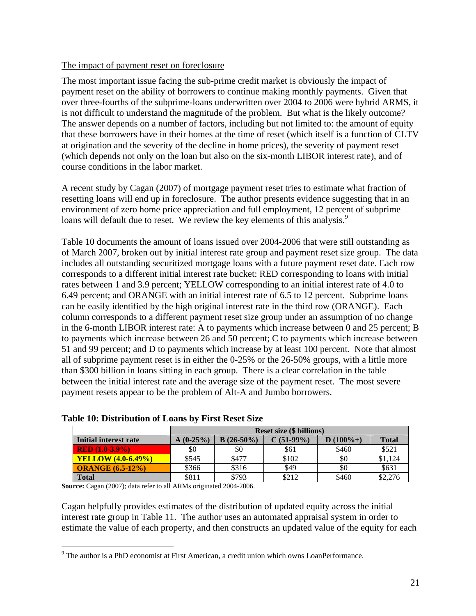#### The impact of payment reset on foreclosure

The most important issue facing the sub-prime credit market is obviously the impact of payment reset on the ability of borrowers to continue making monthly payments. Given that over three-fourths of the subprime-loans underwritten over 2004 to 2006 were hybrid ARMS, it is not difficult to understand the magnitude of the problem. But what is the likely outcome? The answer depends on a number of factors, including but not limited to: the amount of equity that these borrowers have in their homes at the time of reset (which itself is a function of CLTV at origination and the severity of the decline in home prices), the severity of payment reset (which depends not only on the loan but also on the six-month LIBOR interest rate), and of course conditions in the labor market.

A recent study by Cagan (2007) of mortgage payment reset tries to estimate what fraction of resetting loans will end up in foreclosure. The author presents evidence suggesting that in an environment of zero home price appreciation and full employment, 12 percent of subprime loans will default due to reset. We review the key elements of this analysis.<sup>9</sup>

Table 10 documents the amount of loans issued over 2004-2006 that were still outstanding as of March 2007, broken out by initial interest rate group and payment reset size group. The data includes all outstanding securitized mortgage loans with a future payment reset date. Each row corresponds to a different initial interest rate bucket: RED corresponding to loans with initial rates between 1 and 3.9 percent; YELLOW corresponding to an initial interest rate of 4.0 to 6.49 percent; and ORANGE with an initial interest rate of 6.5 to 12 percent. Subprime loans can be easily identified by the high original interest rate in the third row (ORANGE). Each column corresponds to a different payment reset size group under an assumption of no change in the 6-month LIBOR interest rate: A to payments which increase between 0 and 25 percent; B to payments which increase between 26 and 50 percent; C to payments which increase between 51 and 99 percent; and D to payments which increase by at least 100 percent. Note that almost all of subprime payment reset is in either the 0-25% or the 26-50% groups, with a little more than \$300 billion in loans sitting in each group. There is a clear correlation in the table between the initial interest rate and the average size of the payment reset. The most severe payment resets appear to be the problem of Alt-A and Jumbo borrowers.

|                           |            | <b>Reset size (\$ billions)</b> |             |             |              |  |  |  |
|---------------------------|------------|---------------------------------|-------------|-------------|--------------|--|--|--|
| Initial interest rate     | $A(0-25%)$ | $B(26-50\%)$                    | $C(51-99%)$ | $D(100\%+)$ | <b>Total</b> |  |  |  |
| <b>RED (1.0-3.9%)</b>     | \$0        | \$0                             | \$61        | \$460       | \$521        |  |  |  |
| <b>YELLOW (4.0-6.49%)</b> | \$545      | \$477                           | \$102       | \$0         | \$1.124      |  |  |  |
| <b>ORANGE (6.5-12%)</b>   | \$366      | \$316                           | \$49        | \$0         | \$631        |  |  |  |
| Total                     | \$811      | \$793                           | \$212       | \$460       | \$2,276      |  |  |  |

## **Table 10: Distribution of Loans by First Reset Size**

**Source:** Cagan (2007); data refer to all ARMs originated 2004-2006.

 $\overline{a}$ 

Cagan helpfully provides estimates of the distribution of updated equity across the initial interest rate group in Table 11. The author uses an automated appraisal system in order to estimate the value of each property, and then constructs an updated value of the equity for each

 $9$  The author is a PhD economist at First American, a credit union which owns LoanPerformance.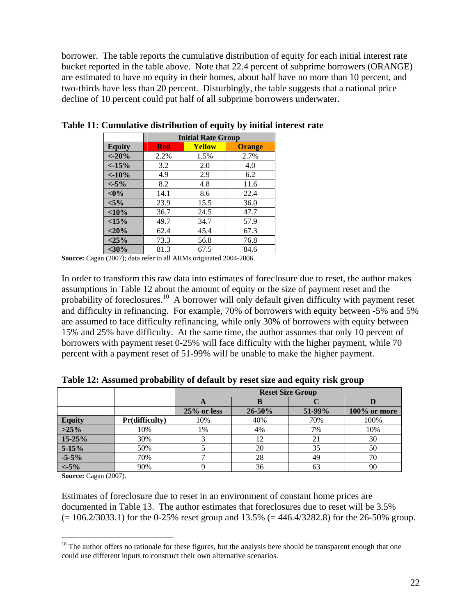borrower. The table reports the cumulative distribution of equity for each initial interest rate bucket reported in the table above. Note that 22.4 percent of subprime borrowers (ORANGE) are estimated to have no equity in their homes, about half have no more than 10 percent, and two-thirds have less than 20 percent. Disturbingly, the table suggests that a national price decline of 10 percent could put half of all subprime borrowers underwater.

|               |            | <b>Initial Rate Group</b> |               |
|---------------|------------|---------------------------|---------------|
| <b>Equity</b> | <b>Red</b> | <b>Yellow</b>             | <b>Orange</b> |
| $< -20%$      | 2.2%       | 1.5%                      | 2.7%          |
| $< -15%$      | 3.2        | 2.0                       | 4.0           |
| $< 10\%$      | 4.9        | 2.9                       | 6.2           |
| $< -5\%$      | 8.2        | 4.8                       | 11.6          |
| $<$ 0%        | 14.1       | 8.6                       | 22.4          |
| $< 5\%$       | 23.9       | 15.5                      | 36.0          |
| $<$ 10%       | 36.7       | 24.5                      | 47.7          |
| <15%          | 49.7       | 34.7                      | 57.9          |
| $<$ 20%       | 62.4       | 45.4                      | 67.3          |
| $<$ 25%       | 73.3       | 56.8                      | 76.8          |
| $<$ 30%       | 81.3       | 67.5                      | 84.6          |

**Table 11: Cumulative distribution of equity by initial interest rate** 

**Source:** Cagan (2007); data refer to all ARMs originated 2004-2006.

In order to transform this raw data into estimates of foreclosure due to reset, the author makes assumptions in Table 12 about the amount of equity or the size of payment reset and the probability of foreclosures.<sup>10</sup> A borrower will only default given difficulty with payment reset and difficulty in refinancing. For example, 70% of borrowers with equity between -5% and 5% are assumed to face difficulty refinancing, while only 30% of borrowers with equity between 15% and 25% have difficulty. At the same time, the author assumes that only 10 percent of borrowers with payment reset 0-25% will face difficulty with the higher payment, while 70 percent with a payment reset of 51-99% will be unable to make the higher payment.

|                |                |               | <b>Reset Size Group</b> |        |                 |
|----------------|----------------|---------------|-------------------------|--------|-----------------|
|                |                |               |                         |        |                 |
|                |                | $25%$ or less | 26-50%                  | 51-99% | $100\%$ or more |
| <b>Equity</b>  | Pr(difficulty) | 10%           | 40%                     | 70%    | 100%            |
| $>25\%$        | 10%            | 1%            | 4%                      | 7%     | 10%             |
| $15 - 25%$     | 30%            |               | 12                      | 21     | 30              |
| $5-15%$        | 50%            |               | 20                      | 35     | 50              |
| $-5 - 5\%$     | 70%            |               | 28                      | 49     | 70              |
| $\langle -5\%$ | 90%            |               | 36                      | 63     | 90              |

**Table 12: Assumed probability of default by reset size and equity risk group** 

**Source:** Cagan (2007).

 $\overline{a}$ 

Estimates of foreclosure due to reset in an environment of constant home prices are documented in Table 13. The author estimates that foreclosures due to reset will be 3.5%  $(= 106.2/3033.1)$  for the 0-25% reset group and 13.5%  $(= 446.4/3282.8)$  for the 26-50% group.

 $10$  The author offers no rationale for these figures, but the analysis here should be transparent enough that one could use different inputs to construct their own alternative scenarios.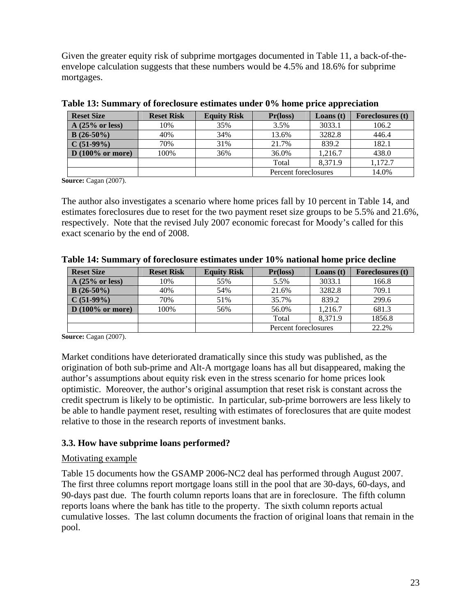Given the greater equity risk of subprime mortgages documented in Table 11, a back-of-theenvelope calculation suggests that these numbers would be 4.5% and 18.6% for subprime mortgages.

| <b>Reset Size</b>        | <b>Reset Risk</b> | <b>Equity Risk</b> | $Pr(\text{loss})$    | Loans $(t)$ | <b>Foreclosures</b> (t) |
|--------------------------|-------------------|--------------------|----------------------|-------------|-------------------------|
| $A(25% \text{ or less})$ | 10%               | 35%                | 3.5%                 | 3033.1      | 106.2                   |
| $B(26-50\%)$             | 40%               | 34%                | 13.6%                | 3282.8      | 446.4                   |
| $C(51-99%)$              | 70%               | 31%                | 21.7%                | 839.2       | 182.1                   |
| $\bf{D}$ (100% or more)  | 100%              | 36%                | 36.0%                | 1.216.7     | 438.0                   |
|                          |                   |                    | Total                | 8.371.9     | 1.172.7                 |
|                          |                   |                    | Percent foreclosures |             | 14.0%                   |

**Table 13: Summary of foreclosure estimates under 0% home price appreciation** 

**Source:** Cagan (2007).

The author also investigates a scenario where home prices fall by 10 percent in Table 14, and estimates foreclosures due to reset for the two payment reset size groups to be 5.5% and 21.6%, respectively. Note that the revised July 2007 economic forecast for Moody's called for this exact scenario by the end of 2008.

| <b>Reset Size</b>        | <b>Reset Risk</b> | <b>Equity Risk</b> | $Pr(\text{loss})$    | <b>Loans</b> $(t)$ | <b>Foreclosures</b> (t) |  |
|--------------------------|-------------------|--------------------|----------------------|--------------------|-------------------------|--|
| $A(25% \text{ or less})$ | 10%               | 55%                | 5.5%                 | 3033.1             | 166.8                   |  |
| $B(26-50\%)$             | 40%               | 54%                | 21.6%                | 3282.8             | 709.1                   |  |
| $C(51-99%)$              | 70%               | 51%                | 35.7%                | 839.2              | 299.6                   |  |
| $\bf{D}$ (100% or more)  | 100%              | 56%                | 56.0%                | 1.216.7            | 681.3                   |  |
|                          |                   |                    | Total                | 8.371.9            | 1856.8                  |  |
|                          |                   |                    | Percent foreclosures |                    | 22.2%                   |  |

| Table 14: Summary of foreclosure estimates under 10% national home price decline |  |  |  |  |  |
|----------------------------------------------------------------------------------|--|--|--|--|--|
|----------------------------------------------------------------------------------|--|--|--|--|--|

**Source:** Cagan (2007).

Market conditions have deteriorated dramatically since this study was published, as the origination of both sub-prime and Alt-A mortgage loans has all but disappeared, making the author's assumptions about equity risk even in the stress scenario for home prices look optimistic. Moreover, the author's original assumption that reset risk is constant across the credit spectrum is likely to be optimistic. In particular, sub-prime borrowers are less likely to be able to handle payment reset, resulting with estimates of foreclosures that are quite modest relative to those in the research reports of investment banks.

## **3.3. How have subprime loans performed?**

## Motivating example

Table 15 documents how the GSAMP 2006-NC2 deal has performed through August 2007. The first three columns report mortgage loans still in the pool that are 30-days, 60-days, and 90-days past due. The fourth column reports loans that are in foreclosure. The fifth column reports loans where the bank has title to the property. The sixth column reports actual cumulative losses. The last column documents the fraction of original loans that remain in the pool.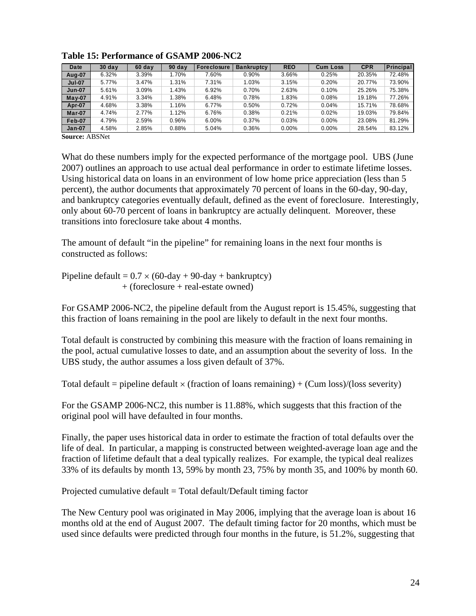| Date          | $30$ day | $60$ day | $90$ day | <b>Foreclosure</b> | <b>Bankruptcy</b> | <b>REO</b> | <b>Cum Loss</b> | <b>CPR</b> | <b>Principal</b> |
|---------------|----------|----------|----------|--------------------|-------------------|------------|-----------------|------------|------------------|
| Aug-07        | 6.32%    | 3.39%    | 1.70%    | 7.60%              | 0.90%             | 3.66%      | 0.25%           | 20.35%     | 72.48%           |
| <b>Jul-07</b> | 5.77%    | 3.47%    | 1.31%    | 7.31%              | 1.03%             | 3.15%      | 0.20%           | 20.77%     | 73.90%           |
| <b>Jun-07</b> | 5.61%    | 3.09%    | 1.43%    | 6.92%              | 0.70%             | 2.63%      | 0.10%           | 25.26%     | 75.38%           |
| $May-07$      | 4.91%    | 3.34%    | 1.38%    | 6.48%              | 0.78%             | 1.83%      | 0.08%           | 19.18%     | 77.26%           |
| Apr-07        | 4.68%    | 3.38%    | 1.16%    | 6.77%              | 0.50%             | 0.72%      | 0.04%           | 15.71%     | 78.68%           |
| Mar-07        | 4.74%    | 2.77%    | 1.12%    | 6.76%              | 0.38%             | 0.21%      | 0.02%           | 19.03%     | 79.84%           |
| Feb-07        | 4.79%    | 2.59%    | 0.96%    | 6.00%              | 0.37%             | 0.03%      | $0.00\%$        | 23.08%     | 81.29%           |
| $Jan-07$      | 4.58%    | 2.85%    | 0.88%    | 5.04%              | 0.36%             | $0.00\%$   | $0.00\%$        | 28.54%     | 83.12%           |

**Table 15: Performance of GSAMP 2006-NC2** 

**Source:** ABSNet

What do these numbers imply for the expected performance of the mortgage pool. UBS (June 2007) outlines an approach to use actual deal performance in order to estimate lifetime losses. Using historical data on loans in an environment of low home price appreciation (less than 5 percent), the author documents that approximately 70 percent of loans in the 60-day, 90-day, and bankruptcy categories eventually default, defined as the event of foreclosure. Interestingly, only about 60-70 percent of loans in bankruptcy are actually delinquent. Moreover, these transitions into foreclosure take about 4 months.

The amount of default "in the pipeline" for remaining loans in the next four months is constructed as follows:

Pipeline default =  $0.7 \times (60$ -day + 90-day + bankruptcy) + (foreclosure + real-estate owned)

For GSAMP 2006-NC2, the pipeline default from the August report is 15.45%, suggesting that this fraction of loans remaining in the pool are likely to default in the next four months.

Total default is constructed by combining this measure with the fraction of loans remaining in the pool, actual cumulative losses to date, and an assumption about the severity of loss. In the UBS study, the author assumes a loss given default of 37%.

Total default = pipeline default  $\times$  (fraction of loans remaining) + (Cum loss)/(loss severity)

For the GSAMP 2006-NC2, this number is 11.88%, which suggests that this fraction of the original pool will have defaulted in four months.

Finally, the paper uses historical data in order to estimate the fraction of total defaults over the life of deal. In particular, a mapping is constructed between weighted-average loan age and the fraction of lifetime default that a deal typically realizes. For example, the typical deal realizes 33% of its defaults by month 13, 59% by month 23, 75% by month 35, and 100% by month 60.

Projected cumulative default  $=$  Total default/Default timing factor

The New Century pool was originated in May 2006, implying that the average loan is about 16 months old at the end of August 2007. The default timing factor for 20 months, which must be used since defaults were predicted through four months in the future, is 51.2%, suggesting that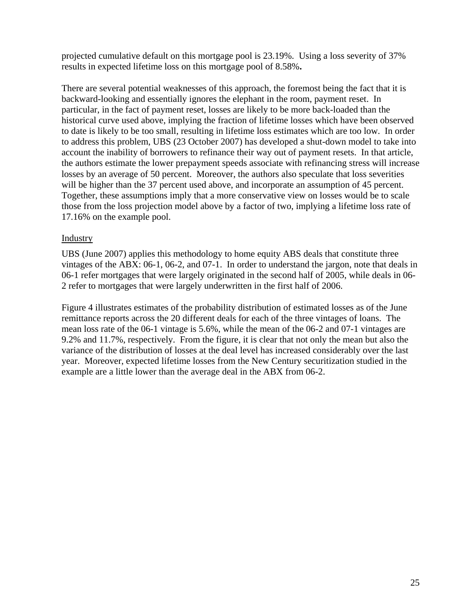projected cumulative default on this mortgage pool is 23.19%. Using a loss severity of 37% results in expected lifetime loss on this mortgage pool of 8.58%**.** 

There are several potential weaknesses of this approach, the foremost being the fact that it is backward-looking and essentially ignores the elephant in the room, payment reset. In particular, in the fact of payment reset, losses are likely to be more back-loaded than the historical curve used above, implying the fraction of lifetime losses which have been observed to date is likely to be too small, resulting in lifetime loss estimates which are too low. In order to address this problem, UBS (23 October 2007) has developed a shut-down model to take into account the inability of borrowers to refinance their way out of payment resets. In that article, the authors estimate the lower prepayment speeds associate with refinancing stress will increase losses by an average of 50 percent. Moreover, the authors also speculate that loss severities will be higher than the 37 percent used above, and incorporate an assumption of 45 percent. Together, these assumptions imply that a more conservative view on losses would be to scale those from the loss projection model above by a factor of two, implying a lifetime loss rate of 17.16% on the example pool.

## **Industry**

UBS (June 2007) applies this methodology to home equity ABS deals that constitute three vintages of the ABX: 06-1, 06-2, and 07-1. In order to understand the jargon, note that deals in 06-1 refer mortgages that were largely originated in the second half of 2005, while deals in 06- 2 refer to mortgages that were largely underwritten in the first half of 2006.

Figure 4 illustrates estimates of the probability distribution of estimated losses as of the June remittance reports across the 20 different deals for each of the three vintages of loans. The mean loss rate of the 06-1 vintage is 5.6%, while the mean of the 06-2 and 07-1 vintages are 9.2% and 11.7%, respectively. From the figure, it is clear that not only the mean but also the variance of the distribution of losses at the deal level has increased considerably over the last year. Moreover, expected lifetime losses from the New Century securitization studied in the example are a little lower than the average deal in the ABX from 06-2.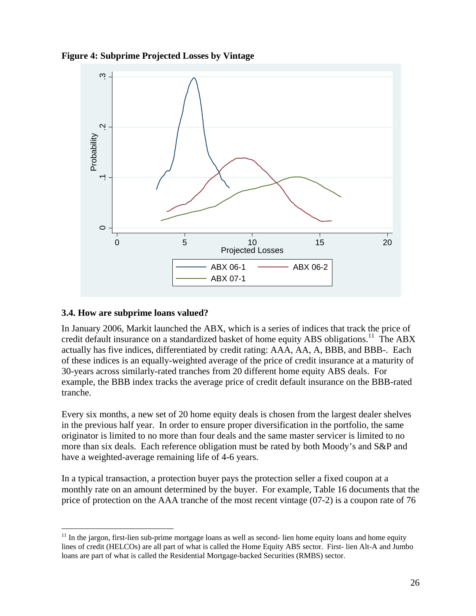



#### **3.4. How are subprime loans valued?**

 $\overline{a}$ 

In January 2006, Markit launched the ABX, which is a series of indices that track the price of credit default insurance on a standardized basket of home equity ABS obligations.<sup>11</sup> The ABX actually has five indices, differentiated by credit rating: AAA, AA, A, BBB, and BBB-. Each of these indices is an equally-weighted average of the price of credit insurance at a maturity of 30-years across similarly-rated tranches from 20 different home equity ABS deals. For example, the BBB index tracks the average price of credit default insurance on the BBB-rated tranche.

Every six months, a new set of 20 home equity deals is chosen from the largest dealer shelves in the previous half year. In order to ensure proper diversification in the portfolio, the same originator is limited to no more than four deals and the same master servicer is limited to no more than six deals. Each reference obligation must be rated by both Moody's and S&P and have a weighted-average remaining life of 4-6 years.

In a typical transaction, a protection buyer pays the protection seller a fixed coupon at a monthly rate on an amount determined by the buyer. For example, Table 16 documents that the price of protection on the AAA tranche of the most recent vintage (07-2) is a coupon rate of 76

<sup>&</sup>lt;sup>11</sup> In the jargon, first-lien sub-prime mortgage loans as well as second- lien home equity loans and home equity lines of credit (HELCOs) are all part of what is called the Home Equity ABS sector. First- lien Alt-A and Jumbo loans are part of what is called the Residential Mortgage-backed Securities (RMBS) sector.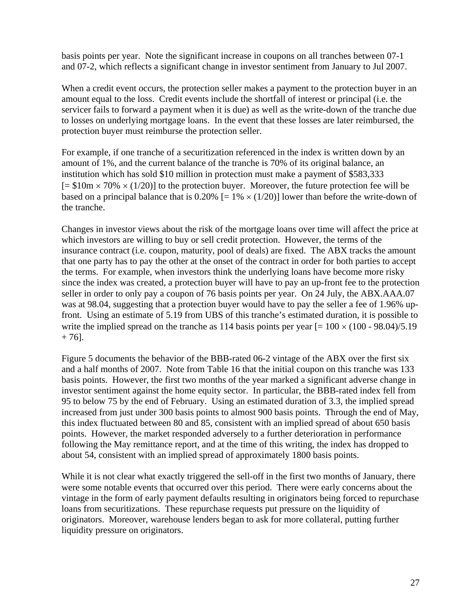basis points per year. Note the significant increase in coupons on all tranches between 07-1 and 07-2, which reflects a significant change in investor sentiment from January to Jul 2007.

When a credit event occurs, the protection seller makes a payment to the protection buyer in an amount equal to the loss. Credit events include the shortfall of interest or principal (i.e. the servicer fails to forward a payment when it is due) as well as the write-down of the tranche due to losses on underlying mortgage loans. In the event that these losses are later reimbursed, the protection buyer must reimburse the protection seller.

For example, if one tranche of a securitization referenced in the index is written down by an amount of 1%, and the current balance of the tranche is 70% of its original balance, an institution which has sold \$10 million in protection must make a payment of \$583,333  $[= $10m \times 70\% \times (1/20)]$  to the protection buyer. Moreover, the future protection fee will be based on a principal balance that is 0.20%  $[= 1\% \times (1/20)]$  lower than before the write-down of the tranche.

Changes in investor views about the risk of the mortgage loans over time will affect the price at which investors are willing to buy or sell credit protection. However, the terms of the insurance contract (i.e. coupon, maturity, pool of deals) are fixed. The ABX tracks the amount that one party has to pay the other at the onset of the contract in order for both parties to accept the terms. For example, when investors think the underlying loans have become more risky since the index was created, a protection buyer will have to pay an up-front fee to the protection seller in order to only pay a coupon of 76 basis points per year. On 24 July, the ABX.AAA.07 was at 98.04, suggesting that a protection buyer would have to pay the seller a fee of 1.96% upfront. Using an estimate of 5.19 from UBS of this tranche's estimated duration, it is possible to write the implied spread on the tranche as 114 basis points per year  $[= 100 \times (100 - 98.04)/5.19$  $+ 76$ ].

Figure 5 documents the behavior of the BBB-rated 06-2 vintage of the ABX over the first six and a half months of 2007. Note from Table 16 that the initial coupon on this tranche was 133 basis points. However, the first two months of the year marked a significant adverse change in investor sentiment against the home equity sector. In particular, the BBB-rated index fell from 95 to below 75 by the end of February. Using an estimated duration of 3.3, the implied spread increased from just under 300 basis points to almost 900 basis points. Through the end of May, this index fluctuated between 80 and 85, consistent with an implied spread of about 650 basis points. However, the market responded adversely to a further deterioration in performance following the May remittance report, and at the time of this writing, the index has dropped to about 54, consistent with an implied spread of approximately 1800 basis points.

While it is not clear what exactly triggered the sell-off in the first two months of January, there were some notable events that occurred over this period. There were early concerns about the vintage in the form of early payment defaults resulting in originators being forced to repurchase loans from securitizations. These repurchase requests put pressure on the liquidity of originators. Moreover, warehouse lenders began to ask for more collateral, putting further liquidity pressure on originators.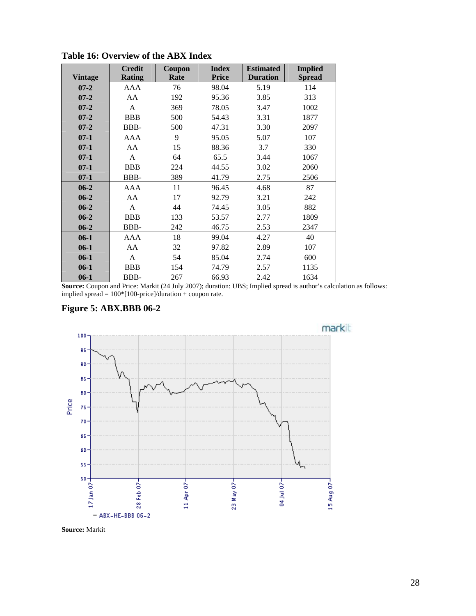| <b>Vintage</b> | <b>Credit</b><br><b>Rating</b> | Coupon<br>Rate | <b>Index</b><br><b>Price</b> | <b>Estimated</b><br><b>Duration</b> | <b>Implied</b><br><b>Spread</b> |
|----------------|--------------------------------|----------------|------------------------------|-------------------------------------|---------------------------------|
| $07 - 2$       | AAA                            | 76             | 98.04                        | 5.19                                | 114                             |
|                |                                |                |                              |                                     |                                 |
| $07 - 2$       | AA                             | 192            | 95.36                        | 3.85                                | 313                             |
| $07 - 2$       | A                              | 369            | 78.05                        | 3.47                                | 1002                            |
| $07 - 2$       | <b>BBB</b>                     | 500            | 54.43                        | 3.31                                | 1877                            |
| $07 - 2$       | BBB-                           | 500            | 47.31                        | 3.30                                | 2097                            |
| $07-1$         | AAA                            | 9              | 95.05                        | 5.07                                | 107                             |
| $07-1$         | AA                             | 15             | 88.36                        | 3.7                                 | 330                             |
| $07-1$         | A                              | 64             | 65.5                         | 3.44                                | 1067                            |
| $07-1$         | <b>BBB</b>                     | 224            | 44.55                        | 3.02                                | 2060                            |
| $07-1$         | BBB-                           | 389            | 41.79                        | 2.75                                | 2506                            |
| $06-2$         | AAA                            | 11             | 96.45                        | 4.68                                | 87                              |
| $06-2$         | AA                             | 17             | 92.79                        | 3.21                                | 242                             |
| $06-2$         | A                              | 44             | 74.45                        | 3.05                                | 882                             |
| $06-2$         | <b>BBB</b>                     | 133            | 53.57                        | 2.77                                | 1809                            |
| $06-2$         | BBB-                           | 242            | 46.75                        | 2.53                                | 2347                            |
| $06-1$         | AAA                            | 18             | 99.04                        | 4.27                                | 40                              |
| $06-1$         | AA                             | 32             | 97.82                        | 2.89                                | 107                             |
| $06-1$         | A                              | 54             | 85.04                        | 2.74                                | 600                             |
| $06-1$         | <b>BBB</b>                     | 154            | 74.79                        | 2.57                                | 1135                            |
| $06-1$         | BBB-                           | 267            | 66.93                        | 2.42                                | 1634                            |

**Table 16: Overview of the ABX Index** 

**Source:** Coupon and Price: Markit (24 July 2007); duration: UBS; Implied spread is author's calculation as follows: implied spread = 100\*[100-price]/duration + coupon rate.

# **Figure 5: ABX.BBB 06-2**



**Source:** Markit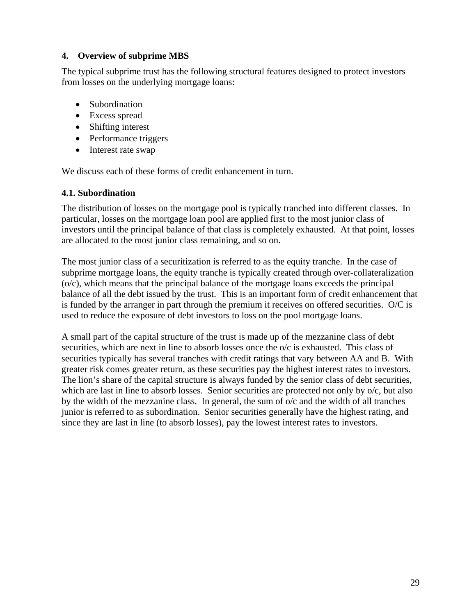## **4. Overview of subprime MBS**

The typical subprime trust has the following structural features designed to protect investors from losses on the underlying mortgage loans:

- Subordination
- Excess spread
- Shifting interest
- Performance triggers
- Interest rate swap

We discuss each of these forms of credit enhancement in turn.

## **4.1. Subordination**

The distribution of losses on the mortgage pool is typically tranched into different classes. In particular, losses on the mortgage loan pool are applied first to the most junior class of investors until the principal balance of that class is completely exhausted. At that point, losses are allocated to the most junior class remaining, and so on.

The most junior class of a securitization is referred to as the equity tranche. In the case of subprime mortgage loans, the equity tranche is typically created through over-collateralization  $(o/c)$ , which means that the principal balance of the mortgage loans exceeds the principal balance of all the debt issued by the trust. This is an important form of credit enhancement that is funded by the arranger in part through the premium it receives on offered securities. O/C is used to reduce the exposure of debt investors to loss on the pool mortgage loans.

A small part of the capital structure of the trust is made up of the mezzanine class of debt securities, which are next in line to absorb losses once the o/c is exhausted. This class of securities typically has several tranches with credit ratings that vary between AA and B. With greater risk comes greater return, as these securities pay the highest interest rates to investors. The lion's share of the capital structure is always funded by the senior class of debt securities, which are last in line to absorb losses. Senior securities are protected not only by  $o/c$ , but also by the width of the mezzanine class. In general, the sum of o/c and the width of all tranches junior is referred to as subordination. Senior securities generally have the highest rating, and since they are last in line (to absorb losses), pay the lowest interest rates to investors.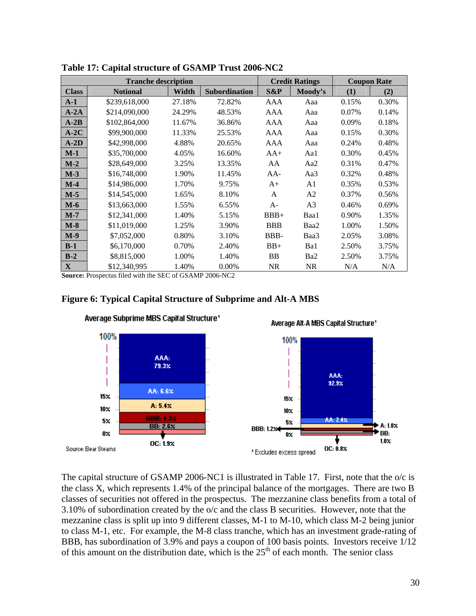| <b>Tranche description</b> |                 |        |                      |            | <b>Credit Ratings</b> |       | <b>Coupon Rate</b> |
|----------------------------|-----------------|--------|----------------------|------------|-----------------------|-------|--------------------|
| <b>Class</b>               | <b>Notional</b> | Width  | <b>Subordination</b> | S&P        | Moody's               | (1)   | (2)                |
| $A-1$                      | \$239,618,000   | 27.18% | 72.82%               | <b>AAA</b> | Aaa                   | 0.15% | 0.30%              |
| $A-2A$                     | \$214,090,000   | 24.29% | 48.53%               | AAA        | Aaa                   | 0.07% | 0.14%              |
| $A-2B$                     | \$102,864,000   | 11.67% | 36.86%               | AAA        | Aaa                   | 0.09% | 0.18%              |
| $A-2C$                     | \$99,900,000    | 11.33% | 25.53%               | AAA        | Aaa                   | 0.15% | 0.30%              |
| $A-2D$                     | \$42,998,000    | 4.88%  | 20.65%               | AAA        | Aaa                   | 0.24% | 0.48%              |
| $M-1$                      | \$35,700,000    | 4.05%  | 16.60%               | $AA+$      | Aal                   | 0.30% | 0.45%              |
| $M-2$                      | \$28,649,000    | 3.25%  | 13.35%               | AA         | Aa2                   | 0.31% | 0.47%              |
| $M-3$                      | \$16,748,000    | 1.90%  | 11.45%               | $AA-$      | Aa3                   | 0.32% | 0.48%              |
| $M-4$                      | \$14,986,000    | 1.70%  | 9.75%                | $A+$       | A1                    | 0.35% | 0.53%              |
| $M-5$                      | \$14,545,000    | 1.65%  | 8.10%                | A          | A2                    | 0.37% | 0.56%              |
| $M-6$                      | \$13,663,000    | 1.55%  | 6.55%                | $A-$       | A3                    | 0.46% | 0.69%              |
| $M-7$                      | \$12,341,000    | 1.40%  | 5.15%                | $BBB+$     | Baa1                  | 0.90% | 1.35%              |
| $M-8$                      | \$11,019,000    | 1.25%  | 3.90%                | <b>BBB</b> | Baa2                  | 1.00% | 1.50%              |
| $M-9$                      | \$7,052,000     | 0.80%  | 3.10%                | BBB-       | Baa3                  | 2.05% | 3.08%              |
| $B-1$                      | \$6,170,000     | 0.70%  | 2.40%                | $BB+$      | Ba1                   | 2.50% | 3.75%              |
| $B-2$                      | \$8,815,000     | 1.00%  | 1.40%                | <b>BB</b>  | Ba2                   | 2.50% | 3.75%              |
| $\mathbf{X}$               | \$12,340,995    | 1.40%  | $0.00\%$             | <b>NR</b>  | <b>NR</b>             | N/A   | N/A                |

**Table 17: Capital structure of GSAMP Trust 2006-NC2** 

**Source:** Prospectus filed with the SEC of GSAMP 2006-NC2

#### **Figure 6: Typical Capital Structure of Subprime and Alt-A MBS**



Average Subprime MBS Capital Structure\*

The capital structure of GSAMP 2006-NC1 is illustrated in Table 17. First, note that the o/c is the class X, which represents 1.4% of the principal balance of the mortgages. There are two B classes of securities not offered in the prospectus. The mezzanine class benefits from a total of 3.10% of subordination created by the o/c and the class B securities. However, note that the mezzanine class is split up into 9 different classes, M-1 to M-10, which class M-2 being junior to class M-1, etc. For example, the M-8 class tranche, which has an investment grade-rating of BBB, has subordination of 3.9% and pays a coupon of 100 basis points. Investors receive 1/12 of this amount on the distribution date, which is the  $25<sup>th</sup>$  of each month. The senior class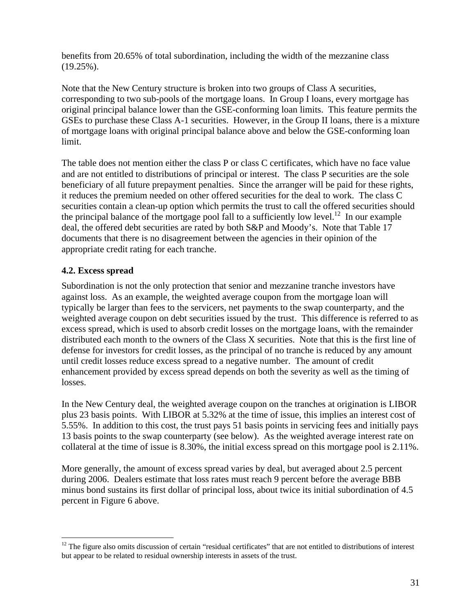benefits from 20.65% of total subordination, including the width of the mezzanine class  $(19.25\%)$ .

Note that the New Century structure is broken into two groups of Class A securities, corresponding to two sub-pools of the mortgage loans. In Group I loans, every mortgage has original principal balance lower than the GSE-conforming loan limits. This feature permits the GSEs to purchase these Class A-1 securities. However, in the Group II loans, there is a mixture of mortgage loans with original principal balance above and below the GSE-conforming loan limit.

The table does not mention either the class P or class C certificates, which have no face value and are not entitled to distributions of principal or interest. The class P securities are the sole beneficiary of all future prepayment penalties. Since the arranger will be paid for these rights, it reduces the premium needed on other offered securities for the deal to work. The class C securities contain a clean-up option which permits the trust to call the offered securities should the principal balance of the mortgage pool fall to a sufficiently low level.<sup>12</sup> In our example deal, the offered debt securities are rated by both S&P and Moody's. Note that Table 17 documents that there is no disagreement between the agencies in their opinion of the appropriate credit rating for each tranche.

# **4.2. Excess spread**

 $\overline{a}$ 

Subordination is not the only protection that senior and mezzanine tranche investors have against loss. As an example, the weighted average coupon from the mortgage loan will typically be larger than fees to the servicers, net payments to the swap counterparty, and the weighted average coupon on debt securities issued by the trust. This difference is referred to as excess spread, which is used to absorb credit losses on the mortgage loans, with the remainder distributed each month to the owners of the Class X securities. Note that this is the first line of defense for investors for credit losses, as the principal of no tranche is reduced by any amount until credit losses reduce excess spread to a negative number. The amount of credit enhancement provided by excess spread depends on both the severity as well as the timing of losses.

In the New Century deal, the weighted average coupon on the tranches at origination is LIBOR plus 23 basis points. With LIBOR at 5.32% at the time of issue, this implies an interest cost of 5.55%. In addition to this cost, the trust pays 51 basis points in servicing fees and initially pays 13 basis points to the swap counterparty (see below). As the weighted average interest rate on collateral at the time of issue is 8.30%, the initial excess spread on this mortgage pool is 2.11%.

More generally, the amount of excess spread varies by deal, but averaged about 2.5 percent during 2006. Dealers estimate that loss rates must reach 9 percent before the average BBB minus bond sustains its first dollar of principal loss, about twice its initial subordination of 4.5 percent in Figure 6 above.

 $12$  The figure also omits discussion of certain "residual certificates" that are not entitled to distributions of interest but appear to be related to residual ownership interests in assets of the trust.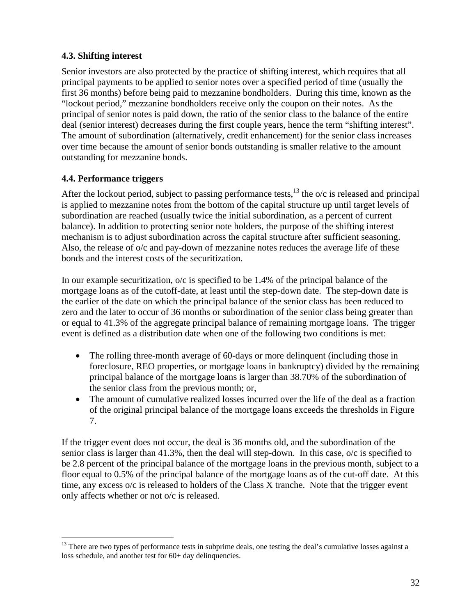# **4.3. Shifting interest**

Senior investors are also protected by the practice of shifting interest, which requires that all principal payments to be applied to senior notes over a specified period of time (usually the first 36 months) before being paid to mezzanine bondholders. During this time, known as the "lockout period," mezzanine bondholders receive only the coupon on their notes. As the principal of senior notes is paid down, the ratio of the senior class to the balance of the entire deal (senior interest) decreases during the first couple years, hence the term "shifting interest". The amount of subordination (alternatively, credit enhancement) for the senior class increases over time because the amount of senior bonds outstanding is smaller relative to the amount outstanding for mezzanine bonds.

# **4.4. Performance triggers**

 $\overline{a}$ 

After the lockout period, subject to passing performance tests,  $^{13}$  the o/c is released and principal is applied to mezzanine notes from the bottom of the capital structure up until target levels of subordination are reached (usually twice the initial subordination, as a percent of current balance). In addition to protecting senior note holders, the purpose of the shifting interest mechanism is to adjust subordination across the capital structure after sufficient seasoning. Also, the release of o/c and pay-down of mezzanine notes reduces the average life of these bonds and the interest costs of the securitization.

In our example securitization, o/c is specified to be 1.4% of the principal balance of the mortgage loans as of the cutoff-date, at least until the step-down date. The step-down date is the earlier of the date on which the principal balance of the senior class has been reduced to zero and the later to occur of 36 months or subordination of the senior class being greater than or equal to 41.3% of the aggregate principal balance of remaining mortgage loans. The trigger event is defined as a distribution date when one of the following two conditions is met:

- The rolling three-month average of 60-days or more delinquent (including those in foreclosure, REO properties, or mortgage loans in bankruptcy) divided by the remaining principal balance of the mortgage loans is larger than 38.70% of the subordination of the senior class from the previous month; or,
- The amount of cumulative realized losses incurred over the life of the deal as a fraction of the original principal balance of the mortgage loans exceeds the thresholds in Figure 7.

If the trigger event does not occur, the deal is 36 months old, and the subordination of the senior class is larger than 41.3%, then the deal will step-down. In this case, o/c is specified to be 2.8 percent of the principal balance of the mortgage loans in the previous month, subject to a floor equal to 0.5% of the principal balance of the mortgage loans as of the cut-off date. At this time, any excess o/c is released to holders of the Class X tranche. Note that the trigger event only affects whether or not o/c is released.

 $13$  There are two types of performance tests in subprime deals, one testing the deal's cumulative losses against a loss schedule, and another test for 60+ day delinquencies.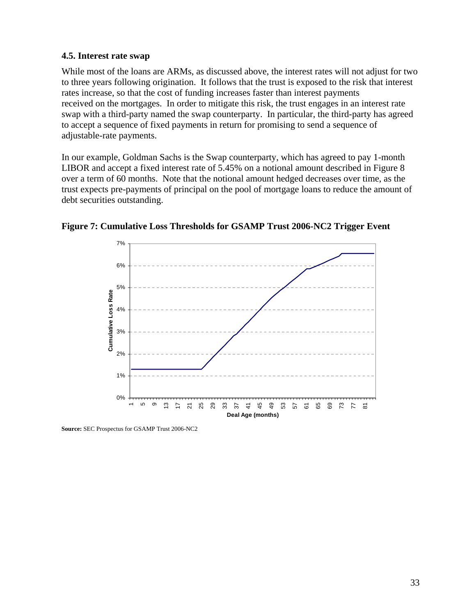## **4.5. Interest rate swap**

While most of the loans are ARMs, as discussed above, the interest rates will not adjust for two to three years following origination. It follows that the trust is exposed to the risk that interest rates increase, so that the cost of funding increases faster than interest payments received on the mortgages. In order to mitigate this risk, the trust engages in an interest rate swap with a third-party named the swap counterparty. In particular, the third-party has agreed to accept a sequence of fixed payments in return for promising to send a sequence of adjustable-rate payments.

In our example, Goldman Sachs is the Swap counterparty, which has agreed to pay 1-month LIBOR and accept a fixed interest rate of 5.45% on a notional amount described in Figure 8 over a term of 60 months. Note that the notional amount hedged decreases over time, as the trust expects pre-payments of principal on the pool of mortgage loans to reduce the amount of debt securities outstanding.



**Figure 7: Cumulative Loss Thresholds for GSAMP Trust 2006-NC2 Trigger Event** 

**Source:** SEC Prospectus for GSAMP Trust 2006-NC2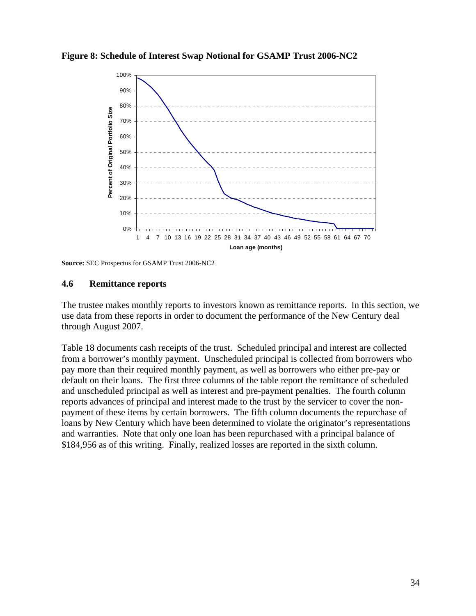



**Source:** SEC Prospectus for GSAMP Trust 2006-NC2

## **4.6 Remittance reports**

The trustee makes monthly reports to investors known as remittance reports. In this section, we use data from these reports in order to document the performance of the New Century deal through August 2007.

Table 18 documents cash receipts of the trust. Scheduled principal and interest are collected from a borrower's monthly payment. Unscheduled principal is collected from borrowers who pay more than their required monthly payment, as well as borrowers who either pre-pay or default on their loans. The first three columns of the table report the remittance of scheduled and unscheduled principal as well as interest and pre-payment penalties. The fourth column reports advances of principal and interest made to the trust by the servicer to cover the nonpayment of these items by certain borrowers. The fifth column documents the repurchase of loans by New Century which have been determined to violate the originator's representations and warranties. Note that only one loan has been repurchased with a principal balance of \$184,956 as of this writing. Finally, realized losses are reported in the sixth column.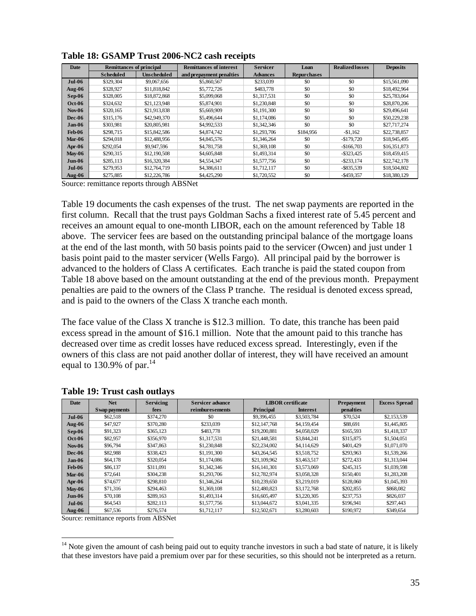| <b>Date</b>   | <b>Remittances of principal</b> |              | <b>Remittances of interest</b> | <b>Servicer</b> | Loan               | <b>Realized losses</b> | <b>Deposits</b> |
|---------------|---------------------------------|--------------|--------------------------------|-----------------|--------------------|------------------------|-----------------|
|               | <b>Scheduled</b>                | Unscheduled  | and prepayment penalties       | <b>Advances</b> | <b>Repurchases</b> |                        |                 |
| $Jul-06$      | \$329,304                       | \$9,067,656  | \$5,860,567                    | \$233,039       | \$0                | \$0                    | \$15,561,090    |
| Aug-06        | \$328,927                       | \$11,818,842 | \$5,772,726                    | \$483,778       | \$0                | \$0                    | \$18,492,964    |
| Sep-06        | \$328,005                       | \$18,872,868 | \$5,099,068                    | \$1,317,531     | \$0                | \$0                    | \$25,783,064    |
| <b>Oct-06</b> | \$324,632                       | \$21,123,948 | \$5,874,901                    | \$1,230,848     | \$0                | \$0                    | \$28,870,206    |
| <b>Nov-06</b> | \$320,165                       | \$21,913,838 | \$5,669,909                    | \$1,191,300     | \$0                | \$0                    | \$29,496,641    |
| <b>Dec-06</b> | \$315,176                       | \$42,949,370 | \$5,496,644                    | \$1,174,086     | \$0                | \$0                    | \$50,229,238    |
| $Jan-06$      | \$303,981                       | \$20,805,981 | \$4,992,533                    | \$1,342,346     | \$0                | \$0                    | \$27,717,274    |
| Feb-06        | \$298,715                       | \$15,842,586 | \$4,874,742                    | \$1,293,706     | \$184,956          | $-\$1,162$             | \$22,738,857    |
| <b>Mar-06</b> | \$294,018                       | \$12,488,956 | \$4,845,576                    | \$1,346,264     | \$0                | $-$179.720$            | \$18,945,495    |
| Apr-06        | \$292,054                       | \$9,947,596  | \$4,781,758                    | \$1,369,108     | \$0                | $-$166,703$            | \$16,351,873    |
| $Mav-06$      | \$290,315                       | \$12,190,508 | \$4,605,848                    | \$1,493,314     | \$0                | $-$ \$323.425          | \$18,459,415    |
| $Jun-06$      | \$285,113                       | \$16,320,384 | \$4,554,347                    | \$1,577,756     | \$0                | $-$ \$233,174          | \$22,742,178    |
| <b>Jul-06</b> | \$279,953                       | \$12,764,719 | \$4,386,611                    | \$1,712,117     | \$0                | -\$835,539             | \$18,504,802    |
| Aug-06        | \$275,885                       | \$12,226,786 | \$4,425,290                    | \$1,720,552     | \$0                | $-$ \$459,357          | \$18,380,129    |

**Table 18: GSAMP Trust 2006-NC2 cash receipts** 

Source: remittance reports through ABSNet

Table 19 documents the cash expenses of the trust. The net swap payments are reported in the first column. Recall that the trust pays Goldman Sachs a fixed interest rate of 5.45 percent and receives an amount equal to one-month LIBOR, each on the amount referenced by Table 18 above. The servicer fees are based on the outstanding principal balance of the mortgage loans at the end of the last month, with 50 basis points paid to the servicer (Owcen) and just under 1 basis point paid to the master servicer (Wells Fargo). All principal paid by the borrower is advanced to the holders of Class A certificates. Each tranche is paid the stated coupon from Table 18 above based on the amount outstanding at the end of the previous month. Prepayment penalties are paid to the owners of the Class P tranche. The residual is denoted excess spread, and is paid to the owners of the Class X tranche each month.

The face value of the Class X tranche is \$12.3 million. To date, this tranche has been paid excess spread in the amount of \$16.1 million. Note that the amount paid to this tranche has decreased over time as credit losses have reduced excess spread. Interestingly, even if the owners of this class are not paid another dollar of interest, they will have received an amount equal to 130.9% of par. $^{14}$ 

| Date          | <b>Net</b>     | <b>Servicing</b> | <b>Servicer advance</b> | <b>LIBOR</b> certificate |                 | <b>Prepayment</b> | <b>Excess Spread</b> |
|---------------|----------------|------------------|-------------------------|--------------------------|-----------------|-------------------|----------------------|
|               | S wap payments | fees             | reimburesements         | Principal                | <b>Interest</b> | penalties         |                      |
| $Jul-06$      | \$62,518       | \$374,270        | \$0                     | \$9,396,455              | \$3,503,784     | \$70,524          | \$2,153,539          |
| Aug-06        | \$47,927       | \$370,280        | \$233,039               | \$12,147,768             | \$4,159,454     | \$88,691          | \$1,445,805          |
| Sep-06        | \$91,323       | \$365,123        | \$483,778               | \$19,200,881             | \$4,058,029     | \$165,593         | \$1,418,337          |
| $Oct-06$      | \$82,957       | \$356,970        | \$1,317,531             | \$21,448,581             | \$3,844,241     | \$315,875         | \$1,504,051          |
| <b>Nov-06</b> | \$96,794       | \$347,863        | \$1,230,848             | \$22,234,002             | \$4,114,629     | \$401.429         | \$1,071,070          |
| <b>Dec-06</b> | \$82,988       | \$338,423        | \$1,191,300             | \$43,264,545             | \$3,518,752     | \$293,963         | \$1,539,266          |
| Jan-06        | \$64,178       | \$320,054        | \$1,174,086             | \$21,109,962             | \$3,463,517     | \$272,433         | \$1,313,044          |
| Feb-06        | \$86,137       | \$311.091        | \$1,342,346             | \$16,141,301             | \$3,573,069     | \$245,315         | \$1,039,598          |
| <b>Mar-06</b> | \$72,641       | \$304,238        | \$1,293,706             | \$12,782,974             | \$3,058,328     | \$150,401         | \$1,283,208          |
| $Apr-06$      | \$74,677       | \$298,810        | \$1,346,264             | \$10,239,650             | \$3,219,019     | \$128,060         | \$1,045,393          |
| $Mav-06$      | \$71,316       | \$294,463        | \$1,369,108             | \$12,480,823             | \$3,172,768     | \$202,855         | \$868,082            |
| $Jun-06$      | \$70,108       | \$289.163        | \$1,493,314             | \$16,605,497             | \$3,220,305     | \$237,753         | \$826,037            |
| <b>Jul-06</b> | \$64,543       | \$282,113        | \$1,577,756             | \$13,044,672             | \$3,041,335     | \$196,941         | \$297,443            |
| Aug-06        | \$67,536       | \$276,574        | \$1,712,117             | \$12,502,671             | \$3,280,603     | \$190,972         | \$349,654            |

**Table 19: Trust cash outlays**

Source: remittance reports from ABSNet

 $\overline{a}$ 

 $14$  Note given the amount of cash being paid out to equity tranche investors in such a bad state of nature, it is likely that these investors have paid a premium over par for these securities, so this should not be interpreted as a return.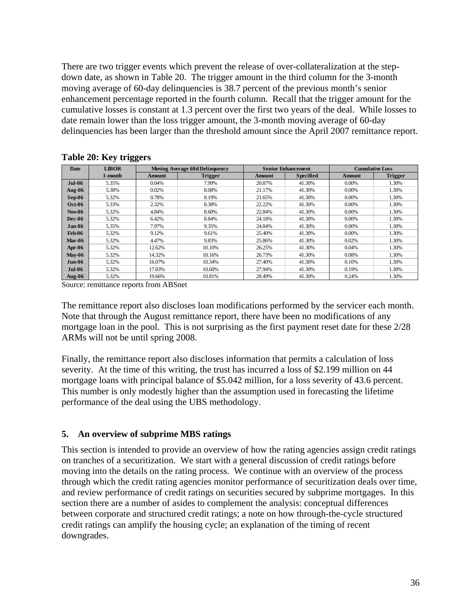There are two trigger events which prevent the release of over-collateralization at the stepdown date, as shown in Table 20. The trigger amount in the third column for the 3-month moving average of 60-day delinquencies is 38.7 percent of the previous month's senior enhancement percentage reported in the fourth column. Recall that the trigger amount for the cumulative losses is constant at 1.3 percent over the first two years of the deal. While losses to date remain lower than the loss trigger amount, the 3-month moving average of 60-day delinquencies has been larger than the threshold amount since the April 2007 remittance report.

| Date          | <b>LIBOR</b> |        | <b>Moving Average 60d Delinquency</b> |        | <b>Senior Enhancement</b> |        | <b>Cumulative Loss</b> |
|---------------|--------------|--------|---------------------------------------|--------|---------------------------|--------|------------------------|
|               | 1-month      | Amount | <b>Trigger</b>                        | Amount | <b>Specified</b>          | Amount | <b>Trigger</b>         |
| $Jul-06$      | 5.35%        | 0.04%  | 7.99%                                 | 20.87% | 41.30%                    | 0.00%  | 1.30%                  |
| Aug-06        | 5.38%        | 0.02%  | 8.08%                                 | 21.17% | 41.30%                    | 0.00%  | 1.30%                  |
| Sep-06        | 5.32%        | 0.78%  | 8.19%                                 | 21.65% | 41.30%                    | 0.00%  | 1.30%                  |
| $Oct-06$      | 5.33%        | 2.32%  | 8.38%                                 | 22.22% | 41.30%                    | 0.00%  | 1.30%                  |
| $Nov-06$      | 5.32%        | 4.84%  | 8.60%                                 | 22.84% | 41.30%                    | 0.00%  | 1.30%                  |
| Dec-06        | 5.32%        | 6.42%  | 8.84%                                 | 24.18% | 41.30%                    | 0.00%  | 1.30%                  |
| $Jan-06$      | 5.35%        | 7.97%  | 9.35%                                 | 24.84% | 41.30%                    | 0.00%  | 1.30%                  |
| Feb-06        | 5.32%        | 9.12%  | 9.61%                                 | 25.40% | 41.30%                    | 0.00%  | 1.30%                  |
| <b>Mar-06</b> | 5.32%        | 4.47%  | 9.83%                                 | 25.86% | 41.30%                    | 0.02%  | 1.30%                  |
| Apr-06        | 5.32%        | 12.62% | 10.10%                                | 26.25% | 41.30%                    | 0.04%  | 1.30%                  |
| $May-06$      | 5.32%        | 14.32% | 10.16%                                | 26.73% | 41.30%                    | 0.08%  | 1.30%                  |
| $Jun-06$      | 5.32%        | 16.07% | 10.34%                                | 27.40% | 41.30%                    | 0.10%  | 1.30%                  |
| $Jul-06$      | 5.32%        | 17.83% | 10.60%                                | 27.94% | 41.30%                    | 0.19%  | 1.30%                  |
| Aug-06        | 5.32%        | 19.66% | 10.81%                                | 28.49% | 41.30%                    | 0.24%  | 1.30%                  |

**Table 20: Key triggers**

Source: remittance reports from ABSnet

The remittance report also discloses loan modifications performed by the servicer each month. Note that through the August remittance report, there have been no modifications of any mortgage loan in the pool. This is not surprising as the first payment reset date for these 2/28 ARMs will not be until spring 2008.

Finally, the remittance report also discloses information that permits a calculation of loss severity. At the time of this writing, the trust has incurred a loss of \$2.199 million on 44 mortgage loans with principal balance of \$5.042 million, for a loss severity of 43.6 percent. This number is only modestly higher than the assumption used in forecasting the lifetime performance of the deal using the UBS methodology.

# **5. An overview of subprime MBS ratings**

This section is intended to provide an overview of how the rating agencies assign credit ratings on tranches of a securitization. We start with a general discussion of credit ratings before moving into the details on the rating process. We continue with an overview of the process through which the credit rating agencies monitor performance of securitization deals over time, and review performance of credit ratings on securities secured by subprime mortgages. In this section there are a number of asides to complement the analysis: conceptual differences between corporate and structured credit ratings; a note on how through-the-cycle structured credit ratings can amplify the housing cycle; an explanation of the timing of recent downgrades.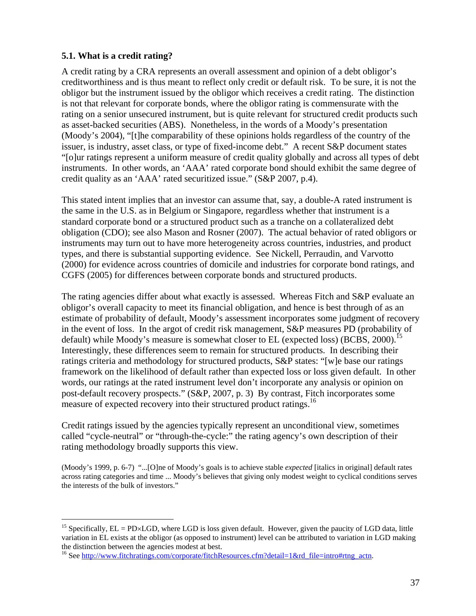# **5.1. What is a credit rating?**

 $\overline{a}$ 

A credit rating by a CRA represents an overall assessment and opinion of a debt obligor's creditworthiness and is thus meant to reflect only credit or default risk. To be sure, it is not the obligor but the instrument issued by the obligor which receives a credit rating. The distinction is not that relevant for corporate bonds, where the obligor rating is commensurate with the rating on a senior unsecured instrument, but is quite relevant for structured credit products such as asset-backed securities (ABS). Nonetheless, in the words of a Moody's presentation (Moody's 2004), "[t]he comparability of these opinions holds regardless of the country of the issuer, is industry, asset class, or type of fixed-income debt." A recent S&P document states "[o]ur ratings represent a uniform measure of credit quality globally and across all types of debt instruments. In other words, an 'AAA' rated corporate bond should exhibit the same degree of credit quality as an 'AAA' rated securitized issue." (S&P 2007, p.4).

This stated intent implies that an investor can assume that, say, a double-A rated instrument is the same in the U.S. as in Belgium or Singapore, regardless whether that instrument is a standard corporate bond or a structured product such as a tranche on a collateralized debt obligation (CDO); see also Mason and Rosner (2007). The actual behavior of rated obligors or instruments may turn out to have more heterogeneity across countries, industries, and product types, and there is substantial supporting evidence. See Nickell, Perraudin, and Varvotto (2000) for evidence across countries of domicile and industries for corporate bond ratings, and CGFS (2005) for differences between corporate bonds and structured products.

The rating agencies differ about what exactly is assessed. Whereas Fitch and S&P evaluate an obligor's overall capacity to meet its financial obligation, and hence is best through of as an estimate of probability of default, Moody's assessment incorporates some judgment of recovery in the event of loss. In the argot of credit risk management, S&P measures PD (probability of default) while Moody's measure is somewhat closer to EL (expected loss) (BCBS, 2000).<sup>15</sup> Interestingly, these differences seem to remain for structured products. In describing their ratings criteria and methodology for structured products, S&P states: "[w]e base our ratings framework on the likelihood of default rather than expected loss or loss given default. In other words, our ratings at the rated instrument level don't incorporate any analysis or opinion on post-default recovery prospects." (S&P, 2007, p. 3) By contrast, Fitch incorporates some measure of expected recovery into their structured product ratings.<sup>16</sup>

Credit ratings issued by the agencies typically represent an unconditional view, sometimes called "cycle-neutral" or "through-the-cycle:" the rating agency's own description of their rating methodology broadly supports this view.

(Moody's 1999, p. 6-7) "...[O]ne of Moody's goals is to achieve stable *expected* [italics in original] default rates across rating categories and time ... Moody's believes that giving only modest weight to cyclical conditions serves the interests of the bulk of investors."

<sup>&</sup>lt;sup>15</sup> Specifically,  $EL = PDXLGD$ , where LGD is loss given default. However, given the paucity of LGD data, little variation in EL exists at the obligor (as opposed to instrument) level can be attributed to variation in LGD making the distinction between the agencies modest at best.

<sup>&</sup>lt;sup>16</sup> See http://www.fitchratings.com/corporate/fitchResources.cfm?detail=1&rd\_file=intro#rtng\_actn.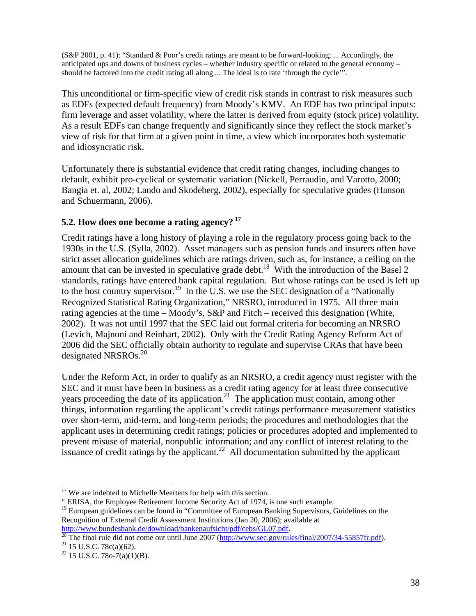(S&P 2001, p. 41): "Standard & Poor's credit ratings are meant to be forward-looking; ... Accordingly, the anticipated ups and downs of business cycles – whether industry specific or related to the general economy – should be factored into the credit rating all along ... The ideal is to rate 'through the cycle'".

This unconditional or firm-specific view of credit risk stands in contrast to risk measures such as EDFs (expected default frequency) from Moody's KMV. An EDF has two principal inputs: firm leverage and asset volatility, where the latter is derived from equity (stock price) volatility. As a result EDFs can change frequently and significantly since they reflect the stock market's view of risk for that firm at a given point in time, a view which incorporates both systematic and idiosyncratic risk.

Unfortunately there is substantial evidence that credit rating changes, including changes to default, exhibit pro-cyclical or systematic variation (Nickell, Perraudin, and Varotto, 2000; Bangia et. al, 2002; Lando and Skodeberg, 2002), especially for speculative grades (Hanson and Schuermann, 2006).

# **5.2. How does one become a rating agency?<sup>17</sup>**

Credit ratings have a long history of playing a role in the regulatory process going back to the 1930s in the U.S. (Sylla, 2002). Asset managers such as pension funds and insurers often have strict asset allocation guidelines which are ratings driven, such as, for instance, a ceiling on the amount that can be invested in speculative grade debt.<sup>18</sup> With the introduction of the Basel 2 standards, ratings have entered bank capital regulation. But whose ratings can be used is left up to the host country supervisor.<sup>19</sup> In the U.S. we use the SEC designation of a "Nationally" Recognized Statistical Rating Organization," NRSRO, introduced in 1975. All three main rating agencies at the time – Moody's, S&P and Fitch – received this designation (White, 2002). It was not until 1997 that the SEC laid out formal criteria for becoming an NRSRO (Levich, Majnoni and Reinhart, 2002). Only with the Credit Rating Agency Reform Act of 2006 did the SEC officially obtain authority to regulate and supervise CRAs that have been designated NRSROs.<sup>20</sup>

Under the Reform Act, in order to qualify as an NRSRO, a credit agency must register with the SEC and it must have been in business as a credit rating agency for at least three consecutive years proceeding the date of its application.<sup>21</sup> The application must contain, among other things, information regarding the applicant's credit ratings performance measurement statistics over short-term, mid-term, and long-term periods; the procedures and methodologies that the applicant uses in determining credit ratings; policies or procedures adopted and implemented to prevent misuse of material, nonpublic information; and any conflict of interest relating to the issuance of credit ratings by the applicant.<sup>22</sup> All documentation submitted by the applicant

 $\overline{a}$ 

 $17$  We are indebted to Michelle Meertens for help with this section.

<sup>&</sup>lt;sup>18</sup> ERISA, the Employee Retirement Income Security Act of 1974, is one such example.

<sup>&</sup>lt;sup>19</sup> European guidelines can be found in "Committee of European Banking Supervisors, Guidelines on the Recognition of External Credit Assessment Institutions (Jan 20, 2006); available at

http://www.bundesbank.de/download/bankenaufsicht/pdf/cebs/GL07.pdf.<br><sup>20</sup> The final rule did not come out until June 2007 (http://www.sec.gov/rules/final/2007/34-55857fr.pdf).<br><sup>21</sup> 15 U.S.C. 78c(a)(62).

 $22$  15 U.S.C. 78o-7(a)(1)(B).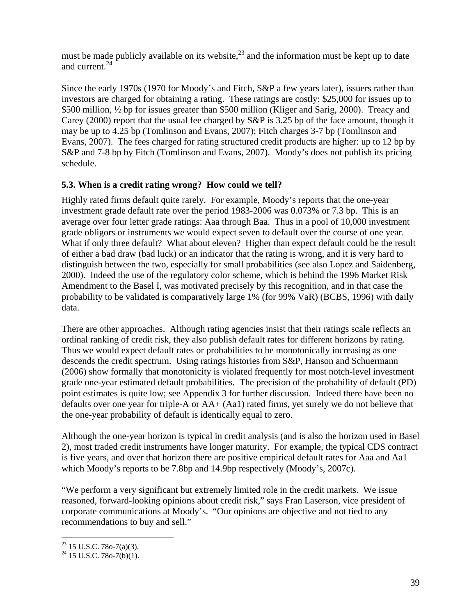must be made publicly available on its website,  $2<sup>3</sup>$  and the information must be kept up to date and current.<sup>24</sup>

Since the early 1970s (1970 for Moody's and Fitch, S&P a few years later), issuers rather than investors are charged for obtaining a rating. These ratings are costly: \$25,000 for issues up to \$500 million, ½ bp for issues greater than \$500 million (Kliger and Sarig, 2000). Treacy and Carey (2000) report that the usual fee charged by  $S\&P$  is 3.25 bp of the face amount, though it may be up to 4.25 bp (Tomlinson and Evans, 2007); Fitch charges 3-7 bp (Tomlinson and Evans, 2007). The fees charged for rating structured credit products are higher: up to 12 bp by S&P and 7-8 bp by Fitch (Tomlinson and Evans, 2007). Moody's does not publish its pricing schedule.

# **5.3. When is a credit rating wrong? How could we tell?**

Highly rated firms default quite rarely. For example, Moody's reports that the one-year investment grade default rate over the period 1983-2006 was 0.073% or 7.3 bp. This is an average over four letter grade ratings: Aaa through Baa. Thus in a pool of 10,000 investment grade obligors or instruments we would expect seven to default over the course of one year. What if only three default? What about eleven? Higher than expect default could be the result of either a bad draw (bad luck) or an indicator that the rating is wrong, and it is very hard to distinguish between the two, especially for small probabilities (see also Lopez and Saidenberg, 2000). Indeed the use of the regulatory color scheme, which is behind the 1996 Market Risk Amendment to the Basel I, was motivated precisely by this recognition, and in that case the probability to be validated is comparatively large 1% (for 99% VaR) (BCBS, 1996) with daily data.

There are other approaches. Although rating agencies insist that their ratings scale reflects an ordinal ranking of credit risk, they also publish default rates for different horizons by rating. Thus we would expect default rates or probabilities to be monotonically increasing as one descends the credit spectrum. Using ratings histories from S&P, Hanson and Schuermann (2006) show formally that monotonicity is violated frequently for most notch-level investment grade one-year estimated default probabilities. The precision of the probability of default (PD) point estimates is quite low; see Appendix 3 for further discussion. Indeed there have been no defaults over one year for triple-A or AA+ (Aa1) rated firms, yet surely we do not believe that the one-year probability of default is identically equal to zero.

Although the one-year horizon is typical in credit analysis (and is also the horizon used in Basel 2), most traded credit instruments have longer maturity. For example, the typical CDS contract is five years, and over that horizon there are positive empirical default rates for Aaa and Aa1 which Moody's reports to be 7.8bp and 14.9bp respectively (Moody's, 2007c).

"We perform a very significant but extremely limited role in the credit markets. We issue reasoned, forward-looking opinions about credit risk," says Fran Laserson, vice president of corporate communications at Moody's. "Our opinions are objective and not tied to any recommendations to buy and sell."

 $\overline{a}$ 

 $23$  15 U.S.C. 78o-7(a)(3).

 $^{24}$  15 U.S.C. 78o-7(b)(1).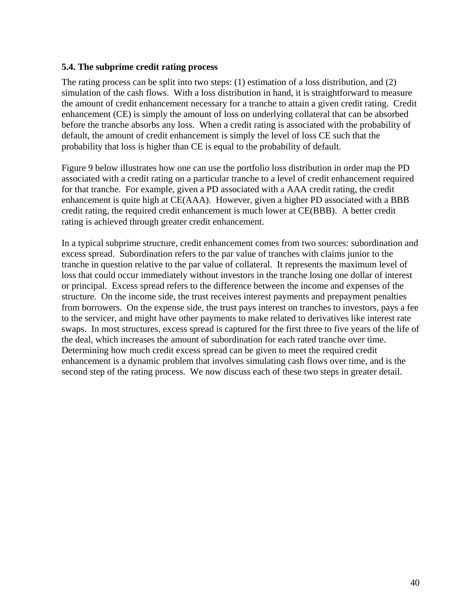## **5.4. The subprime credit rating process**

The rating process can be split into two steps: (1) estimation of a loss distribution, and (2) simulation of the cash flows. With a loss distribution in hand, it is straightforward to measure the amount of credit enhancement necessary for a tranche to attain a given credit rating. Credit enhancement (CE) is simply the amount of loss on underlying collateral that can be absorbed before the tranche absorbs any loss. When a credit rating is associated with the probability of default, the amount of credit enhancement is simply the level of loss CE such that the probability that loss is higher than CE is equal to the probability of default.

Figure 9 below illustrates how one can use the portfolio loss distribution in order map the PD associated with a credit rating on a particular tranche to a level of credit enhancement required for that tranche. For example, given a PD associated with a AAA credit rating, the credit enhancement is quite high at CE(AAA). However, given a higher PD associated with a BBB credit rating, the required credit enhancement is much lower at CE(BBB). A better credit rating is achieved through greater credit enhancement.

In a typical subprime structure, credit enhancement comes from two sources: subordination and excess spread. Subordination refers to the par value of tranches with claims junior to the tranche in question relative to the par value of collateral. It represents the maximum level of loss that could occur immediately without investors in the tranche losing one dollar of interest or principal. Excess spread refers to the difference between the income and expenses of the structure. On the income side, the trust receives interest payments and prepayment penalties from borrowers. On the expense side, the trust pays interest on tranches to investors, pays a fee to the servicer, and might have other payments to make related to derivatives like interest rate swaps. In most structures, excess spread is captured for the first three to five years of the life of the deal, which increases the amount of subordination for each rated tranche over time. Determining how much credit excess spread can be given to meet the required credit enhancement is a dynamic problem that involves simulating cash flows over time, and is the second step of the rating process. We now discuss each of these two steps in greater detail.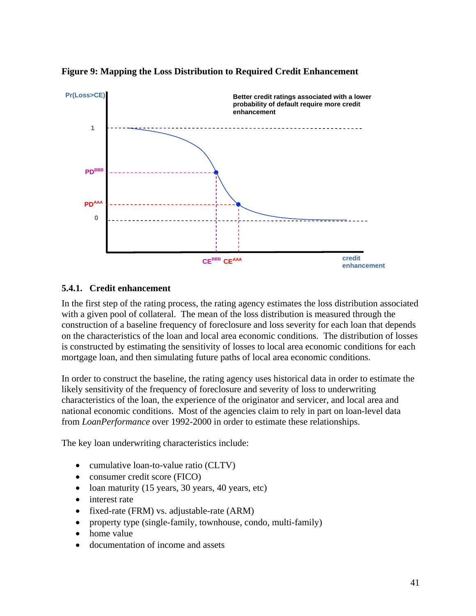



# **5.4.1. Credit enhancement**

In the first step of the rating process, the rating agency estimates the loss distribution associated with a given pool of collateral. The mean of the loss distribution is measured through the construction of a baseline frequency of foreclosure and loss severity for each loan that depends on the characteristics of the loan and local area economic conditions. The distribution of losses is constructed by estimating the sensitivity of losses to local area economic conditions for each mortgage loan, and then simulating future paths of local area economic conditions.

In order to construct the baseline, the rating agency uses historical data in order to estimate the likely sensitivity of the frequency of foreclosure and severity of loss to underwriting characteristics of the loan, the experience of the originator and servicer, and local area and national economic conditions. Most of the agencies claim to rely in part on loan-level data from *LoanPerformance* over 1992-2000 in order to estimate these relationships.

The key loan underwriting characteristics include:

- cumulative loan-to-value ratio (CLTV)
- consumer credit score (FICO)
- loan maturity (15 years, 30 years, 40 years, etc)
- interest rate
- fixed-rate (FRM) vs. adjustable-rate (ARM)
- property type (single-family, townhouse, condo, multi-family)
- home value
- documentation of income and assets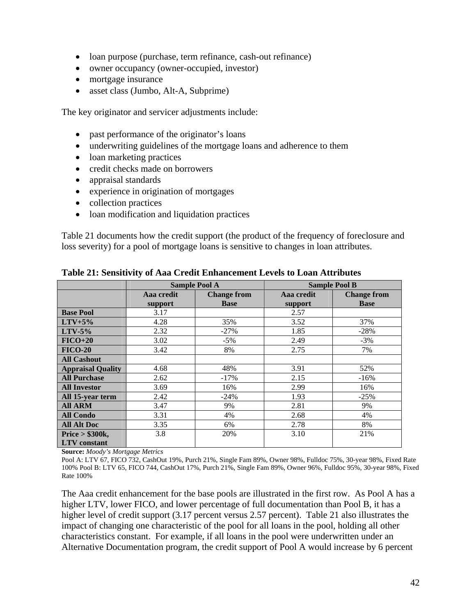- loan purpose (purchase, term refinance, cash-out refinance)
- owner occupancy (owner-occupied, investor)
- mortgage insurance
- asset class (Jumbo, Alt-A, Subprime)

The key originator and servicer adjustments include:

- past performance of the originator's loans
- underwriting guidelines of the mortgage loans and adherence to them
- loan marketing practices
- credit checks made on borrowers
- appraisal standards
- experience in origination of mortgages
- collection practices
- loan modification and liquidation practices

Table 21 documents how the credit support (the product of the frequency of foreclosure and loss severity) for a pool of mortgage loans is sensitive to changes in loan attributes.

|                          |            | <b>Sample Pool A</b> | <b>Sample Pool B</b> |                    |  |
|--------------------------|------------|----------------------|----------------------|--------------------|--|
|                          | Aaa credit | <b>Change from</b>   | Aaa credit           | <b>Change from</b> |  |
|                          | support    | <b>Base</b>          | support              | <b>Base</b>        |  |
| <b>Base Pool</b>         | 3.17       |                      | 2.57                 |                    |  |
| $LTV+5%$                 | 4.28       | 35%                  | 3.52                 | 37%                |  |
| <b>LTV-5%</b>            | 2.32       | $-27%$               | 1.85                 | $-28%$             |  |
| $FICO+20$                | 3.02       | $-5\%$               | 2.49                 | $-3\%$             |  |
| <b>FICO-20</b>           | 3.42       | 8%                   | 2.75                 | 7%                 |  |
| <b>All Cashout</b>       |            |                      |                      |                    |  |
| <b>Appraisal Quality</b> | 4.68       | 48%                  | 3.91                 | 52%                |  |
| <b>All Purchase</b>      | 2.62       | $-17\%$              | 2.15                 | $-16%$             |  |
| <b>All Investor</b>      | 3.69       | 16%                  | 2.99                 | 16%                |  |
| All 15-year term         | 2.42       | $-24%$               | 1.93                 | $-25%$             |  |
| <b>All ARM</b>           | 3.47       | 9%                   | 2.81                 | 9%                 |  |
| <b>All Condo</b>         | 3.31       | 4%                   | 2.68                 | 4%                 |  |
| <b>All Alt Doc</b>       | 3.35       | 6%                   | 2.78                 | 8%                 |  |
| Price $>$ \$300k,        | 3.8        | 20%                  | 3.10                 | 21%                |  |
| <b>LTV</b> constant      |            |                      |                      |                    |  |

**Table 21: Sensitivity of Aaa Credit Enhancement Levels to Loan Attributes** 

**Source:** *Moody's Mortgage Metrics*

Pool A: LTV 67, FICO 732, CashOut 19%, Purch 21%, Single Fam 89%, Owner 98%, Fulldoc 75%, 30-year 98%, Fixed Rate 100% Pool B: LTV 65, FICO 744, CashOut 17%, Purch 21%, Single Fam 89%, Owner 96%, Fulldoc 95%, 30-year 98%, Fixed Rate 100%

The Aaa credit enhancement for the base pools are illustrated in the first row. As Pool A has a higher LTV, lower FICO, and lower percentage of full documentation than Pool B, it has a higher level of credit support  $(3.17$  percent versus 2.57 percent). Table 21 also illustrates the impact of changing one characteristic of the pool for all loans in the pool, holding all other characteristics constant. For example, if all loans in the pool were underwritten under an Alternative Documentation program, the credit support of Pool A would increase by 6 percent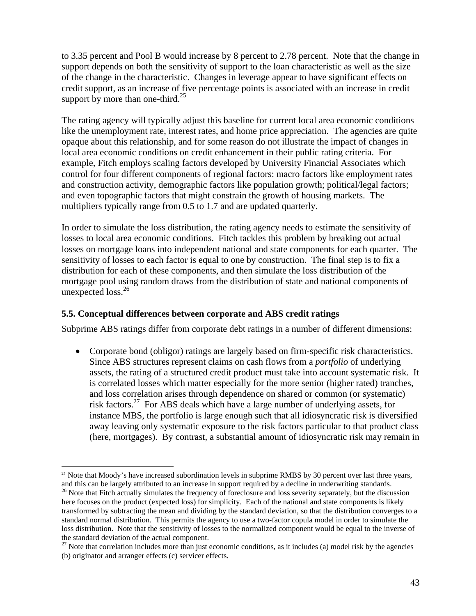to 3.35 percent and Pool B would increase by 8 percent to 2.78 percent. Note that the change in support depends on both the sensitivity of support to the loan characteristic as well as the size of the change in the characteristic. Changes in leverage appear to have significant effects on credit support, as an increase of five percentage points is associated with an increase in credit support by more than one-third. $^{25}$ 

The rating agency will typically adjust this baseline for current local area economic conditions like the unemployment rate, interest rates, and home price appreciation. The agencies are quite opaque about this relationship, and for some reason do not illustrate the impact of changes in local area economic conditions on credit enhancement in their public rating criteria. For example, Fitch employs scaling factors developed by University Financial Associates which control for four different components of regional factors: macro factors like employment rates and construction activity, demographic factors like population growth; political/legal factors; and even topographic factors that might constrain the growth of housing markets. The multipliers typically range from 0.5 to 1.7 and are updated quarterly.

In order to simulate the loss distribution, the rating agency needs to estimate the sensitivity of losses to local area economic conditions. Fitch tackles this problem by breaking out actual losses on mortgage loans into independent national and state components for each quarter. The sensitivity of losses to each factor is equal to one by construction. The final step is to fix a distribution for each of these components, and then simulate the loss distribution of the mortgage pool using random draws from the distribution of state and national components of unexpected loss.<sup>26</sup>

# **5.5. Conceptual differences between corporate and ABS credit ratings**

Subprime ABS ratings differ from corporate debt ratings in a number of different dimensions:

• Corporate bond (obligor) ratings are largely based on firm-specific risk characteristics. Since ABS structures represent claims on cash flows from a *portfolio* of underlying assets, the rating of a structured credit product must take into account systematic risk. It is correlated losses which matter especially for the more senior (higher rated) tranches, and loss correlation arises through dependence on shared or common (or systematic) risk factors.<sup>27</sup> For ABS deals which have a large number of underlying assets, for instance MBS, the portfolio is large enough such that all idiosyncratic risk is diversified away leaving only systematic exposure to the risk factors particular to that product class (here, mortgages). By contrast, a substantial amount of idiosyncratic risk may remain in

 $\overline{a}$ <sup>25</sup> Note that Moody's have increased subordination levels in subprime RMBS by 30 percent over last three years, and this can be largely attributed to an increase in support required by a decline in underwriting standards.

<sup>&</sup>lt;sup>26</sup> Note that Fitch actually simulates the frequency of foreclosure and loss severity separately, but the discussion here focuses on the product (expected loss) for simplicity. Each of the national and state components is likely transformed by subtracting the mean and dividing by the standard deviation, so that the distribution converges to a standard normal distribution. This permits the agency to use a two-factor copula model in order to simulate the loss distribution. Note that the sensitivity of losses to the normalized component would be equal to the inverse of the standard deviation of the actual component.

 $27$  Note that correlation includes more than just economic conditions, as it includes (a) model risk by the agencies (b) originator and arranger effects (c) servicer effects.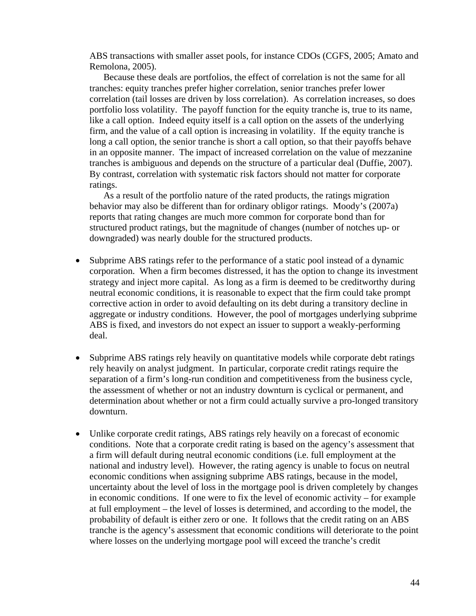ABS transactions with smaller asset pools, for instance CDOs (CGFS, 2005; Amato and Remolona, 2005).

Because these deals are portfolios, the effect of correlation is not the same for all tranches: equity tranches prefer higher correlation, senior tranches prefer lower correlation (tail losses are driven by loss correlation). As correlation increases, so does portfolio loss volatility. The payoff function for the equity tranche is, true to its name, like a call option. Indeed equity itself is a call option on the assets of the underlying firm, and the value of a call option is increasing in volatility. If the equity tranche is long a call option, the senior tranche is short a call option, so that their payoffs behave in an opposite manner. The impact of increased correlation on the value of mezzanine tranches is ambiguous and depends on the structure of a particular deal (Duffie, 2007). By contrast, correlation with systematic risk factors should not matter for corporate ratings.

As a result of the portfolio nature of the rated products, the ratings migration behavior may also be different than for ordinary obligor ratings. Moody's (2007a) reports that rating changes are much more common for corporate bond than for structured product ratings, but the magnitude of changes (number of notches up- or downgraded) was nearly double for the structured products.

- Subprime ABS ratings refer to the performance of a static pool instead of a dynamic corporation. When a firm becomes distressed, it has the option to change its investment strategy and inject more capital. As long as a firm is deemed to be creditworthy during neutral economic conditions, it is reasonable to expect that the firm could take prompt corrective action in order to avoid defaulting on its debt during a transitory decline in aggregate or industry conditions. However, the pool of mortgages underlying subprime ABS is fixed, and investors do not expect an issuer to support a weakly-performing deal.
- Subprime ABS ratings rely heavily on quantitative models while corporate debt ratings rely heavily on analyst judgment. In particular, corporate credit ratings require the separation of a firm's long-run condition and competitiveness from the business cycle, the assessment of whether or not an industry downturn is cyclical or permanent, and determination about whether or not a firm could actually survive a pro-longed transitory downturn.
- Unlike corporate credit ratings, ABS ratings rely heavily on a forecast of economic conditions. Note that a corporate credit rating is based on the agency's assessment that a firm will default during neutral economic conditions (i.e. full employment at the national and industry level). However, the rating agency is unable to focus on neutral economic conditions when assigning subprime ABS ratings, because in the model, uncertainty about the level of loss in the mortgage pool is driven completely by changes in economic conditions. If one were to fix the level of economic activity – for example at full employment – the level of losses is determined, and according to the model, the probability of default is either zero or one. It follows that the credit rating on an ABS tranche is the agency's assessment that economic conditions will deteriorate to the point where losses on the underlying mortgage pool will exceed the tranche's credit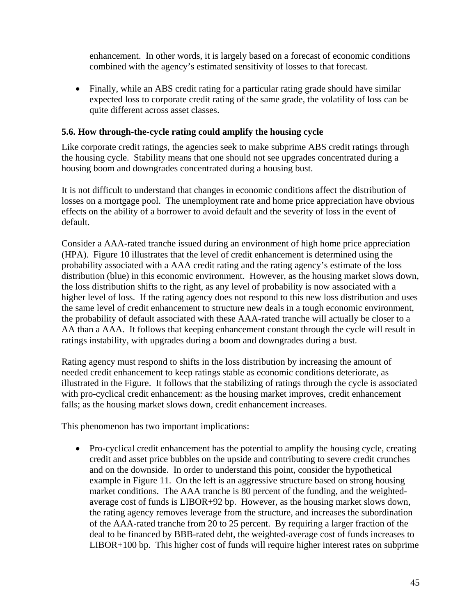enhancement. In other words, it is largely based on a forecast of economic conditions combined with the agency's estimated sensitivity of losses to that forecast.

• Finally, while an ABS credit rating for a particular rating grade should have similar expected loss to corporate credit rating of the same grade, the volatility of loss can be quite different across asset classes.

# **5.6. How through-the-cycle rating could amplify the housing cycle**

Like corporate credit ratings, the agencies seek to make subprime ABS credit ratings through the housing cycle. Stability means that one should not see upgrades concentrated during a housing boom and downgrades concentrated during a housing bust.

It is not difficult to understand that changes in economic conditions affect the distribution of losses on a mortgage pool. The unemployment rate and home price appreciation have obvious effects on the ability of a borrower to avoid default and the severity of loss in the event of default.

Consider a AAA-rated tranche issued during an environment of high home price appreciation (HPA). Figure 10 illustrates that the level of credit enhancement is determined using the probability associated with a AAA credit rating and the rating agency's estimate of the loss distribution (blue) in this economic environment. However, as the housing market slows down, the loss distribution shifts to the right, as any level of probability is now associated with a higher level of loss. If the rating agency does not respond to this new loss distribution and uses the same level of credit enhancement to structure new deals in a tough economic environment, the probability of default associated with these AAA-rated tranche will actually be closer to a AA than a AAA. It follows that keeping enhancement constant through the cycle will result in ratings instability, with upgrades during a boom and downgrades during a bust.

Rating agency must respond to shifts in the loss distribution by increasing the amount of needed credit enhancement to keep ratings stable as economic conditions deteriorate, as illustrated in the Figure. It follows that the stabilizing of ratings through the cycle is associated with pro-cyclical credit enhancement: as the housing market improves, credit enhancement falls; as the housing market slows down, credit enhancement increases.

This phenomenon has two important implications:

• Pro-cyclical credit enhancement has the potential to amplify the housing cycle, creating credit and asset price bubbles on the upside and contributing to severe credit crunches and on the downside. In order to understand this point, consider the hypothetical example in Figure 11. On the left is an aggressive structure based on strong housing market conditions. The AAA tranche is 80 percent of the funding, and the weightedaverage cost of funds is LIBOR+92 bp. However, as the housing market slows down, the rating agency removes leverage from the structure, and increases the subordination of the AAA-rated tranche from 20 to 25 percent. By requiring a larger fraction of the deal to be financed by BBB-rated debt, the weighted-average cost of funds increases to LIBOR+100 bp. This higher cost of funds will require higher interest rates on subprime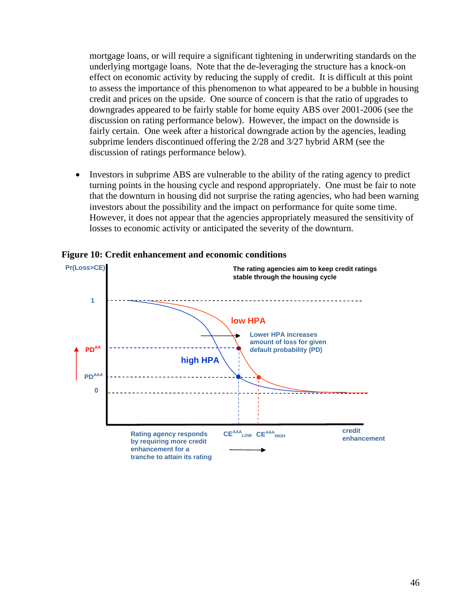mortgage loans, or will require a significant tightening in underwriting standards on the underlying mortgage loans. Note that the de-leveraging the structure has a knock-on effect on economic activity by reducing the supply of credit. It is difficult at this point to assess the importance of this phenomenon to what appeared to be a bubble in housing credit and prices on the upside. One source of concern is that the ratio of upgrades to downgrades appeared to be fairly stable for home equity ABS over 2001-2006 (see the discussion on rating performance below). However, the impact on the downside is fairly certain. One week after a historical downgrade action by the agencies, leading subprime lenders discontinued offering the 2/28 and 3/27 hybrid ARM (see the discussion of ratings performance below).

• Investors in subprime ABS are vulnerable to the ability of the rating agency to predict turning points in the housing cycle and respond appropriately. One must be fair to note that the downturn in housing did not surprise the rating agencies, who had been warning investors about the possibility and the impact on performance for quite some time. However, it does not appear that the agencies appropriately measured the sensitivity of losses to economic activity or anticipated the severity of the downturn.



**Figure 10: Credit enhancement and economic conditions**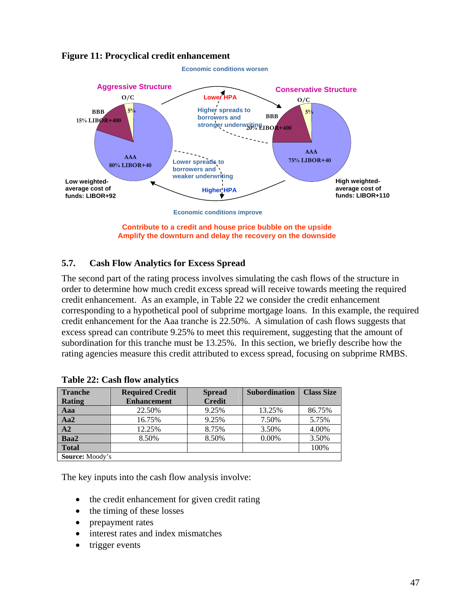



**Amplify the downturn and delay the recovery on the downside** 

# **5.7. Cash Flow Analytics for Excess Spread**

The second part of the rating process involves simulating the cash flows of the structure in order to determine how much credit excess spread will receive towards meeting the required credit enhancement. As an example, in Table 22 we consider the credit enhancement corresponding to a hypothetical pool of subprime mortgage loans. In this example, the required credit enhancement for the Aaa tranche is 22.50%. A simulation of cash flows suggests that excess spread can contribute 9.25% to meet this requirement, suggesting that the amount of subordination for this tranche must be 13.25%. In this section, we briefly describe how the rating agencies measure this credit attributed to excess spread, focusing on subprime RMBS.

| <b>Tranche</b>         | <b>Required Credit</b> | <b>Spread</b> | <b>Subordination</b> | <b>Class Size</b> |  |  |  |
|------------------------|------------------------|---------------|----------------------|-------------------|--|--|--|
| <b>Rating</b>          | <b>Enhancement</b>     | <b>Credit</b> |                      |                   |  |  |  |
| Aaa                    | 22.50%                 | 9.25%         | 13.25%               | 86.75%            |  |  |  |
| Aa2                    | 16.75%                 | 9.25%         | 7.50%                | 5.75%             |  |  |  |
| A2                     | 12.25%                 | 8.75%         | 3.50%                | 4.00%             |  |  |  |
| Baa2                   | 8.50%                  | 8.50%         | $0.00\%$             | 3.50%             |  |  |  |
| <b>Total</b>           |                        |               |                      | 100%              |  |  |  |
| <b>Source: Moody's</b> |                        |               |                      |                   |  |  |  |

# **Table 22: Cash flow analytics**

The key inputs into the cash flow analysis involve:

- the credit enhancement for given credit rating
- the timing of these losses
- prepayment rates
- interest rates and index mismatches
- trigger events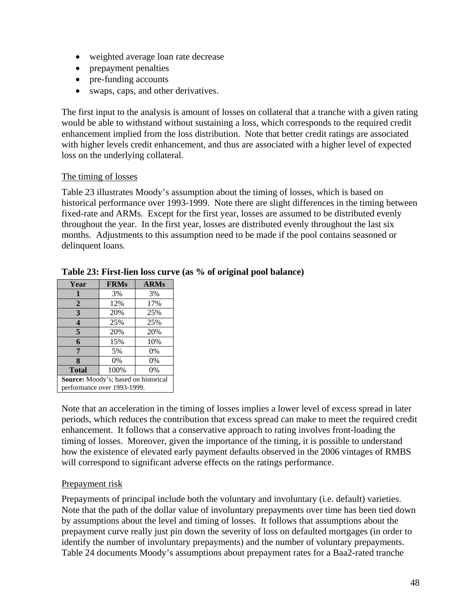- weighted average loan rate decrease
- prepayment penalties
- pre-funding accounts
- swaps, caps, and other derivatives.

The first input to the analysis is amount of losses on collateral that a tranche with a given rating would be able to withstand without sustaining a loss, which corresponds to the required credit enhancement implied from the loss distribution. Note that better credit ratings are associated with higher levels credit enhancement, and thus are associated with a higher level of expected loss on the underlying collateral.

# The timing of losses

Table 23 illustrates Moody's assumption about the timing of losses, which is based on historical performance over 1993-1999. Note there are slight differences in the timing between fixed-rate and ARMs. Except for the first year, losses are assumed to be distributed evenly throughout the year. In the first year, losses are distributed evenly throughout the last six months. Adjustments to this assumption need to be made if the pool contains seasoned or delinquent loans.

| Year                                 | <b>FRMs</b> | <b>ARMs</b> |  |  |  |
|--------------------------------------|-------------|-------------|--|--|--|
| 1                                    | 3%          | 3%          |  |  |  |
| $\overline{2}$                       | 12%         | 17%         |  |  |  |
| 3                                    | 20%         | 25%         |  |  |  |
| $\overline{\mathbf{4}}$              | 25%         | 25%         |  |  |  |
| 5                                    | 20%         | 20%         |  |  |  |
| 6                                    | 15%         | 10%         |  |  |  |
| 7                                    | 5%          | 0%          |  |  |  |
| 8                                    | 0%          | 0%          |  |  |  |
| 100%<br><b>Total</b><br>0%           |             |             |  |  |  |
| Source: Moody's; based on historical |             |             |  |  |  |
| performance over 1993-1999.          |             |             |  |  |  |

# **Table 23: First-lien loss curve (as % of original pool balance)**

Note that an acceleration in the timing of losses implies a lower level of excess spread in later periods, which reduces the contribution that excess spread can make to meet the required credit enhancement. It follows that a conservative approach to rating involves front-loading the timing of losses. Moreover, given the importance of the timing, it is possible to understand how the existence of elevated early payment defaults observed in the 2006 vintages of RMBS will correspond to significant adverse effects on the ratings performance.

# Prepayment risk

Prepayments of principal include both the voluntary and involuntary (i.e. default) varieties. Note that the path of the dollar value of involuntary prepayments over time has been tied down by assumptions about the level and timing of losses. It follows that assumptions about the prepayment curve really just pin down the severity of loss on defaulted mortgages (in order to identify the number of involuntary prepayments) and the number of voluntary prepayments. Table 24 documents Moody's assumptions about prepayment rates for a Baa2-rated tranche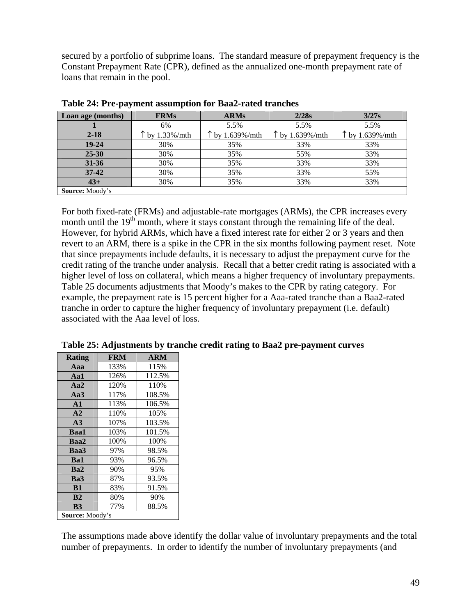secured by a portfolio of subprime loans. The standard measure of prepayment frequency is the Constant Prepayment Rate (CPR), defined as the annualized one-month prepayment rate of loans that remain in the pool.

| Loan age (months)      | <b>FRMs</b>      | <b>ARMs</b>   | 2/28s         | 3/27s         |
|------------------------|------------------|---------------|---------------|---------------|
|                        | 6%               | 5.5%          | 5.5%          | 5.5%          |
| $2 - 18$               | by $1.33\%$ /mth | by 1.639%/mth | by 1.639%/mth | by 1.639%/mth |
| 19-24                  | 30%              | 35%           | 33%           | 33%           |
| $25 - 30$              | 30%              | 35%           | 55%           | 33%           |
| $31 - 36$              | 30%              | 35%           | 33%           | 33%           |
| $37-42$                | 30%              | 35%           | 33%           | 55%           |
| $43+$                  | 30%              | 35%           | 33%           | 33%           |
| <b>Source: Moody's</b> |                  |               |               |               |

**Table 24: Pre-payment assumption for Baa2-rated tranches** 

For both fixed-rate (FRMs) and adjustable-rate mortgages (ARMs), the CPR increases every month until the  $19<sup>th</sup>$  month, where it stays constant through the remaining life of the deal. However, for hybrid ARMs, which have a fixed interest rate for either 2 or 3 years and then revert to an ARM, there is a spike in the CPR in the six months following payment reset. Note that since prepayments include defaults, it is necessary to adjust the prepayment curve for the credit rating of the tranche under analysis. Recall that a better credit rating is associated with a higher level of loss on collateral, which means a higher frequency of involuntary prepayments. Table 25 documents adjustments that Moody's makes to the CPR by rating category. For example, the prepayment rate is 15 percent higher for a Aaa-rated tranche than a Baa2-rated tranche in order to capture the higher frequency of involuntary prepayment (i.e. default) associated with the Aaa level of loss.

| <b>Rating</b> | <b>FRM</b>             | <b>ARM</b> |  |  |  |  |  |
|---------------|------------------------|------------|--|--|--|--|--|
| Aaa           | 133%                   | 115%       |  |  |  |  |  |
| Aa1           | 126%                   | 112.5%     |  |  |  |  |  |
| Aa2           | 120%                   | 110%       |  |  |  |  |  |
| Aa3           | 117%                   | 108.5%     |  |  |  |  |  |
| ${\bf A1}$    | 113%                   | 106.5%     |  |  |  |  |  |
| A2            | 110%                   | 105%       |  |  |  |  |  |
| A3            | 107%                   | 103.5%     |  |  |  |  |  |
| <b>Baa1</b>   | 103%                   | 101.5%     |  |  |  |  |  |
| Baa2          | 100%                   | 100%       |  |  |  |  |  |
| Baa3          | 97%                    | 98.5%      |  |  |  |  |  |
| Ba1           | 93%                    | 96.5%      |  |  |  |  |  |
| Ba2           | 90%                    | 95%        |  |  |  |  |  |
| Ba3           | 87%                    | 93.5%      |  |  |  |  |  |
| <b>B1</b>     | 83%                    | 91.5%      |  |  |  |  |  |
| B2            | 80%                    | 90%        |  |  |  |  |  |
| <b>B3</b>     | 77%                    | 88.5%      |  |  |  |  |  |
|               | <b>Source: Moody's</b> |            |  |  |  |  |  |

|  |  | Table 25: Adjustments by tranche credit rating to Baa2 pre-payment curves |
|--|--|---------------------------------------------------------------------------|
|  |  |                                                                           |

The assumptions made above identify the dollar value of involuntary prepayments and the total number of prepayments. In order to identify the number of involuntary prepayments (and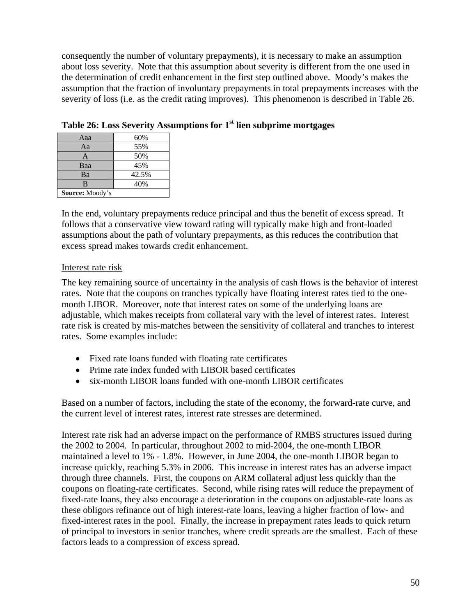consequently the number of voluntary prepayments), it is necessary to make an assumption about loss severity. Note that this assumption about severity is different from the one used in the determination of credit enhancement in the first step outlined above. Moody's makes the assumption that the fraction of involuntary prepayments in total prepayments increases with the severity of loss (i.e. as the credit rating improves). This phenomenon is described in Table 26.

| Aaa                    | 60%   |  |  |  |
|------------------------|-------|--|--|--|
| Aa                     | 55%   |  |  |  |
| A                      | 50%   |  |  |  |
| Baa                    | 45%   |  |  |  |
| Ba                     | 42.5% |  |  |  |
| B                      | 40%   |  |  |  |
| <b>Source: Moody's</b> |       |  |  |  |

**Table 26: Loss Severity Assumptions for 1st lien subprime mortgages** 

In the end, voluntary prepayments reduce principal and thus the benefit of excess spread. It follows that a conservative view toward rating will typically make high and front-loaded assumptions about the path of voluntary prepayments, as this reduces the contribution that excess spread makes towards credit enhancement.

## Interest rate risk

The key remaining source of uncertainty in the analysis of cash flows is the behavior of interest rates. Note that the coupons on tranches typically have floating interest rates tied to the onemonth LIBOR. Moreover, note that interest rates on some of the underlying loans are adjustable, which makes receipts from collateral vary with the level of interest rates. Interest rate risk is created by mis-matches between the sensitivity of collateral and tranches to interest rates. Some examples include:

- Fixed rate loans funded with floating rate certificates
- Prime rate index funded with LIBOR based certificates
- six-month LIBOR loans funded with one-month LIBOR certificates

Based on a number of factors, including the state of the economy, the forward-rate curve, and the current level of interest rates, interest rate stresses are determined.

Interest rate risk had an adverse impact on the performance of RMBS structures issued during the 2002 to 2004. In particular, throughout 2002 to mid-2004, the one-month LIBOR maintained a level to 1% - 1.8%. However, in June 2004, the one-month LIBOR began to increase quickly, reaching 5.3% in 2006. This increase in interest rates has an adverse impact through three channels. First, the coupons on ARM collateral adjust less quickly than the coupons on floating-rate certificates. Second, while rising rates will reduce the prepayment of fixed-rate loans, they also encourage a deterioration in the coupons on adjustable-rate loans as these obligors refinance out of high interest-rate loans, leaving a higher fraction of low- and fixed-interest rates in the pool. Finally, the increase in prepayment rates leads to quick return of principal to investors in senior tranches, where credit spreads are the smallest. Each of these factors leads to a compression of excess spread.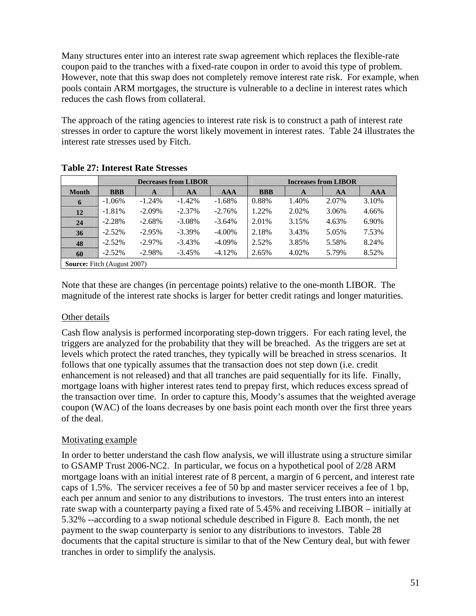Many structures enter into an interest rate swap agreement which replaces the flexible-rate coupon paid to the tranches with a fixed-rate coupon in order to avoid this type of problem. However, note that this swap does not completely remove interest rate risk. For example, when pools contain ARM mortgages, the structure is vulnerable to a decline in interest rates which reduces the cash flows from collateral.

The approach of the rating agencies to interest rate risk is to construct a path of interest rate stresses in order to capture the worst likely movement in interest rates. Table 24 illustrates the interest rate stresses used by Fitch.

|                                    | <b>Decreases from LIBOR</b> |           |           |            | <b>Increases from LIBOR</b> |       |       |            |
|------------------------------------|-----------------------------|-----------|-----------|------------|-----------------------------|-------|-------|------------|
| <b>Month</b>                       | <b>BBB</b>                  | A         | AA        | <b>AAA</b> | <b>BBB</b>                  | A     | AA    | <b>AAA</b> |
| 6                                  | $-1.06\%$                   | $-1.24%$  | $-1.42%$  | $-1.68%$   | 0.88%                       | 1.40% | 2.07% | 3.10%      |
| 12                                 | $-1.81%$                    | $-2.09\%$ | $-2.37%$  | $-2.76%$   | 1.22%                       | 2.02% | 3.06% | 4.66%      |
| 24                                 | $-2.28%$                    | $-2.68%$  | $-3.08\%$ | $-3.64%$   | 2.01%                       | 3.15% | 4.63% | 6.90%      |
| 36                                 | $-2.52%$                    | $-2.95%$  | $-3.39\%$ | $-4.00\%$  | 2.18%                       | 3.43% | 5.05% | 7.53%      |
| 48                                 | $-2.52%$                    | $-2.97\%$ | $-3.43\%$ | $-4.09\%$  | 2.52%                       | 3.85% | 5.58% | 8.24%      |
| 60                                 | $-2.52%$                    | $-2.98%$  | $-3.45%$  | $-4.12%$   | 2.65%                       | 4.02% | 5.79% | 8.52%      |
| <b>Source:</b> Fitch (August 2007) |                             |           |           |            |                             |       |       |            |

## **Table 27: Interest Rate Stresses**

Note that these are changes (in percentage points) relative to the one-month LIBOR. The magnitude of the interest rate shocks is larger for better credit ratings and longer maturities.

# Other details

Cash flow analysis is performed incorporating step-down triggers. For each rating level, the triggers are analyzed for the probability that they will be breached. As the triggers are set at levels which protect the rated tranches, they typically will be breached in stress scenarios. It follows that one typically assumes that the transaction does not step down (i.e. credit enhancement is not released) and that all tranches are paid sequentially for its life. Finally, mortgage loans with higher interest rates tend to prepay first, which reduces excess spread of the transaction over time. In order to capture this, Moody's assumes that the weighted average coupon (WAC) of the loans decreases by one basis point each month over the first three years of the deal.

## Motivating example

In order to better understand the cash flow analysis, we will illustrate using a structure similar to GSAMP Trust 2006-NC2. In particular, we focus on a hypothetical pool of 2/28 ARM mortgage loans with an initial interest rate of 8 percent, a margin of 6 percent, and interest rate caps of 1.5%. The servicer receives a fee of 50 bp and master servicer receives a fee of 1 bp, each per annum and senior to any distributions to investors. The trust enters into an interest rate swap with a counterparty paying a fixed rate of 5.45% and receiving LIBOR – initially at 5.32% --according to a swap notional schedule described in Figure 8. Each month, the net payment to the swap counterparty is senior to any distributions to investors. Table 28 documents that the capital structure is similar to that of the New Century deal, but with fewer tranches in order to simplify the analysis.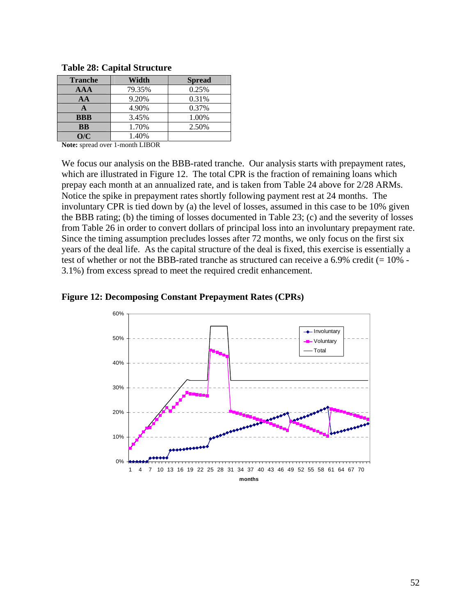| <b>Tranche</b> | Width  | <b>Spread</b> |
|----------------|--------|---------------|
| <b>AAA</b>     | 79.35% | 0.25%         |
| AA             | 9.20%  | 0.31%         |
|                | 4.90%  | 0.37%         |
| <b>BBB</b>     | 3.45%  | 1.00%         |
| <b>BB</b>      | 1.70%  | 2.50%         |
| O/C            | 1.40%  |               |

**Table 28: Capital Structure**

**Note:** spread over 1-month LIBOR

We focus our analysis on the BBB-rated tranche. Our analysis starts with prepayment rates, which are illustrated in Figure 12. The total CPR is the fraction of remaining loans which prepay each month at an annualized rate, and is taken from Table 24 above for 2/28 ARMs. Notice the spike in prepayment rates shortly following payment rest at 24 months. The involuntary CPR is tied down by (a) the level of losses, assumed in this case to be 10% given the BBB rating; (b) the timing of losses documented in Table 23; (c) and the severity of losses from Table 26 in order to convert dollars of principal loss into an involuntary prepayment rate. Since the timing assumption precludes losses after 72 months, we only focus on the first six years of the deal life. As the capital structure of the deal is fixed, this exercise is essentially a test of whether or not the BBB-rated tranche as structured can receive a 6.9% credit ( $= 10\%$ . 3.1%) from excess spread to meet the required credit enhancement.

#### **Figure 12: Decomposing Constant Prepayment Rates (CPRs)**

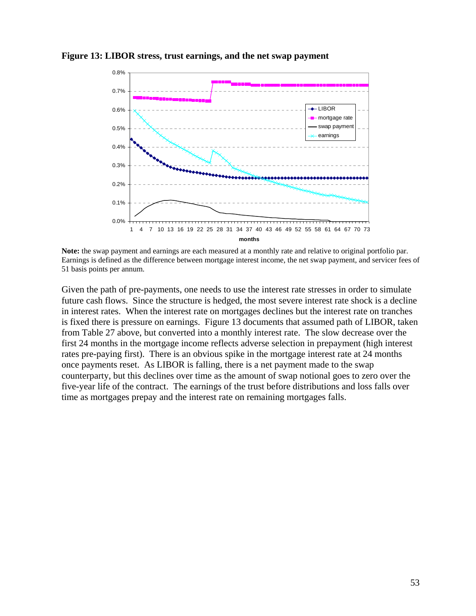

**Figure 13: LIBOR stress, trust earnings, and the net swap payment**

**Note:** the swap payment and earnings are each measured at a monthly rate and relative to original portfolio par. Earnings is defined as the difference between mortgage interest income, the net swap payment, and servicer fees of 51 basis points per annum.

Given the path of pre-payments, one needs to use the interest rate stresses in order to simulate future cash flows. Since the structure is hedged, the most severe interest rate shock is a decline in interest rates. When the interest rate on mortgages declines but the interest rate on tranches is fixed there is pressure on earnings. Figure 13 documents that assumed path of LIBOR, taken from Table 27 above, but converted into a monthly interest rate. The slow decrease over the first 24 months in the mortgage income reflects adverse selection in prepayment (high interest rates pre-paying first). There is an obvious spike in the mortgage interest rate at 24 months once payments reset. As LIBOR is falling, there is a net payment made to the swap counterparty, but this declines over time as the amount of swap notional goes to zero over the five-year life of the contract. The earnings of the trust before distributions and loss falls over time as mortgages prepay and the interest rate on remaining mortgages falls.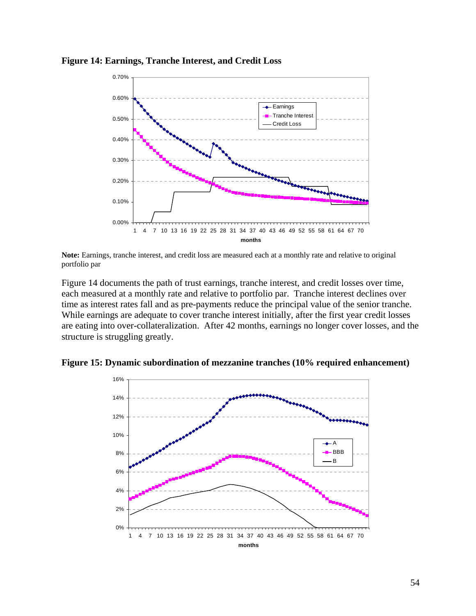

**Figure 14: Earnings, Tranche Interest, and Credit Loss**

**Note:** Earnings, tranche interest, and credit loss are measured each at a monthly rate and relative to original portfolio par

Figure 14 documents the path of trust earnings, tranche interest, and credit losses over time, each measured at a monthly rate and relative to portfolio par. Tranche interest declines over time as interest rates fall and as pre-payments reduce the principal value of the senior tranche. While earnings are adequate to cover tranche interest initially, after the first year credit losses are eating into over-collateralization. After 42 months, earnings no longer cover losses, and the structure is struggling greatly.

**Figure 15: Dynamic subordination of mezzanine tranches (10% required enhancement)**

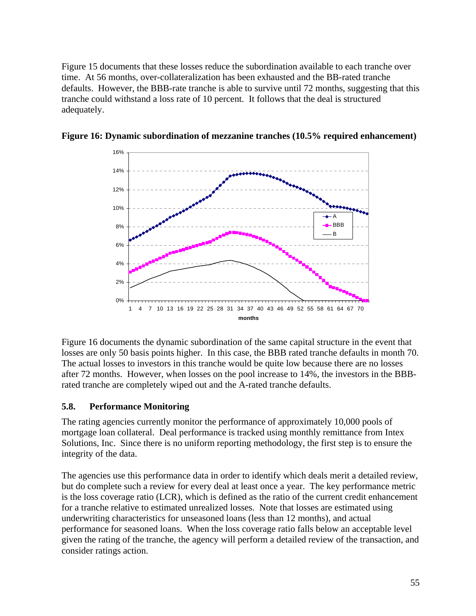Figure 15 documents that these losses reduce the subordination available to each tranche over time. At 56 months, over-collateralization has been exhausted and the BB-rated tranche defaults. However, the BBB-rate tranche is able to survive until 72 months, suggesting that this tranche could withstand a loss rate of 10 percent. It follows that the deal is structured adequately.



**Figure 16: Dynamic subordination of mezzanine tranches (10.5% required enhancement)**

Figure 16 documents the dynamic subordination of the same capital structure in the event that losses are only 50 basis points higher. In this case, the BBB rated tranche defaults in month 70. The actual losses to investors in this tranche would be quite low because there are no losses after 72 months. However, when losses on the pool increase to 14%, the investors in the BBBrated tranche are completely wiped out and the A-rated tranche defaults.

## **5.8. Performance Monitoring**

The rating agencies currently monitor the performance of approximately 10,000 pools of mortgage loan collateral. Deal performance is tracked using monthly remittance from Intex Solutions, Inc. Since there is no uniform reporting methodology, the first step is to ensure the integrity of the data.

The agencies use this performance data in order to identify which deals merit a detailed review, but do complete such a review for every deal at least once a year. The key performance metric is the loss coverage ratio (LCR), which is defined as the ratio of the current credit enhancement for a tranche relative to estimated unrealized losses. Note that losses are estimated using underwriting characteristics for unseasoned loans (less than 12 months), and actual performance for seasoned loans. When the loss coverage ratio falls below an acceptable level given the rating of the tranche, the agency will perform a detailed review of the transaction, and consider ratings action.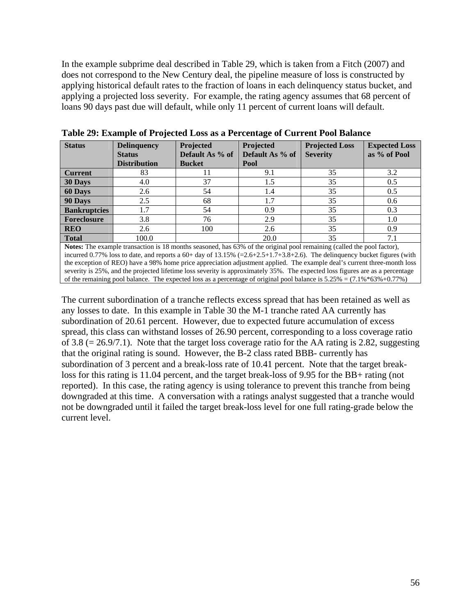In the example subprime deal described in Table 29, which is taken from a Fitch (2007) and does not correspond to the New Century deal, the pipeline measure of loss is constructed by applying historical default rates to the fraction of loans in each delinquency status bucket, and applying a projected loss severity. For example, the rating agency assumes that 68 percent of loans 90 days past due will default, while only 11 percent of current loans will default.

| <b>Status</b>                                                                                                          | <b>Delinquency</b><br><b>Status</b> | Projected<br>Default As % of                                                                                                 | Projected<br>Default As % of | <b>Projected Loss</b><br><b>Severity</b> | <b>Expected Loss</b><br>as % of Pool |  |  |  |  |
|------------------------------------------------------------------------------------------------------------------------|-------------------------------------|------------------------------------------------------------------------------------------------------------------------------|------------------------------|------------------------------------------|--------------------------------------|--|--|--|--|
|                                                                                                                        | <b>Distribution</b>                 | <b>Bucket</b>                                                                                                                | Pool                         |                                          |                                      |  |  |  |  |
| <b>Current</b>                                                                                                         | 83                                  | 11                                                                                                                           | 9.1                          | 35                                       | 3.2                                  |  |  |  |  |
| 30 Days                                                                                                                | 4.0                                 | 37                                                                                                                           | 1.5                          | 35                                       | 0.5                                  |  |  |  |  |
| 60 Days                                                                                                                | 2.6                                 | 54                                                                                                                           | 1.4                          | 35                                       | 0.5                                  |  |  |  |  |
| 90 Days                                                                                                                | 2.5                                 | 68                                                                                                                           | 1.7                          | 35                                       | 0.6                                  |  |  |  |  |
| <b>Bankruptcies</b>                                                                                                    | 1.7                                 | 54                                                                                                                           | 0.9                          | 35                                       | 0.3                                  |  |  |  |  |
| Foreclosure                                                                                                            | 3.8                                 | 76                                                                                                                           | 2.9                          | 35                                       | 1.0                                  |  |  |  |  |
| <b>REO</b>                                                                                                             | 2.6                                 | 100                                                                                                                          | 2.6                          | 35                                       | 0.9                                  |  |  |  |  |
| <b>Total</b>                                                                                                           | 100.0                               |                                                                                                                              | 20.0                         | 35                                       | 7.1                                  |  |  |  |  |
| Notes: The example transaction is 18 months seasoned, has 63% of the original pool remaining (called the pool factor), |                                     |                                                                                                                              |                              |                                          |                                      |  |  |  |  |
|                                                                                                                        |                                     | incurred 0.77% loss to date, and reports a 60+ day of 13.15% $(=2.6+2.5+1.7+3.8+2.6)$ . The delinguency bucket figures (with |                              |                                          |                                      |  |  |  |  |
|                                                                                                                        |                                     | the exception of REO) have a 98% home price appreciation adjustment applied. The example deal's current three-month loss     |                              |                                          |                                      |  |  |  |  |

**Table 29: Example of Projected Loss as a Percentage of Current Pool Balance** 

) have a 98% home price appreciation adjustment applied. The example deal's current threeseverity is 25%, and the projected lifetime loss severity is approximately 35%. The expected loss figures are as a percentage of the remaining pool balance. The expected loss as a percentage of original pool balance is  $5.25\% = (7.1\% * 63\% + 0.77\%)$ The current subordination of a tranche reflects excess spread that has been retained as well as

any losses to date. In this example in Table 30 the M-1 tranche rated AA currently has subordination of 20.61 percent. However, due to expected future accumulation of excess spread, this class can withstand losses of 26.90 percent, corresponding to a loss coverage ratio of  $3.8 (= 26.9/7.1)$ . Note that the target loss coverage ratio for the AA rating is 2.82, suggesting that the original rating is sound. However, the B-2 class rated BBB- currently has subordination of 3 percent and a break-loss rate of 10.41 percent. Note that the target breakloss for this rating is 11.04 percent, and the target break-loss of 9.95 for the BB+ rating (not reported). In this case, the rating agency is using tolerance to prevent this tranche from being downgraded at this time. A conversation with a ratings analyst suggested that a tranche would not be downgraded until it failed the target break-loss level for one full rating-grade below the current level.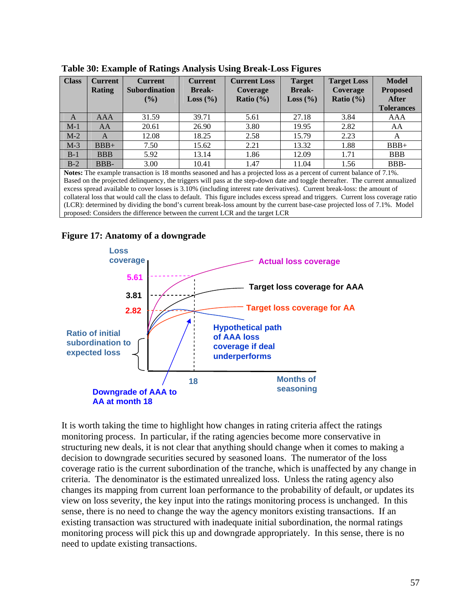| <b>Class</b> | <b>Current</b> | <b>Current</b>                 | <b>Current</b>                | <b>Current Loss</b>       | <b>Target</b>                 | <b>Target Loss</b>        | <b>Model</b>                                         |
|--------------|----------------|--------------------------------|-------------------------------|---------------------------|-------------------------------|---------------------------|------------------------------------------------------|
|              | <b>Rating</b>  | <b>Subordination</b><br>$($ %) | <b>Break-</b><br>Loss $(\% )$ | Coverage<br>Ratio $(\% )$ | <b>Break-</b><br>Loss $(\% )$ | Coverage<br>Ratio $(\% )$ | <b>Proposed</b><br><b>After</b><br><b>Tolerances</b> |
| $\mathbf{A}$ | AAA            | 31.59                          | 39.71                         | 5.61                      | 27.18                         | 3.84                      | AAA                                                  |
| $M-1$        | AA             | 20.61                          | 26.90                         | 3.80                      | 19.95                         | 2.82                      | AA                                                   |
| $M-2$        | A              | 12.08                          | 18.25                         | 2.58                      | 15.79                         | 2.23                      | A                                                    |
| $M-3$        | $BBB+$         | 7.50                           | 15.62                         | 2.21                      | 13.32                         | 1.88                      | $BBB+$                                               |
| $B-1$        | <b>BBB</b>     | 5.92                           | 13.14                         | 1.86                      | 12.09                         | 1.71                      | <b>BBB</b>                                           |
| $B-2$        | BBB-           | 3.00                           | 10.41                         | 1.47                      | 11.04                         | 1.56                      | BBB-                                                 |

**Table 30: Example of Ratings Analysis Using Break-Loss Figures**

**Notes:** The example transaction is 18 months seasoned and has a projected loss as a percent of current balance of 7.1%. Based on the projected delinquency, the triggers will pass at the step-down date and toggle thereafter. The current annualized excess spread available to cover losses is 3.10% (including interest rate derivatives). Current break-loss: the amount of collateral loss that would call the class to default. This figure includes excess spread and triggers. Current loss coverage ratio (LCR): determined by dividing the bond's current break-loss amount by the current base-case projected loss of 7.1%. Model proposed: Considers the difference between the current LCR and the target LCR

**Figure 17: Anatomy of a downgrade** 



It is worth taking the time to highlight how changes in rating criteria affect the ratings monitoring process. In particular, if the rating agencies become more conservative in structuring new deals, it is not clear that anything should change when it comes to making a decision to downgrade securities secured by seasoned loans. The numerator of the loss coverage ratio is the current subordination of the tranche, which is unaffected by any change in criteria. The denominator is the estimated unrealized loss. Unless the rating agency also changes its mapping from current loan performance to the probability of default, or updates its view on loss severity, the key input into the ratings monitoring process is unchanged. In this sense, there is no need to change the way the agency monitors existing transactions. If an existing transaction was structured with inadequate initial subordination, the normal ratings monitoring process will pick this up and downgrade appropriately. In this sense, there is no need to update existing transactions.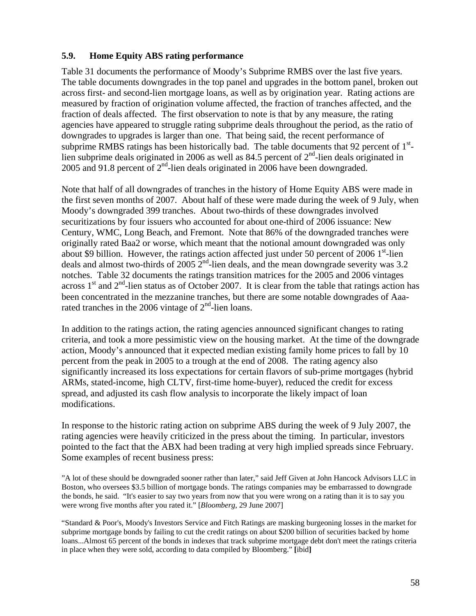# **5.9. Home Equity ABS rating performance**

Table 31 documents the performance of Moody's Subprime RMBS over the last five years. The table documents downgrades in the top panel and upgrades in the bottom panel, broken out across first- and second-lien mortgage loans, as well as by origination year. Rating actions are measured by fraction of origination volume affected, the fraction of tranches affected, and the fraction of deals affected. The first observation to note is that by any measure, the rating agencies have appeared to struggle rating subprime deals throughout the period, as the ratio of downgrades to upgrades is larger than one. That being said, the recent performance of subprime RMBS ratings has been historically bad. The table documents that 92 percent of  $1<sup>st</sup>$ lien subprime deals originated in 2006 as well as 84.5 percent of  $2<sup>nd</sup>$ -lien deals originated in 2005 and 91.8 percent of  $2<sup>nd</sup>$ -lien deals originated in 2006 have been downgraded.

Note that half of all downgrades of tranches in the history of Home Equity ABS were made in the first seven months of 2007. About half of these were made during the week of 9 July, when Moody's downgraded 399 tranches. About two-thirds of these downgrades involved securitizations by four issuers who accounted for about one-third of 2006 issuance: New Century, WMC, Long Beach, and Fremont. Note that 86% of the downgraded tranches were originally rated Baa2 or worse, which meant that the notional amount downgraded was only about \$9 billion. However, the ratings action affected just under 50 percent of 2006  $1<sup>st</sup>$ -lien deals and almost two-thirds of 2005  $2<sup>nd</sup>$ -lien deals, and the mean downgrade severity was 3.2 notches. Table 32 documents the ratings transition matrices for the 2005 and 2006 vintages across  $1<sup>st</sup>$  and  $2<sup>nd</sup>$ -lien status as of October 2007. It is clear from the table that ratings action has been concentrated in the mezzanine tranches, but there are some notable downgrades of Aaarated tranches in the 2006 vintage of  $2<sup>nd</sup>$ -lien loans.

In addition to the ratings action, the rating agencies announced significant changes to rating criteria, and took a more pessimistic view on the housing market. At the time of the downgrade action, Moody's announced that it expected median existing family home prices to fall by 10 percent from the peak in 2005 to a trough at the end of 2008. The rating agency also significantly increased its loss expectations for certain flavors of sub-prime mortgages (hybrid ARMs, stated-income, high CLTV, first-time home-buyer), reduced the credit for excess spread, and adjusted its cash flow analysis to incorporate the likely impact of loan modifications.

In response to the historic rating action on subprime ABS during the week of 9 July 2007, the rating agencies were heavily criticized in the press about the timing. In particular, investors pointed to the fact that the ABX had been trading at very high implied spreads since February. Some examples of recent business press:

"A lot of these should be downgraded sooner rather than later," said Jeff Given at John Hancock Advisors LLC in Boston, who oversees \$3.5 billion of mortgage bonds. The ratings companies may be embarrassed to downgrade the bonds, he said. "It's easier to say two years from now that you were wrong on a rating than it is to say you were wrong five months after you rated it." [*Bloomberg*, 29 June 2007]

"Standard & Poor's, Moody's Investors Service and Fitch Ratings are masking burgeoning losses in the market for subprime mortgage bonds by failing to cut the credit ratings on about \$200 billion of securities backed by home loans...Almost 65 percent of the bonds in indexes that track subprime mortgage debt don't meet the ratings criteria in place when they were sold, according to data compiled by Bloomberg." **[**ibid**]**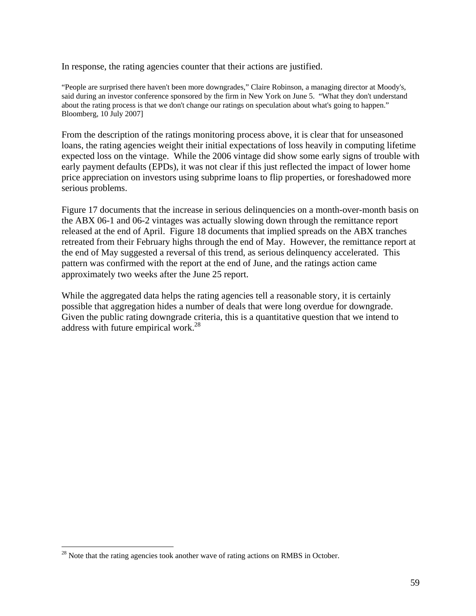In response, the rating agencies counter that their actions are justified.

"People are surprised there haven't been more downgrades," Claire Robinson, a managing director at Moody's, said during an investor conference sponsored by the firm in New York on June 5. "What they don't understand about the rating process is that we don't change our ratings on speculation about what's going to happen." Bloomberg, 10 July 2007]

From the description of the ratings monitoring process above, it is clear that for unseasoned loans, the rating agencies weight their initial expectations of loss heavily in computing lifetime expected loss on the vintage. While the 2006 vintage did show some early signs of trouble with early payment defaults (EPDs), it was not clear if this just reflected the impact of lower home price appreciation on investors using subprime loans to flip properties, or foreshadowed more serious problems.

Figure 17 documents that the increase in serious delinquencies on a month-over-month basis on the ABX 06-1 and 06-2 vintages was actually slowing down through the remittance report released at the end of April. Figure 18 documents that implied spreads on the ABX tranches retreated from their February highs through the end of May. However, the remittance report at the end of May suggested a reversal of this trend, as serious delinquency accelerated. This pattern was confirmed with the report at the end of June, and the ratings action came approximately two weeks after the June 25 report.

While the aggregated data helps the rating agencies tell a reasonable story, it is certainly possible that aggregation hides a number of deals that were long overdue for downgrade. Given the public rating downgrade criteria, this is a quantitative question that we intend to address with future empirical work.<sup>28</sup>

 $\overline{a}$ 

 $^{28}$  Note that the rating agencies took another wave of rating actions on RMBS in October.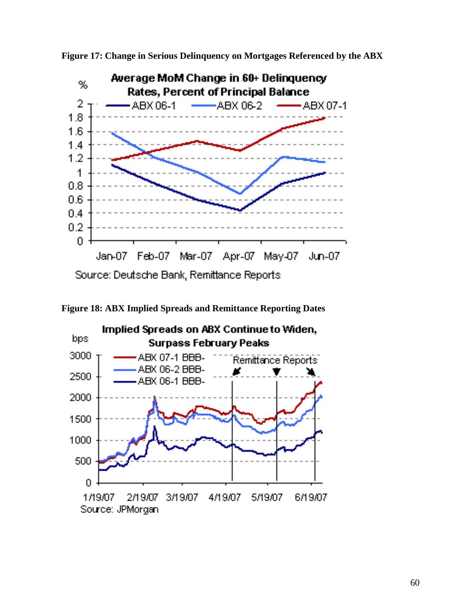

**Figure 17: Change in Serious Delinquency on Mortgages Referenced by the ABX** 

**Figure 18: ABX Implied Spreads and Remittance Reporting Dates** 

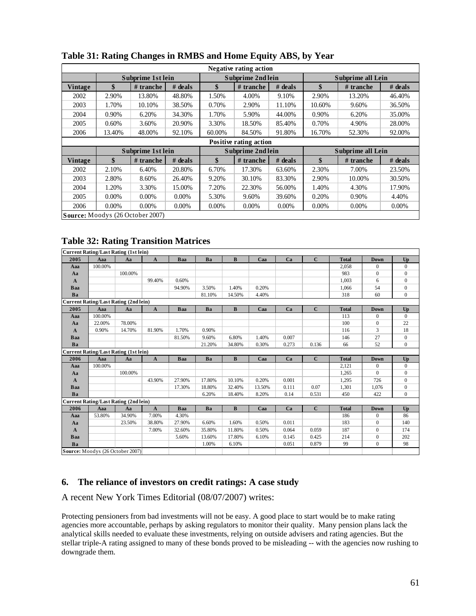| Negative rating action           |                                        |                   |           |        |                        |                   |        |                          |           |
|----------------------------------|----------------------------------------|-------------------|-----------|--------|------------------------|-------------------|--------|--------------------------|-----------|
|                                  | Subprime 2nd lein<br>Subprime 1st lein |                   |           |        |                        | Subprime all Lein |        |                          |           |
| <b>Vintage</b>                   | \$                                     | $#$ tranche       | $#$ deals | \$     | # tranche              | $#$ deals         | \$     | $#$ tranche              | $#$ deals |
| 2002                             | 2.90%                                  | 13.80%            | 48.80%    | 1.50%  | 4.00%                  | 9.10%             | 2.90%  | 13.20%                   | 46.40%    |
| 2003                             | 1.70%                                  | 10.10%            | 38.50%    | 0.70%  | 2.90%                  | 11.10%            | 10.60% | 9.60%                    | 36.50%    |
| 2004                             | 0.90%                                  | 6.20%             | 34.30%    | 1.70%  | 5.90%                  | 44.00%            | 0.90%  | 6.20%                    | 35.00%    |
| 2005                             | 0.60%                                  | 3.60%             | 20.90%    | 3.30%  | 18.50%                 | 85.40%            | 0.70%  | 4.90%                    | 28.00%    |
| 2006                             | 13.40%                                 | 48.00%            | 92.10%    | 60.00% | 84.50%                 | 91.80%            | 16.70% | 52.30%                   | 92.00%    |
|                                  |                                        |                   |           |        | Positive rating action |                   |        |                          |           |
|                                  |                                        | Subprime 1st lein |           |        | Subprime 2nd lein      |                   |        | <b>Subprime all Lein</b> |           |
| <b>Vintage</b>                   | \$                                     | # tranche         | $#$ deals | \$     | $#$ tranche            | # deals           | \$     | $#$ tranche              | # deals   |
| 2002                             | 2.10%                                  | 6.40%             | 20.80%    | 6.70%  | 17.30%                 | 63.60%            | 2.30%  | 7.00%                    | 23.50%    |
| 2003                             | 2.80%                                  | 8.60%             | 26.40%    | 9.20%  | 30.10%                 | 83.30%            | 2.90%  | 10.00%                   | 30.50%    |
| 2004                             | 1.20%                                  | 3.30%             | 15.00%    | 7.20%  | 22.30%                 | 56.00%            | 1.40%  | 4.30%                    | 17.90%    |
| 2005                             | $0.00\%$                               | $0.00\%$          | $0.00\%$  | 5.30%  | 9.60%                  | 39.60%            | 0.20%  | 0.90%                    | 4.40%     |
| 2006                             | $0.00\%$                               | $0.00\%$          | $0.00\%$  | 0.00%  | $0.00\%$               | $0.00\%$          | 0.00%  | 0.00%                    | $0.00\%$  |
| Source: Moodys (26 October 2007) |                                        |                   |           |        |                        |                   |        |                          |           |

## **Table 31: Rating Changes in RMBS and Home Equity ABS, by Year**

**Table 32: Rating Transition Matrices**

|            | <b>Current Rating/Last Rating (1st lein)</b> |         |              |        |        |          |        |       |              |              |                  |                  |
|------------|----------------------------------------------|---------|--------------|--------|--------|----------|--------|-------|--------------|--------------|------------------|------------------|
| 2005       | Aaa                                          | Aa      | $\mathbf{A}$ | Baa    | Ba     | $\bf{B}$ | Caa    | Ca    | $\mathbf C$  | <b>Total</b> | <b>Down</b>      | Up               |
| Aaa        | 100.00%                                      |         |              |        |        |          |        |       |              | 2,058        | $\boldsymbol{0}$ | $\boldsymbol{0}$ |
| Aa         |                                              | 100.00% |              |        |        |          |        |       |              | 983          | $\boldsymbol{0}$ | $\boldsymbol{0}$ |
| A          |                                              |         | 99.40%       | 0.60%  |        |          |        |       |              | 1.003        | 6                | $\overline{0}$   |
| Baa        |                                              |         |              | 94.90% | 3.50%  | 1.40%    | 0.20%  |       |              | 1,066        | 54               | $\boldsymbol{0}$ |
| Ba         |                                              |         |              |        | 81.10% | 14.50%   | 4.40%  |       |              | 318          | 60               | $\overline{0}$   |
|            | <b>Current Rating/Last Rating (2nd lein)</b> |         |              |        |        |          |        |       |              |              |                  |                  |
| 2005       | Aaa                                          | Aa      | $\mathbf{A}$ | Baa    | Ba     | $\bf{B}$ | Caa    | Ca    | $\mathbf C$  | <b>Total</b> | <b>Down</b>      | Up               |
| Aaa        | 100.00%                                      |         |              |        |        |          |        |       |              | 113          | $\mathbf{0}$     | $\overline{0}$   |
| Aa         | 22.00%                                       | 78.00%  |              |        |        |          |        |       |              | 100          | $\boldsymbol{0}$ | 22               |
| A          | 0.90%                                        | 14.70%  | 81.90%       | 1.70%  | 0.90%  |          |        |       |              | 116          | 3                | 18               |
| Baa        |                                              |         |              | 81.50% | 9.60%  | 6.80%    | 1.40%  | 0.007 |              | 146          | 27               | $\boldsymbol{0}$ |
| Ba         |                                              |         |              |        | 21.20% | 34.80%   | 0.30%  | 0.273 | 0.136        | 66           | 52               | $\overline{0}$   |
|            | <b>Current Rating/Last Rating (1st lein)</b> |         |              |        |        |          |        |       |              |              |                  |                  |
| 2006       | Aaa                                          | Aa      | $\mathbf{A}$ | Baa    | Ba     | $\bf{B}$ | Caa    | Ca    | $\mathbf C$  | <b>Total</b> | <b>Down</b>      | Up               |
| Aaa        | 100.00%                                      |         |              |        |        |          |        |       |              | 2,121        | $\mathbf{0}$     | $\overline{0}$   |
| Aa         |                                              | 100.00% |              |        |        |          |        |       |              | 1,265        | $\mathbf{0}$     | $\boldsymbol{0}$ |
| A          |                                              |         | 43.90%       | 27.90% | 17.80% | 10.10%   | 0.20%  | 0.001 |              | 1,295        | 726              | $\boldsymbol{0}$ |
| Baa        |                                              |         |              | 17.30% | 18.80% | 32.40%   | 13.50% | 0.111 | 0.07         | 1,301        | 1,076            | $\boldsymbol{0}$ |
| Ba         |                                              |         |              |        | 6.20%  | 18.40%   | 8.20%  | 0.14  | 0.531        | 450          | 422              | $\overline{0}$   |
|            | <b>Current Rating/Last Rating (2nd lein)</b> |         |              |        |        |          |        |       |              |              |                  |                  |
| 2006       | Aaa                                          | Aa      | $\mathbf{A}$ | Baa    | Ba     | $\bf{B}$ | Caa    | Ca    | $\mathbf{C}$ | <b>Total</b> | <b>Down</b>      | Up               |
| Aaa        | 53.80%                                       | 34.90%  | 7.00%        | 4.30%  |        |          |        |       |              | 186          | $\mathbf{0}$     | 86               |
| Aa         |                                              | 23.50%  | 38.80%       | 27.90% | 6.60%  | 1.60%    | 0.50%  | 0.011 |              | 183          | $\boldsymbol{0}$ | 140              |
| A          |                                              |         | 7.00%        | 32.60% | 35.80% | 11.80%   | 0.50%  | 0.064 | 0.059        | 187          | $\mathbf{0}$     | 174              |
| <b>Baa</b> |                                              |         |              | 5.60%  | 13.60% | 17.80%   | 6.10%  | 0.145 | 0.425        | 214          | $\mathbf{0}$     | 202              |
| Ba         |                                              |         |              |        | 1.00%  | 6.10%    |        | 0.051 | 0.879        | 99           | $\mathbf{0}$     | 98               |
|            | Source: Moodys (26 October 2007)             |         |              |        |        |          |        |       |              |              |                  |                  |

# **6. The reliance of investors on credit ratings: A case study**

A recent New York Times Editorial (08/07/2007) writes:

Protecting pensioners from bad investments will not be easy. A good place to start would be to make rating agencies more accountable, perhaps by asking regulators to monitor their quality. Many pension plans lack the analytical skills needed to evaluate these investments, relying on outside advisers and rating agencies. But the stellar triple-A rating assigned to many of these bonds proved to be misleading -- with the agencies now rushing to downgrade them.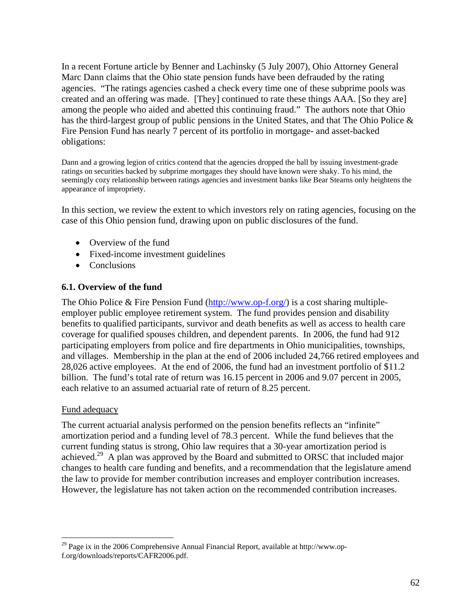In a recent Fortune article by Benner and Lachinsky (5 July 2007), Ohio Attorney General Marc Dann claims that the Ohio state pension funds have been defrauded by the rating agencies. "The ratings agencies cashed a check every time one of these subprime pools was created and an offering was made. [They] continued to rate these things AAA. [So they are] among the people who aided and abetted this continuing fraud." The authors note that Ohio has the third-largest group of public pensions in the United States, and that The Ohio Police & Fire Pension Fund has nearly 7 percent of its portfolio in mortgage- and asset-backed obligations:

Dann and a growing legion of critics contend that the agencies dropped the ball by issuing investment-grade ratings on securities backed by subprime mortgages they should have known were shaky. To his mind, the seemingly cozy relationship between ratings agencies and investment banks like Bear Stearns only heightens the appearance of impropriety.

In this section, we review the extent to which investors rely on rating agencies, focusing on the case of this Ohio pension fund, drawing upon on public disclosures of the fund.

- Overview of the fund
- Fixed-income investment guidelines
- Conclusions

## **6.1. Overview of the fund**

The Ohio Police & Fire Pension Fund  $\frac{http://www.op-f.org/}{http://www.op-f.org/}{\;}$  is a cost sharing multipleemployer public employee retirement system. The fund provides pension and disability benefits to qualified participants, survivor and death benefits as well as access to health care coverage for qualified spouses children, and dependent parents. In 2006, the fund had 912 participating employers from police and fire departments in Ohio municipalities, townships, and villages. Membership in the plan at the end of 2006 included 24,766 retired employees and 28,026 active employees. At the end of 2006, the fund had an investment portfolio of \$11.2 billion. The fund's total rate of return was 16.15 percent in 2006 and 9.07 percent in 2005, each relative to an assumed actuarial rate of return of 8.25 percent.

## Fund adequacy

 $\overline{a}$ 

The current actuarial analysis performed on the pension benefits reflects an "infinite" amortization period and a funding level of 78.3 percent. While the fund believes that the current funding status is strong, Ohio law requires that a 30-year amortization period is achieved.<sup>29</sup> A plan was approved by the Board and submitted to ORSC that included major changes to health care funding and benefits, and a recommendation that the legislature amend the law to provide for member contribution increases and employer contribution increases. However, the legislature has not taken action on the recommended contribution increases.

 $29$  Page ix in the 2006 Comprehensive Annual Financial Report, available at http://www.opf.org/downloads/reports/CAFR2006.pdf.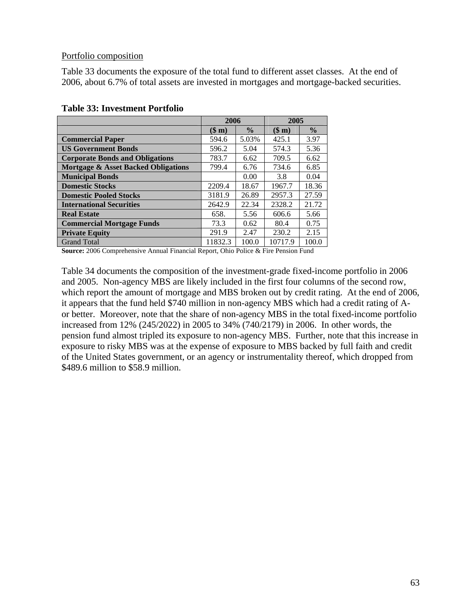#### Portfolio composition

Table 33 documents the exposure of the total fund to different asset classes. At the end of 2006, about 6.7% of total assets are invested in mortgages and mortgage-backed securities.

|                                                | 2006    |               | 2005    |               |
|------------------------------------------------|---------|---------------|---------|---------------|
|                                                | \$m)    | $\frac{0}{0}$ | \$m\$   | $\frac{0}{0}$ |
| <b>Commercial Paper</b>                        | 594.6   | 5.03%         | 425.1   | 3.97          |
| <b>US Government Bonds</b>                     | 596.2   | 5.04          | 574.3   | 5.36          |
| <b>Corporate Bonds and Obligations</b>         | 783.7   | 6.62          | 709.5   | 6.62          |
| <b>Mortgage &amp; Asset Backed Obligations</b> | 799.4   | 6.76          | 734.6   | 6.85          |
| <b>Municipal Bonds</b>                         |         | 0.00          | 3.8     | 0.04          |
| <b>Domestic Stocks</b>                         | 2209.4  | 18.67         | 1967.7  | 18.36         |
| <b>Domestic Pooled Stocks</b>                  | 3181.9  | 26.89         | 2957.3  | 27.59         |
| <b>International Securities</b>                | 2642.9  | 22.34         | 2328.2  | 21.72         |
| <b>Real Estate</b>                             | 658.    | 5.56          | 606.6   | 5.66          |
| <b>Commercial Mortgage Funds</b>               | 73.3    | 0.62          | 80.4    | 0.75          |
| <b>Private Equity</b>                          | 291.9   | 2.47          | 230.2   | 2.15          |
| <b>Grand Total</b>                             | 11832.3 | 100.0         | 10717.9 | 100.0         |

## **Table 33: Investment Portfolio**

**Source:** 2006 Comprehensive Annual Financial Report, Ohio Police & Fire Pension Fund

Table 34 documents the composition of the investment-grade fixed-income portfolio in 2006 and 2005. Non-agency MBS are likely included in the first four columns of the second row, which report the amount of mortgage and MBS broken out by credit rating. At the end of 2006, it appears that the fund held \$740 million in non-agency MBS which had a credit rating of Aor better. Moreover, note that the share of non-agency MBS in the total fixed-income portfolio increased from 12% (245/2022) in 2005 to 34% (740/2179) in 2006. In other words, the pension fund almost tripled its exposure to non-agency MBS. Further, note that this increase in exposure to risky MBS was at the expense of exposure to MBS backed by full faith and credit of the United States government, or an agency or instrumentality thereof, which dropped from \$489.6 million to \$58.9 million.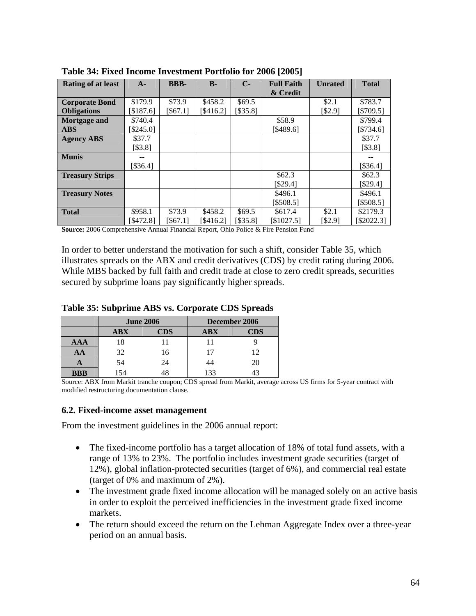| <b>Rating of at least</b> | $A -$     | <b>BBB-</b> | $B -$    | $C-$     | <b>Full Faith</b> | <b>Unrated</b> | <b>Total</b> |
|---------------------------|-----------|-------------|----------|----------|-------------------|----------------|--------------|
|                           |           |             |          |          | & Credit          |                |              |
| <b>Corporate Bond</b>     | \$179.9   | \$73.9      | \$458.2  | \$69.5   |                   | \$2.1          | \$783.7      |
| <b>Obligations</b>        | [\$187.6] | [\$67.1]    | \$416.21 | [\$35.8] |                   | [\$2.9]        | [\$709.5]    |
| Mortgage and              | \$740.4   |             |          |          | \$58.9            |                | \$799.4      |
| <b>ABS</b>                | [\$245.0] |             |          |          | [\$489.6]         |                | [\$734.6]    |
| <b>Agency ABS</b>         | \$37.7    |             |          |          |                   |                | \$37.7       |
|                           | [\$3.8]   |             |          |          |                   |                | [\$3.8]      |
| <b>Munis</b>              |           |             |          |          |                   |                |              |
|                           | [\$36.4]  |             |          |          |                   |                | [\$36.4]     |
| <b>Treasury Strips</b>    |           |             |          |          | \$62.3            |                | \$62.3\$     |
|                           |           |             |          |          | [\$29.4]          |                | [\$29.4]     |
| <b>Treasury Notes</b>     |           |             |          |          | \$496.1           |                | \$496.1      |
|                           |           |             |          |          | [\$508.5]         |                | [\$508.5]    |
| <b>Total</b>              | \$958.1   | \$73.9      | \$458.2  | \$69.5   | \$617.4           | \$2.1          | \$2179.3     |
|                           | [\$472.8] | [\$67.1]    | \$416.2] | [\$35.8] | [\$1027.5]        | [\$2.9]        | [\$2022.3]   |

**Table 34: Fixed Income Investment Portfolio for 2006 [2005]** 

**Source:** 2006 Comprehensive Annual Financial Report, Ohio Police & Fire Pension Fund

In order to better understand the motivation for such a shift, consider Table 35, which illustrates spreads on the ABX and credit derivatives (CDS) by credit rating during 2006. While MBS backed by full faith and credit trade at close to zero credit spreads, securities secured by subprime loans pay significantly higher spreads.

|            |     | <b>June 2006</b> |     | December 2006                    |
|------------|-----|------------------|-----|----------------------------------|
|            | ABX | <b>CDS</b>       | ABX | $\mathbf{C}\mathbf{D}\mathbf{S}$ |
| AAA        | 18  |                  |     |                                  |
| AA         | 32  | 16               | 17  | 12                               |
| A          | 54  | 24               | 44  | 20                               |
| <b>BBB</b> | 154 | 48               | 133 | 43                               |

#### **Table 35: Subprime ABS vs. Corporate CDS Spreads**

Source: ABX from Markit tranche coupon; CDS spread from Markit, average across US firms for 5-year contract with modified restructuring documentation clause.

## **6.2. Fixed-income asset management**

From the investment guidelines in the 2006 annual report:

- The fixed-income portfolio has a target allocation of 18% of total fund assets, with a range of 13% to 23%. The portfolio includes investment grade securities (target of 12%), global inflation-protected securities (target of 6%), and commercial real estate (target of 0% and maximum of 2%).
- The investment grade fixed income allocation will be managed solely on an active basis in order to exploit the perceived inefficiencies in the investment grade fixed income markets.
- The return should exceed the return on the Lehman Aggregate Index over a three-year period on an annual basis.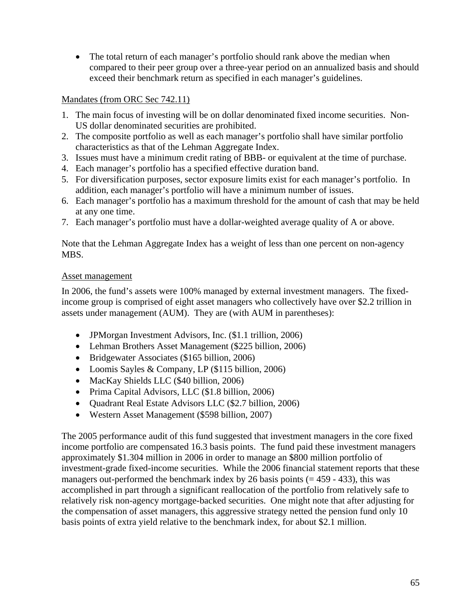• The total return of each manager's portfolio should rank above the median when compared to their peer group over a three-year period on an annualized basis and should exceed their benchmark return as specified in each manager's guidelines.

# Mandates (from ORC Sec 742.11)

- 1. The main focus of investing will be on dollar denominated fixed income securities. Non-US dollar denominated securities are prohibited.
- 2. The composite portfolio as well as each manager's portfolio shall have similar portfolio characteristics as that of the Lehman Aggregate Index.
- 3. Issues must have a minimum credit rating of BBB- or equivalent at the time of purchase.
- 4. Each manager's portfolio has a specified effective duration band.
- 5. For diversification purposes, sector exposure limits exist for each manager's portfolio. In addition, each manager's portfolio will have a minimum number of issues.
- 6. Each manager's portfolio has a maximum threshold for the amount of cash that may be held at any one time.
- 7. Each manager's portfolio must have a dollar-weighted average quality of A or above.

Note that the Lehman Aggregate Index has a weight of less than one percent on non-agency MBS.

# Asset management

In 2006, the fund's assets were 100% managed by external investment managers. The fixedincome group is comprised of eight asset managers who collectively have over \$2.2 trillion in assets under management (AUM). They are (with AUM in parentheses):

- JPMorgan Investment Advisors, Inc. (\$1.1 trillion, 2006)
- Lehman Brothers Asset Management (\$225 billion, 2006)
- Bridgewater Associates (\$165 billion, 2006)
- Loomis Sayles & Company, LP (\$115 billion, 2006)
- MacKay Shields LLC (\$40 billion, 2006)
- Prima Capital Advisors, LLC (\$1.8 billion, 2006)
- Quadrant Real Estate Advisors LLC (\$2.7 billion, 2006)
- Western Asset Management (\$598 billion, 2007)

The 2005 performance audit of this fund suggested that investment managers in the core fixed income portfolio are compensated 16.3 basis points. The fund paid these investment managers approximately \$1.304 million in 2006 in order to manage an \$800 million portfolio of investment-grade fixed-income securities. While the 2006 financial statement reports that these managers out-performed the benchmark index by 26 basis points  $(= 459 - 433)$ , this was accomplished in part through a significant reallocation of the portfolio from relatively safe to relatively risk non-agency mortgage-backed securities. One might note that after adjusting for the compensation of asset managers, this aggressive strategy netted the pension fund only 10 basis points of extra yield relative to the benchmark index, for about \$2.1 million.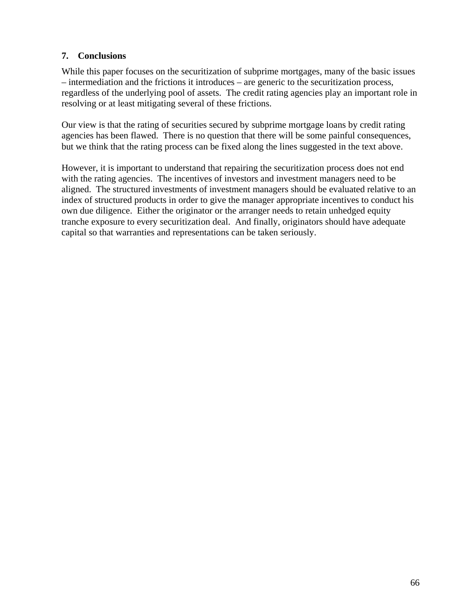# **7. Conclusions**

While this paper focuses on the securitization of subprime mortgages, many of the basic issues – intermediation and the frictions it introduces – are generic to the securitization process, regardless of the underlying pool of assets. The credit rating agencies play an important role in resolving or at least mitigating several of these frictions.

Our view is that the rating of securities secured by subprime mortgage loans by credit rating agencies has been flawed. There is no question that there will be some painful consequences, but we think that the rating process can be fixed along the lines suggested in the text above.

However, it is important to understand that repairing the securitization process does not end with the rating agencies. The incentives of investors and investment managers need to be aligned. The structured investments of investment managers should be evaluated relative to an index of structured products in order to give the manager appropriate incentives to conduct his own due diligence. Either the originator or the arranger needs to retain unhedged equity tranche exposure to every securitization deal. And finally, originators should have adequate capital so that warranties and representations can be taken seriously.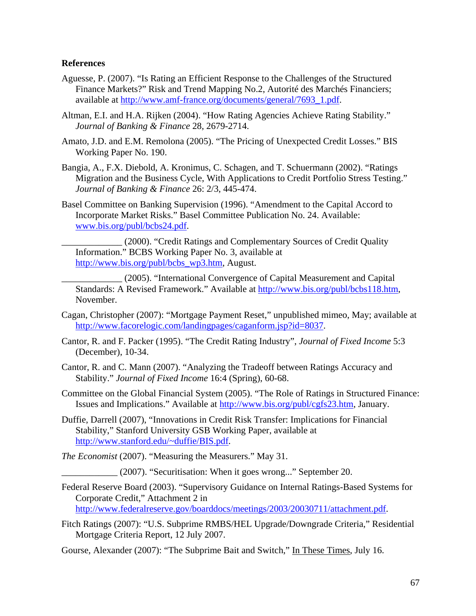#### **References**

- Aguesse, P. (2007). "Is Rating an Efficient Response to the Challenges of the Structured Finance Markets?" Risk and Trend Mapping No.2, Autorité des Marchés Financiers; available at http://www.amf-france.org/documents/general/7693\_1.pdf.
- Altman, E.I. and H.A. Rijken (2004). "How Rating Agencies Achieve Rating Stability." *Journal of Banking & Finance* 28, 2679-2714.
- Amato, J.D. and E.M. Remolona (2005). "The Pricing of Unexpected Credit Losses." BIS Working Paper No. 190.
- Bangia, A., F.X. Diebold, A. Kronimus, C. Schagen, and T. Schuermann (2002). "Ratings Migration and the Business Cycle, With Applications to Credit Portfolio Stress Testing." *Journal of Banking & Finance* 26: 2/3, 445-474.
- Basel Committee on Banking Supervision (1996). "Amendment to the Capital Accord to Incorporate Market Risks." Basel Committee Publication No. 24. Available: www.bis.org/publ/bcbs24.pdf.

\_\_\_\_\_\_\_\_\_\_\_\_\_ (2000). "Credit Ratings and Complementary Sources of Credit Quality Information." BCBS Working Paper No. 3, available at http://www.bis.org/publ/bcbs\_wp3.htm, August.

\_\_\_\_\_\_\_\_\_\_\_\_\_ (2005). "International Convergence of Capital Measurement and Capital Standards: A Revised Framework." Available at http://www.bis.org/publ/bcbs118.htm, November.

- Cagan, Christopher (2007): "Mortgage Payment Reset," unpublished mimeo, May; available at http://www.facorelogic.com/landingpages/caganform.jsp?id=8037.
- Cantor, R. and F. Packer (1995). "The Credit Rating Industry", *Journal of Fixed Income* 5:3 (December), 10-34.
- Cantor, R. and C. Mann (2007). "Analyzing the Tradeoff between Ratings Accuracy and Stability." *Journal of Fixed Income* 16:4 (Spring), 60-68.
- Committee on the Global Financial System (2005). "The Role of Ratings in Structured Finance: Issues and Implications." Available at http://www.bis.org/publ/cgfs23.htm, January.
- Duffie, Darrell (2007), "Innovations in Credit Risk Transfer: Implications for Financial Stability," Stanford University GSB Working Paper, available at http://www.stanford.edu/~duffie/BIS.pdf.

*The Economist* (2007). "Measuring the Measurers." May 31.

\_\_\_\_\_\_\_\_\_\_\_\_ (2007). "Securitisation: When it goes wrong..." September 20.

- Federal Reserve Board (2003). "Supervisory Guidance on Internal Ratings-Based Systems for Corporate Credit," Attachment 2 in http://www.federalreserve.gov/boarddocs/meetings/2003/20030711/attachment.pdf.
- Fitch Ratings (2007): "U.S. Subprime RMBS/HEL Upgrade/Downgrade Criteria," Residential Mortgage Criteria Report, 12 July 2007.
- Gourse, Alexander (2007): "The Subprime Bait and Switch," In These Times, July 16.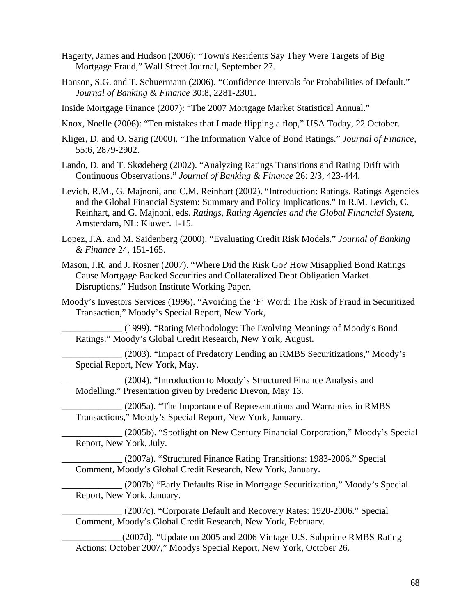- Hagerty, James and Hudson (2006): "Town's Residents Say They Were Targets of Big Mortgage Fraud," Wall Street Journal, September 27.
- Hanson, S.G. and T. Schuermann (2006). "Confidence Intervals for Probabilities of Default." *Journal of Banking & Finance* 30:8, 2281-2301.
- Inside Mortgage Finance (2007): "The 2007 Mortgage Market Statistical Annual."
- Knox, Noelle (2006): "Ten mistakes that I made flipping a flop," USA Today, 22 October.
- Kliger, D. and O. Sarig (2000). "The Information Value of Bond Ratings." *Journal of Finance*, 55:6, 2879-2902.
- Lando, D. and T. Skødeberg (2002). "Analyzing Ratings Transitions and Rating Drift with Continuous Observations." *Journal of Banking & Finance* 26: 2/3, 423-444.
- Levich, R.M., G. Majnoni, and C.M. Reinhart (2002). "Introduction: Ratings, Ratings Agencies and the Global Financial System: Summary and Policy Implications." In R.M. Levich, C. Reinhart, and G. Majnoni, eds. *Ratings, Rating Agencies and the Global Financial System*, Amsterdam, NL: Kluwer. 1-15.
- Lopez, J.A. and M. Saidenberg (2000). "Evaluating Credit Risk Models." *Journal of Banking & Finance* 24, 151-165.
- Mason, J.R. and J. Rosner (2007). "Where Did the Risk Go? How Misapplied Bond Ratings Cause Mortgage Backed Securities and Collateralized Debt Obligation Market Disruptions." Hudson Institute Working Paper.
- Moody's Investors Services (1996). "Avoiding the 'F' Word: The Risk of Fraud in Securitized Transaction," Moody's Special Report, New York,

\_\_\_\_\_\_\_\_\_\_\_\_\_ (1999). "Rating Methodology: The Evolving Meanings of Moody's Bond Ratings." Moody's Global Credit Research, New York, August.

\_\_\_\_\_\_\_\_\_\_\_\_\_ (2003). "Impact of Predatory Lending an RMBS Securitizations," Moody's Special Report, New York, May.

(2004). "Introduction to Moody's Structured Finance Analysis and Modelling." Presentation given by Frederic Drevon, May 13.

\_\_\_\_\_\_\_\_\_\_\_\_\_ (2005a). "The Importance of Representations and Warranties in RMBS Transactions," Moody's Special Report, New York, January.

\_\_\_\_\_\_\_\_\_\_\_\_\_ (2005b). "Spotlight on New Century Financial Corporation," Moody's Special Report, New York, July.

\_\_\_\_\_\_\_\_\_\_\_\_\_ (2007a). "Structured Finance Rating Transitions: 1983-2006." Special Comment, Moody's Global Credit Research, New York, January.

\_\_\_\_\_\_\_\_\_\_\_\_\_ (2007b) "Early Defaults Rise in Mortgage Securitization," Moody's Special Report, New York, January.

\_\_\_\_\_\_\_\_\_\_\_\_\_ (2007c). "Corporate Default and Recovery Rates: 1920-2006." Special Comment, Moody's Global Credit Research, New York, February.

\_\_\_\_\_\_\_\_\_\_\_\_\_(2007d). "Update on 2005 and 2006 Vintage U.S. Subprime RMBS Rating Actions: October 2007," Moodys Special Report, New York, October 26.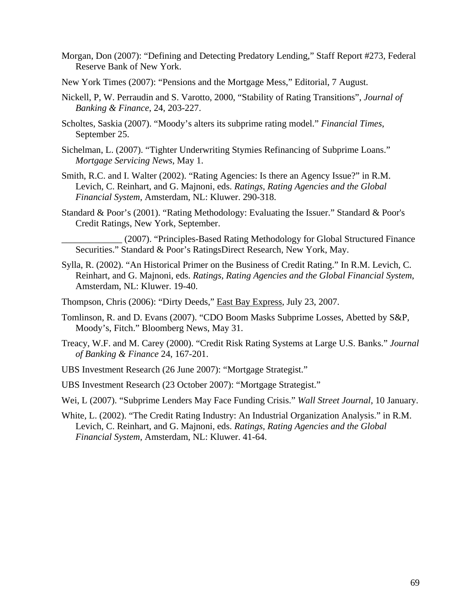- Morgan, Don (2007): "Defining and Detecting Predatory Lending," Staff Report #273, Federal Reserve Bank of New York.
- New York Times (2007): "Pensions and the Mortgage Mess," Editorial, 7 August.
- Nickell, P, W. Perraudin and S. Varotto, 2000, "Stability of Rating Transitions", *Journal of Banking & Finance*, 24, 203-227.
- Scholtes, Saskia (2007). "Moody's alters its subprime rating model." *Financial Times*, September 25.
- Sichelman, L. (2007). "Tighter Underwriting Stymies Refinancing of Subprime Loans." *Mortgage Servicing News*, May 1.
- Smith, R.C. and I. Walter (2002). "Rating Agencies: Is there an Agency Issue?" in R.M. Levich, C. Reinhart, and G. Majnoni, eds. *Ratings, Rating Agencies and the Global Financial System*, Amsterdam, NL: Kluwer. 290-318.
- Standard & Poor's (2001). "Rating Methodology: Evaluating the Issuer." Standard & Poor's Credit Ratings, New York, September.

(2007). "Principles-Based Rating Methodology for Global Structured Finance Securities." Standard & Poor's RatingsDirect Research, New York, May.

- Sylla, R. (2002). "An Historical Primer on the Business of Credit Rating." In R.M. Levich, C. Reinhart, and G. Majnoni, eds. *Ratings, Rating Agencies and the Global Financial System*, Amsterdam, NL: Kluwer. 19-40.
- Thompson, Chris (2006): "Dirty Deeds," East Bay Express, July 23, 2007.
- Tomlinson, R. and D. Evans (2007). "CDO Boom Masks Subprime Losses, Abetted by S&P, Moody's, Fitch." Bloomberg News, May 31.
- Treacy, W.F. and M. Carey (2000). "Credit Risk Rating Systems at Large U.S. Banks." *Journal of Banking & Finance* 24, 167-201.
- UBS Investment Research (26 June 2007): "Mortgage Strategist."
- UBS Investment Research (23 October 2007): "Mortgage Strategist."
- Wei, L (2007). "Subprime Lenders May Face Funding Crisis." *Wall Street Journal*, 10 January.
- White, L. (2002). "The Credit Rating Industry: An Industrial Organization Analysis." in R.M. Levich, C. Reinhart, and G. Majnoni, eds. *Ratings, Rating Agencies and the Global Financial System*, Amsterdam, NL: Kluwer. 41-64.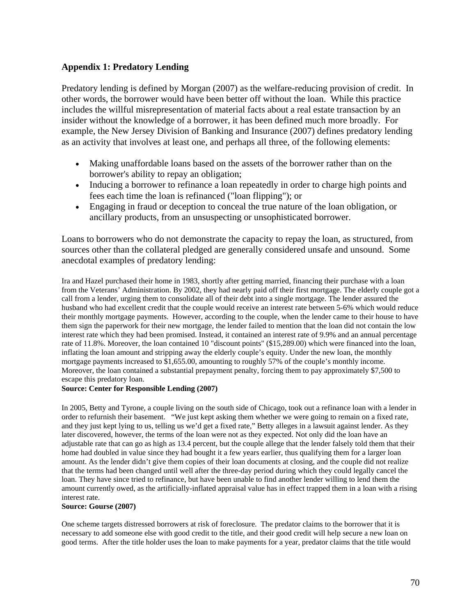## **Appendix 1: Predatory Lending**

Predatory lending is defined by Morgan (2007) as the welfare-reducing provision of credit. In other words, the borrower would have been better off without the loan. While this practice includes the willful misrepresentation of material facts about a real estate transaction by an insider without the knowledge of a borrower, it has been defined much more broadly. For example, the New Jersey Division of Banking and Insurance (2007) defines predatory lending as an activity that involves at least one, and perhaps all three, of the following elements:

- Making unaffordable loans based on the assets of the borrower rather than on the borrower's ability to repay an obligation;
- Inducing a borrower to refinance a loan repeatedly in order to charge high points and fees each time the loan is refinanced ("loan flipping"); or
- Engaging in fraud or deception to conceal the true nature of the loan obligation, or ancillary products, from an unsuspecting or unsophisticated borrower.

Loans to borrowers who do not demonstrate the capacity to repay the loan, as structured, from sources other than the collateral pledged are generally considered unsafe and unsound. Some anecdotal examples of predatory lending:

Ira and Hazel purchased their home in 1983, shortly after getting married, financing their purchase with a loan from the Veterans' Administration. By 2002, they had nearly paid off their first mortgage. The elderly couple got a call from a lender, urging them to consolidate all of their debt into a single mortgage. The lender assured the husband who had excellent credit that the couple would receive an interest rate between 5-6% which would reduce their monthly mortgage payments. However, according to the couple, when the lender came to their house to have them sign the paperwork for their new mortgage, the lender failed to mention that the loan did not contain the low interest rate which they had been promised. Instead, it contained an interest rate of 9.9% and an annual percentage rate of 11.8%. Moreover, the loan contained 10 "discount points" (\$15,289.00) which were financed into the loan, inflating the loan amount and stripping away the elderly couple's equity. Under the new loan, the monthly mortgage payments increased to \$1,655.00, amounting to roughly 57% of the couple's monthly income. Moreover, the loan contained a substantial prepayment penalty, forcing them to pay approximately \$7,500 to escape this predatory loan.

#### **Source: Center for Responsible Lending (2007)**

In 2005, Betty and Tyrone, a couple living on the south side of Chicago, took out a refinance loan with a lender in order to refurnish their basement. "We just kept asking them whether we were going to remain on a fixed rate, and they just kept lying to us, telling us we'd get a fixed rate," Betty alleges in a lawsuit against lender. As they later discovered, however, the terms of the loan were not as they expected. Not only did the loan have an adjustable rate that can go as high as 13.4 percent, but the couple allege that the lender falsely told them that their home had doubled in value since they had bought it a few years earlier, thus qualifying them for a larger loan amount. As the lender didn't give them copies of their loan documents at closing, and the couple did not realize that the terms had been changed until well after the three-day period during which they could legally cancel the loan. They have since tried to refinance, but have been unable to find another lender willing to lend them the amount currently owed, as the artificially-inflated appraisal value has in effect trapped them in a loan with a rising interest rate.

#### **Source: Gourse (2007)**

One scheme targets distressed borrowers at risk of foreclosure. The predator claims to the borrower that it is necessary to add someone else with good credit to the title, and their good credit will help secure a new loan on good terms. After the title holder uses the loan to make payments for a year, predator claims that the title would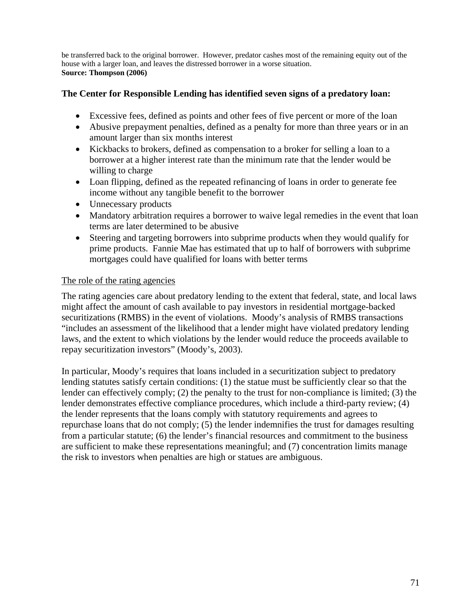be transferred back to the original borrower. However, predator cashes most of the remaining equity out of the house with a larger loan, and leaves the distressed borrower in a worse situation. **Source: Thompson (2006)** 

# **The Center for Responsible Lending has identified seven signs of a predatory loan:**

- Excessive fees, defined as points and other fees of five percent or more of the loan
- Abusive prepayment penalties, defined as a penalty for more than three years or in an amount larger than six months interest
- Kickbacks to brokers, defined as compensation to a broker for selling a loan to a borrower at a higher interest rate than the minimum rate that the lender would be willing to charge
- Loan flipping, defined as the repeated refinancing of loans in order to generate fee income without any tangible benefit to the borrower
- Unnecessary products
- Mandatory arbitration requires a borrower to waive legal remedies in the event that loan terms are later determined to be abusive
- Steering and targeting borrowers into subprime products when they would qualify for prime products. Fannie Mae has estimated that up to half of borrowers with subprime mortgages could have qualified for loans with better terms

## The role of the rating agencies

The rating agencies care about predatory lending to the extent that federal, state, and local laws might affect the amount of cash available to pay investors in residential mortgage-backed securitizations (RMBS) in the event of violations. Moody's analysis of RMBS transactions "includes an assessment of the likelihood that a lender might have violated predatory lending laws, and the extent to which violations by the lender would reduce the proceeds available to repay securitization investors" (Moody's, 2003).

In particular, Moody's requires that loans included in a securitization subject to predatory lending statutes satisfy certain conditions: (1) the statue must be sufficiently clear so that the lender can effectively comply; (2) the penalty to the trust for non-compliance is limited; (3) the lender demonstrates effective compliance procedures, which include a third-party review; (4) the lender represents that the loans comply with statutory requirements and agrees to repurchase loans that do not comply; (5) the lender indemnifies the trust for damages resulting from a particular statute; (6) the lender's financial resources and commitment to the business are sufficient to make these representations meaningful; and (7) concentration limits manage the risk to investors when penalties are high or statues are ambiguous.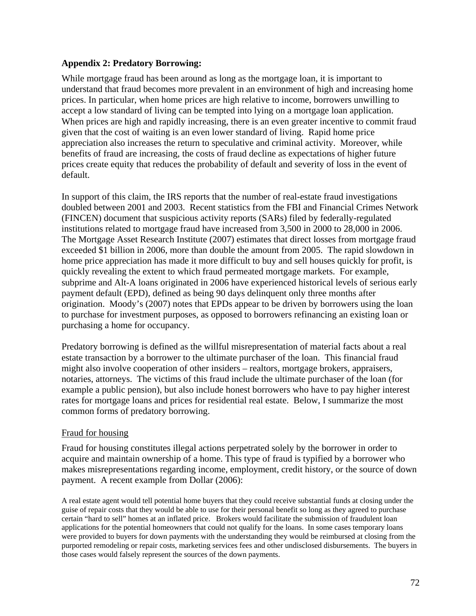## **Appendix 2: Predatory Borrowing:**

While mortgage fraud has been around as long as the mortgage loan, it is important to understand that fraud becomes more prevalent in an environment of high and increasing home prices. In particular, when home prices are high relative to income, borrowers unwilling to accept a low standard of living can be tempted into lying on a mortgage loan application. When prices are high and rapidly increasing, there is an even greater incentive to commit fraud given that the cost of waiting is an even lower standard of living. Rapid home price appreciation also increases the return to speculative and criminal activity. Moreover, while benefits of fraud are increasing, the costs of fraud decline as expectations of higher future prices create equity that reduces the probability of default and severity of loss in the event of default.

In support of this claim, the IRS reports that the number of real-estate fraud investigations doubled between 2001 and 2003. Recent statistics from the FBI and Financial Crimes Network (FINCEN) document that suspicious activity reports (SARs) filed by federally-regulated institutions related to mortgage fraud have increased from 3,500 in 2000 to 28,000 in 2006. The Mortgage Asset Research Institute (2007) estimates that direct losses from mortgage fraud exceeded \$1 billion in 2006, more than double the amount from 2005. The rapid slowdown in home price appreciation has made it more difficult to buy and sell houses quickly for profit, is quickly revealing the extent to which fraud permeated mortgage markets. For example, subprime and Alt-A loans originated in 2006 have experienced historical levels of serious early payment default (EPD), defined as being 90 days delinquent only three months after origination. Moody's (2007) notes that EPDs appear to be driven by borrowers using the loan to purchase for investment purposes, as opposed to borrowers refinancing an existing loan or purchasing a home for occupancy.

Predatory borrowing is defined as the willful misrepresentation of material facts about a real estate transaction by a borrower to the ultimate purchaser of the loan. This financial fraud might also involve cooperation of other insiders – realtors, mortgage brokers, appraisers, notaries, attorneys. The victims of this fraud include the ultimate purchaser of the loan (for example a public pension), but also include honest borrowers who have to pay higher interest rates for mortgage loans and prices for residential real estate. Below, I summarize the most common forms of predatory borrowing.

# Fraud for housing

Fraud for housing constitutes illegal actions perpetrated solely by the borrower in order to acquire and maintain ownership of a home. This type of fraud is typified by a borrower who makes misrepresentations regarding income, employment, credit history, or the source of down payment. A recent example from Dollar (2006):

A real estate agent would tell potential home buyers that they could receive substantial funds at closing under the guise of repair costs that they would be able to use for their personal benefit so long as they agreed to purchase certain "hard to sell" homes at an inflated price. Brokers would facilitate the submission of fraudulent loan applications for the potential homeowners that could not qualify for the loans. In some cases temporary loans were provided to buyers for down payments with the understanding they would be reimbursed at closing from the purported remodeling or repair costs, marketing services fees and other undisclosed disbursements. The buyers in those cases would falsely represent the sources of the down payments.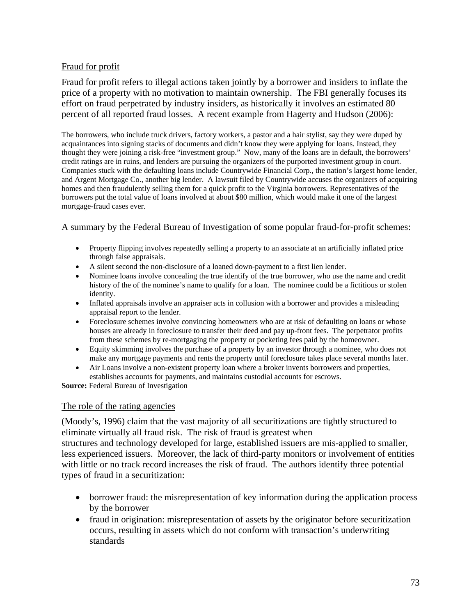# Fraud for profit

Fraud for profit refers to illegal actions taken jointly by a borrower and insiders to inflate the price of a property with no motivation to maintain ownership. The FBI generally focuses its effort on fraud perpetrated by industry insiders, as historically it involves an estimated 80 percent of all reported fraud losses. A recent example from Hagerty and Hudson (2006):

The borrowers, who include truck drivers, factory workers, a pastor and a hair stylist, say they were duped by acquaintances into signing stacks of documents and didn't know they were applying for loans. Instead, they thought they were joining a risk-free "investment group." Now, many of the loans are in default, the borrowers' credit ratings are in ruins, and lenders are pursuing the organizers of the purported investment group in court. Companies stuck with the defaulting loans include Countrywide Financial Corp., the nation's largest home lender, and Argent Mortgage Co., another big lender. A lawsuit filed by Countrywide accuses the organizers of acquiring homes and then fraudulently selling them for a quick profit to the Virginia borrowers. Representatives of the borrowers put the total value of loans involved at about \$80 million, which would make it one of the largest mortgage-fraud cases ever.

A summary by the Federal Bureau of Investigation of some popular fraud-for-profit schemes:

- Property flipping involves repeatedly selling a property to an associate at an artificially inflated price through false appraisals.
- A silent second the non-disclosure of a loaned down-payment to a first lien lender.
- Nominee loans involve concealing the true identify of the true borrower, who use the name and credit history of the of the nominee's name to qualify for a loan. The nominee could be a fictitious or stolen identity.
- Inflated appraisals involve an appraiser acts in collusion with a borrower and provides a misleading appraisal report to the lender.
- Foreclosure schemes involve convincing homeowners who are at risk of defaulting on loans or whose houses are already in foreclosure to transfer their deed and pay up-front fees. The perpetrator profits from these schemes by re-mortgaging the property or pocketing fees paid by the homeowner.
- Equity skimming involves the purchase of a property by an investor through a nominee, who does not make any mortgage payments and rents the property until foreclosure takes place several months later.
- Air Loans involve a non-existent property loan where a broker invents borrowers and properties, establishes accounts for payments, and maintains custodial accounts for escrows.

**Source:** Federal Bureau of Investigation

### The role of the rating agencies

(Moody's, 1996) claim that the vast majority of all securitizations are tightly structured to eliminate virtually all fraud risk. The risk of fraud is greatest when

structures and technology developed for large, established issuers are mis-applied to smaller, less experienced issuers. Moreover, the lack of third-party monitors or involvement of entities with little or no track record increases the risk of fraud. The authors identify three potential types of fraud in a securitization:

- borrower fraud: the misrepresentation of key information during the application process by the borrower
- fraud in origination: misrepresentation of assets by the originator before securitization occurs, resulting in assets which do not conform with transaction's underwriting standards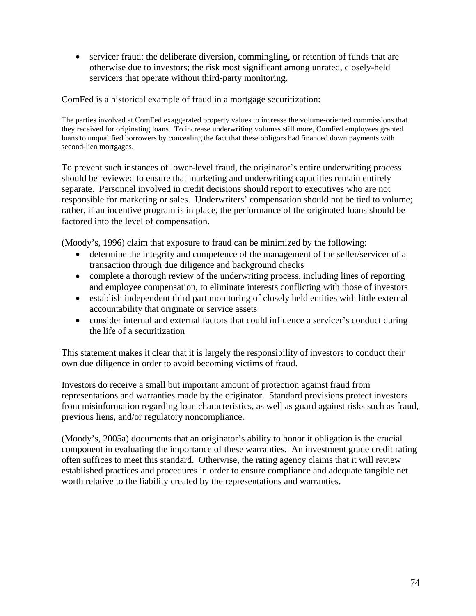• servicer fraud: the deliberate diversion, commingling, or retention of funds that are otherwise due to investors; the risk most significant among unrated, closely-held servicers that operate without third-party monitoring.

ComFed is a historical example of fraud in a mortgage securitization:

The parties involved at ComFed exaggerated property values to increase the volume-oriented commissions that they received for originating loans. To increase underwriting volumes still more, ComFed employees granted loans to unqualified borrowers by concealing the fact that these obligors had financed down payments with second-lien mortgages.

To prevent such instances of lower-level fraud, the originator's entire underwriting process should be reviewed to ensure that marketing and underwriting capacities remain entirely separate. Personnel involved in credit decisions should report to executives who are not responsible for marketing or sales. Underwriters' compensation should not be tied to volume; rather, if an incentive program is in place, the performance of the originated loans should be factored into the level of compensation.

(Moody's, 1996) claim that exposure to fraud can be minimized by the following:

- determine the integrity and competence of the management of the seller/servicer of a transaction through due diligence and background checks
- complete a thorough review of the underwriting process, including lines of reporting and employee compensation, to eliminate interests conflicting with those of investors
- establish independent third part monitoring of closely held entities with little external accountability that originate or service assets
- consider internal and external factors that could influence a servicer's conduct during the life of a securitization

This statement makes it clear that it is largely the responsibility of investors to conduct their own due diligence in order to avoid becoming victims of fraud.

Investors do receive a small but important amount of protection against fraud from representations and warranties made by the originator. Standard provisions protect investors from misinformation regarding loan characteristics, as well as guard against risks such as fraud, previous liens, and/or regulatory noncompliance.

(Moody's, 2005a) documents that an originator's ability to honor it obligation is the crucial component in evaluating the importance of these warranties. An investment grade credit rating often suffices to meet this standard. Otherwise, the rating agency claims that it will review established practices and procedures in order to ensure compliance and adequate tangible net worth relative to the liability created by the representations and warranties.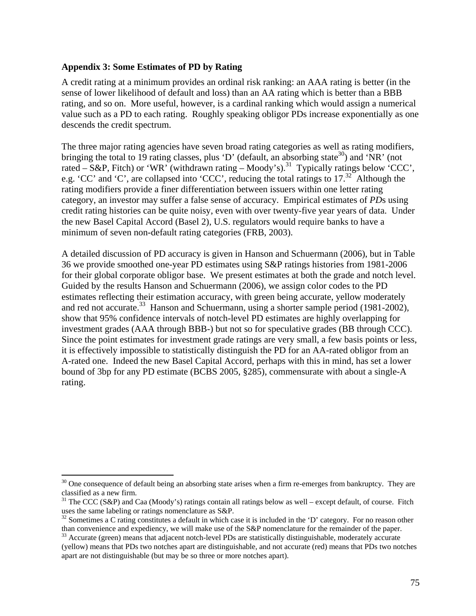### **Appendix 3: Some Estimates of PD by Rating**

 $\overline{a}$ 

A credit rating at a minimum provides an ordinal risk ranking: an AAA rating is better (in the sense of lower likelihood of default and loss) than an AA rating which is better than a BBB rating, and so on. More useful, however, is a cardinal ranking which would assign a numerical value such as a PD to each rating. Roughly speaking obligor PDs increase exponentially as one descends the credit spectrum.

The three major rating agencies have seven broad rating categories as well as rating modifiers, bringing the total to 19 rating classes, plus 'D' (default, an absorbing state<sup>30</sup>) and 'NR' (not rated – S&P, Fitch) or 'WR' (withdrawn rating – Moody's).<sup>31</sup> Typically ratings below 'CCC', e.g. 'CC' and 'C', are collapsed into 'CCC', reducing the total ratings to 17.32 Although the rating modifiers provide a finer differentiation between issuers within one letter rating category, an investor may suffer a false sense of accuracy. Empirical estimates of *PD*s using credit rating histories can be quite noisy, even with over twenty-five year years of data. Under the new Basel Capital Accord (Basel 2), U.S. regulators would require banks to have a minimum of seven non-default rating categories (FRB, 2003).

A detailed discussion of PD accuracy is given in Hanson and Schuermann (2006), but in Table 36 we provide smoothed one-year PD estimates using S&P ratings histories from 1981-2006 for their global corporate obligor base. We present estimates at both the grade and notch level. Guided by the results Hanson and Schuermann (2006), we assign color codes to the PD estimates reflecting their estimation accuracy, with green being accurate, yellow moderately and red not accurate.<sup>33</sup> Hanson and Schuermann, using a shorter sample period (1981-2002), show that 95% confidence intervals of notch-level PD estimates are highly overlapping for investment grades (AAA through BBB-) but not so for speculative grades (BB through CCC). Since the point estimates for investment grade ratings are very small, a few basis points or less, it is effectively impossible to statistically distinguish the PD for an AA-rated obligor from an A-rated one. Indeed the new Basel Capital Accord, perhaps with this in mind, has set a lower bound of 3bp for any PD estimate (BCBS 2005, §285), commensurate with about a single-A rating.

<sup>&</sup>lt;sup>30</sup> One consequence of default being an absorbing state arises when a firm re-emerges from bankruptcy. They are classified as a new firm.

<sup>&</sup>lt;sup>31</sup> The CCC (S&P) and Caa (Moody's) ratings contain all ratings below as well – except default, of course. Fitch uses the same labeling or ratings nomenclature as S&P.

 $32$  Sometimes a C rating constitutes a default in which case it is included in the 'D' category. For no reason other than convenience and expediency, we will make use of the S&P nomenclature for the remainder of the paper.

<sup>&</sup>lt;sup>33</sup> Accurate (green) means that adjacent notch-level PDs are statistically distinguishable, moderately accurate (yellow) means that PDs two notches apart are distinguishable, and not accurate (red) means that PDs two notches apart are not distinguishable (but may be so three or more notches apart).